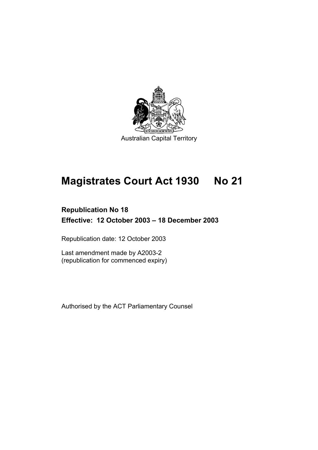

# **Magistrates Court Act 1930 No 21**

# **Republication No 18 Effective: 12 October 2003 – 18 December 2003**

Republication date: 12 October 2003

Last amendment made by A2003-2 (republication for commenced expiry)

Authorised by the ACT Parliamentary Counsel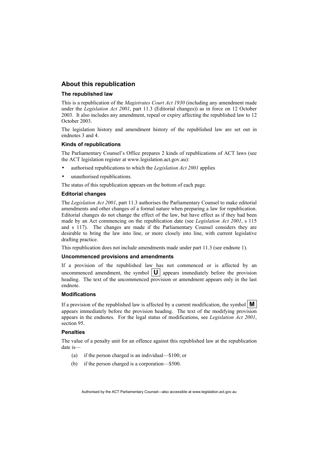#### **About this republication**

#### **The republished law**

This is a republication of the *Magistrates Court Act 1930* (including any amendment made under the *Legislation Act 2001*, part 11.3 (Editorial changes)) as in force on 12 October 2003*.* It also includes any amendment, repeal or expiry affecting the republished law to 12 October 2003.

The legislation history and amendment history of the republished law are set out in endnotes 3 and 4.

#### **Kinds of republications**

The Parliamentary Counsel's Office prepares 2 kinds of republications of ACT laws (see the ACT legislation register at www.legislation.act.gov.au):

- authorised republications to which the *Legislation Act 2001* applies
- unauthorised republications.

The status of this republication appears on the bottom of each page.

#### **Editorial changes**

The *Legislation Act 2001*, part 11.3 authorises the Parliamentary Counsel to make editorial amendments and other changes of a formal nature when preparing a law for republication. Editorial changes do not change the effect of the law, but have effect as if they had been made by an Act commencing on the republication date (see *Legislation Act 2001*, s 115 and s 117). The changes are made if the Parliamentary Counsel considers they are desirable to bring the law into line, or more closely into line, with current legislative drafting practice.

This republication does not include amendments made under part 11.3 (see endnote 1).

#### **Uncommenced provisions and amendments**

If a provision of the republished law has not commenced or is affected by an uncommenced amendment, the symbol  $|\mathbf{U}|$  appears immediately before the provision heading. The text of the uncommenced provision or amendment appears only in the last endnote.

#### **Modifications**

If a provision of the republished law is affected by a current modification, the symbol  $\mathbf{M}$ appears immediately before the provision heading. The text of the modifying provision appears in the endnotes. For the legal status of modifications, see *Legislation Act 2001*, section 95.

#### **Penalties**

The value of a penalty unit for an offence against this republished law at the republication date is—

- (a) if the person charged is an individual—\$100; or
- (b) if the person charged is a corporation—\$500.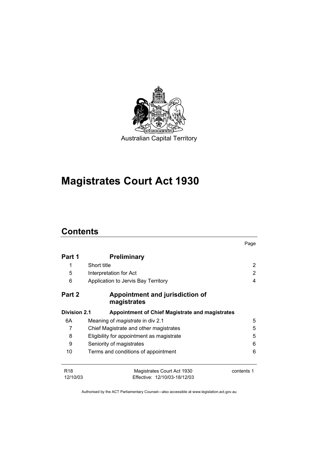

# **Magistrates Court Act 1930**

# **Contents**

|                        |                                                            | Page       |
|------------------------|------------------------------------------------------------|------------|
| Part 1                 | <b>Preliminary</b>                                         |            |
| 1                      | Short title                                                | 2          |
| 5                      | Interpretation for Act                                     | 2          |
| 6                      | Application to Jervis Bay Territory                        | 4          |
| Part 2                 | Appointment and jurisdiction of<br>magistrates             |            |
| <b>Division 2.1</b>    | <b>Appointment of Chief Magistrate and magistrates</b>     |            |
| 6A                     | Meaning of <i>magistrate</i> in div 2.1                    | 5          |
| 7                      | Chief Magistrate and other magistrates                     | 5          |
| 8                      | Eligibility for appointment as magistrate                  | 5          |
| 9                      | Seniority of magistrates                                   | 6          |
| 10                     | Terms and conditions of appointment                        | 6          |
| <b>R18</b><br>12/10/03 | Magistrates Court Act 1930<br>Effective: 12/10/03-18/12/03 | contents 1 |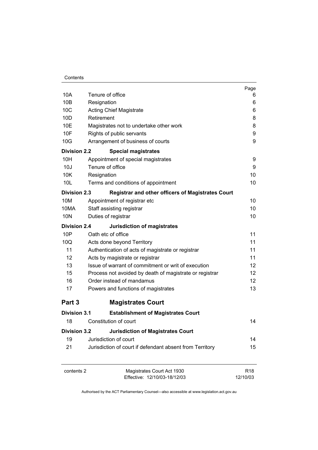|                     |                                                            | Page                        |
|---------------------|------------------------------------------------------------|-----------------------------|
| 10A                 | Tenure of office                                           | 6                           |
| 10B                 | Resignation                                                | 6                           |
| 10C                 | <b>Acting Chief Magistrate</b><br>Retirement               | 6                           |
| 10D                 |                                                            | 8                           |
| 10E                 | Magistrates not to undertake other work                    | 8                           |
| 10F                 | Rights of public servants                                  | 9                           |
| 10G                 | Arrangement of business of courts                          | 9                           |
| <b>Division 2.2</b> | <b>Special magistrates</b>                                 |                             |
| 10H                 | Appointment of special magistrates                         | 9                           |
| 10J                 | Tenure of office<br>Resignation                            | 9                           |
| 10K                 |                                                            | 10                          |
| 10 <sub>L</sub>     | Terms and conditions of appointment                        | 10                          |
| <b>Division 2.3</b> | <b>Registrar and other officers of Magistrates Court</b>   |                             |
| 10M                 | Appointment of registrar etc                               | 10                          |
| 10MA                | Staff assisting registrar                                  | 10                          |
| 10N                 | Duties of registrar                                        | 10                          |
| <b>Division 2.4</b> | <b>Jurisdiction of magistrates</b>                         |                             |
| 10P                 | Oath etc of office                                         | 11                          |
| 10Q                 | Acts done beyond Territory                                 | 11                          |
| 11                  | Authentication of acts of magistrate or registrar          | 11                          |
| 12                  | Acts by magistrate or registrar                            | 11                          |
| 13                  | Issue of warrant of commitment or writ of execution        | 12                          |
| 15                  | Process not avoided by death of magistrate or registrar    | 12                          |
| 16                  | Order instead of mandamus                                  | $12 \overline{ }$           |
| 17                  | Powers and functions of magistrates                        | 13                          |
| Part 3              | <b>Magistrates Court</b>                                   |                             |
| Division 3.1        | <b>Establishment of Magistrates Court</b>                  |                             |
| 18                  | Constitution of court                                      | 14                          |
| <b>Division 3.2</b> | <b>Jurisdiction of Magistrates Court</b>                   |                             |
| 19                  | Jurisdiction of court                                      | 14                          |
| 21                  | Jurisdiction of court if defendant absent from Territory   | 15                          |
|                     |                                                            |                             |
| contents 2          | Magistrates Court Act 1930<br>Effective: 12/10/03-18/12/03 | R <sub>18</sub><br>12/10/03 |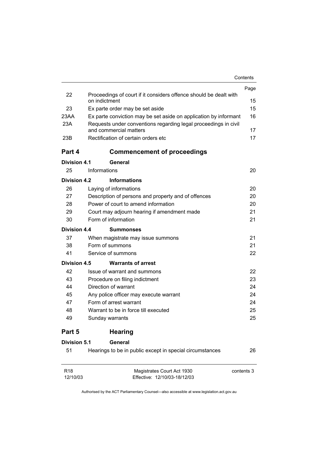|                             |                                                                                           | Contents   |
|-----------------------------|-------------------------------------------------------------------------------------------|------------|
|                             |                                                                                           | Page       |
| 22                          | Proceedings of court if it considers offence should be dealt with<br>on indictment        | 15         |
| 23                          | Ex parte order may be set aside                                                           | 15         |
| 23AA                        | Ex parte conviction may be set aside on application by informant                          | 16         |
| 23A                         | Requests under conventions regarding legal proceedings in civil<br>and commercial matters | 17         |
| 23B                         | Rectification of certain orders etc                                                       | 17         |
| Part 4                      | <b>Commencement of proceedings</b>                                                        |            |
| <b>Division 4.1</b>         | General                                                                                   |            |
| 25                          | Informations                                                                              | 20         |
| Division 4.2                | <b>Informations</b>                                                                       |            |
| 26                          | Laying of informations                                                                    | 20         |
| 27                          | Description of persons and property and of offences                                       | 20         |
| 28                          | Power of court to amend information                                                       | 20         |
| 29                          | Court may adjourn hearing if amendment made                                               | 21         |
| 30                          | Form of information                                                                       | 21         |
| Division 4.4                | <b>Summonses</b>                                                                          |            |
| 37                          | When magistrate may issue summons                                                         | 21         |
| 38                          | Form of summons                                                                           | 21         |
| 41                          | Service of summons                                                                        | 22         |
| <b>Division 4.5</b>         | <b>Warrants of arrest</b>                                                                 |            |
| 42                          | Issue of warrant and summons                                                              | 22.        |
| 43                          | Procedure on filing indictment                                                            | 23         |
| 44                          | Direction of warrant                                                                      | 24         |
| 45                          | Any police officer may execute warrant                                                    | 24         |
| 47                          | Form of arrest warrant                                                                    | 24         |
| 48                          | Warrant to be in force till executed                                                      | 25         |
| 49                          | Sunday warrants                                                                           | 25         |
| Part 5                      | <b>Hearing</b>                                                                            |            |
| <b>Division 5.1</b>         | General                                                                                   |            |
| 51                          | Hearings to be in public except in special circumstances                                  | 26         |
| R <sub>18</sub><br>12/10/03 | Magistrates Court Act 1930<br>Effective: 12/10/03-18/12/03                                | contents 3 |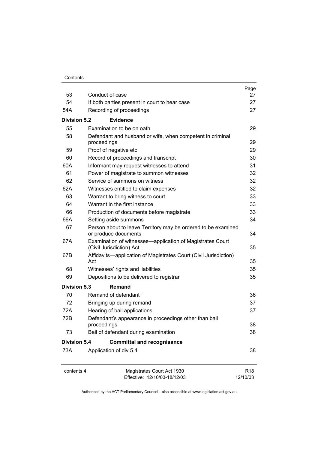| Contents |
|----------|
|----------|

|                     |                                                                                       | Page            |
|---------------------|---------------------------------------------------------------------------------------|-----------------|
| 53                  | Conduct of case                                                                       | 27              |
| 54                  | If both parties present in court to hear case                                         | 27              |
| 54A                 | Recording of proceedings                                                              | 27              |
| Division 5.2        | <b>Evidence</b>                                                                       |                 |
| 55                  | Examination to be on oath                                                             | 29              |
| 58                  | Defendant and husband or wife, when competent in criminal<br>proceedings              | 29              |
| 59                  | Proof of negative etc                                                                 | 29              |
| 60                  | Record of proceedings and transcript                                                  | 30              |
| 60A                 | Informant may request witnesses to attend                                             | 31              |
| 61                  | Power of magistrate to summon witnesses                                               | 32              |
| 62                  | Service of summons on witness                                                         | 32              |
| 62A                 | Witnesses entitled to claim expenses                                                  | 32              |
| 63                  | Warrant to bring witness to court                                                     | 33              |
| 64                  | Warrant in the first instance                                                         | 33              |
| 66                  | Production of documents before magistrate                                             | 33              |
| 66A                 | Setting aside summons                                                                 | 34              |
| 67                  | Person about to leave Territory may be ordered to be examined<br>or produce documents | 34              |
| 67A                 | Examination of witnesses—application of Magistrates Court<br>(Civil Jurisdiction) Act | 35              |
| 67B                 | Affidavits-application of Magistrates Court (Civil Jurisdiction)<br>Act               | 35              |
| 68                  | Witnesses' rights and liabilities                                                     | 35              |
| 69                  | Depositions to be delivered to registrar                                              | 35              |
| Division 5.3        | Remand                                                                                |                 |
| 70                  | Remand of defendant                                                                   | 36              |
| 72                  | Bringing up during remand                                                             | 37              |
| 72A                 | Hearing of bail applications                                                          | 37              |
| 72B                 | Defendant's appearance in proceedings other than bail<br>proceedings                  | 38              |
| 73                  | Bail of defendant during examination                                                  | 38              |
| <b>Division 5.4</b> | <b>Committal and recognisance</b>                                                     |                 |
| 73A                 | Application of div 5.4                                                                | 38              |
| contents 4          | Magistrates Court Act 1930                                                            | R <sub>18</sub> |
|                     | Effective: 12/10/03-18/12/03                                                          | 12/10/03        |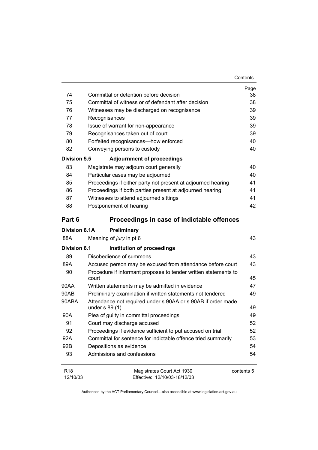| Contents |
|----------|
|----------|

|                             |                                                                 | Page       |
|-----------------------------|-----------------------------------------------------------------|------------|
| 74                          | Committal or detention before decision                          | 38         |
| 75                          | Committal of witness or of defendant after decision             | 38         |
| 76                          | Witnesses may be discharged on recognisance                     | 39         |
| 77                          | Recognisances                                                   | 39         |
| 78                          | Issue of warrant for non-appearance                             | 39         |
| 79                          | Recognisances taken out of court                                | 39         |
| 80                          | Forfeited recognisances-how enforced                            | 40         |
| 82                          | Conveying persons to custody                                    | 40         |
| <b>Division 5.5</b>         | <b>Adjournment of proceedings</b>                               |            |
| 83                          | Magistrate may adjourn court generally                          | 40         |
| 84                          | Particular cases may be adjourned                               | 40         |
| 85                          | Proceedings if either party not present at adjourned hearing    | 41         |
| 86                          | Proceedings if both parties present at adjourned hearing        | 41         |
| 87                          | Witnesses to attend adjourned sittings                          | 41         |
| 88                          | Postponement of hearing                                         | 42         |
| Part 6                      | Proceedings in case of indictable offences                      |            |
| <b>Division 6.1A</b>        | Preliminary                                                     |            |
| 88A                         | Meaning of jury in pt 6                                         | 43         |
| <b>Division 6.1</b>         | Institution of proceedings                                      |            |
| 89                          | Disobedience of summons                                         | 43         |
| 89A                         | Accused person may be excused from attendance before court      | 43         |
| 90                          | Procedure if informant proposes to tender written statements to |            |
|                             | court                                                           | 45         |
| 90AA                        | Written statements may be admitted in evidence                  | 47         |
| 90AB                        | Preliminary examination if written statements not tendered      | 49         |
| 90ABA                       | Attendance not required under s 90AA or s 90AB if order made    |            |
|                             | under $s$ 89 $(1)$                                              | 49         |
| 90A                         | Plea of guilty in committal proceedings                         | 49         |
| 91                          | Court may discharge accused                                     | 52         |
| 92                          | Proceedings if evidence sufficient to put accused on trial      | 52         |
| 92A                         | Committal for sentence for indictable offence tried summarily   | 53         |
| 92B                         | Depositions as evidence                                         | 54         |
| 93                          | Admissions and confessions                                      | 54         |
| R <sub>18</sub><br>12/10/03 | Magistrates Court Act 1930<br>Effective: 12/10/03-18/12/03      | contents 5 |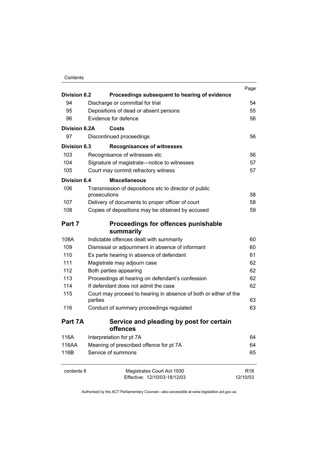#### Contents

| <b>Division 6.2</b> | Proceedings subsequent to hearing of evidence                    | Page            |
|---------------------|------------------------------------------------------------------|-----------------|
| 94                  | Discharge or committal for trial                                 | 54              |
| 95                  | Depositions of dead or absent persons                            | 55              |
| 96                  | Evidence for defence                                             | 56              |
|                     |                                                                  |                 |
| Division 6.2A       | Costs                                                            |                 |
| 97                  | Discontinued proceedings                                         | 56              |
| Division 6.3        | <b>Recognisances of witnesses</b>                                |                 |
| 103                 | Recognisance of witnesses etc                                    | 56              |
| 104                 | Signature of magistrate-notice to witnesses                      | 57              |
| 105                 | Court may commit refractory witness                              | 57              |
| Division 6.4        | <b>Miscellaneous</b>                                             |                 |
| 106                 | Transmission of depositions etc to director of public            |                 |
|                     | prosecutions                                                     | 58              |
| 107                 | Delivery of documents to proper officer of court                 | 58              |
| 108                 | Copies of depositions may be obtained by accused                 | 59              |
| Part 7              | Proceedings for offences punishable                              |                 |
|                     | summarily                                                        |                 |
| 108A                | Indictable offences dealt with summarily                         | 60              |
| 109                 | Dismissal or adjournment in absence of informant                 | 60              |
| 110                 | Ex parte hearing in absence of defendant                         | 61              |
| 111                 | Magistrate may adjourn case                                      | 62              |
| 112                 | Both parties appearing                                           | 62              |
| 113                 | Proceedings at hearing on defendant's confession                 | 62              |
| 114                 | If defendant does not admit the case                             | 62              |
| 115                 | Court may proceed to hearing in absence of both or either of the |                 |
|                     | parties                                                          | 63              |
| 116                 | Conduct of summary proceedings regulated                         | 63              |
| Part 7A             | Service and pleading by post for certain                         |                 |
|                     | offences                                                         |                 |
| 116A                | Interpretation for pt 7A                                         | 64              |
| 116AA               | Meaning of prescribed offence for pt 7A                          | 64              |
| 116B                | Service of summons                                               | 65              |
| contents 6          | Magistrates Court Act 1930                                       | R <sub>18</sub> |
|                     | Effective: 12/10/03-18/12/03                                     | 12/10/03        |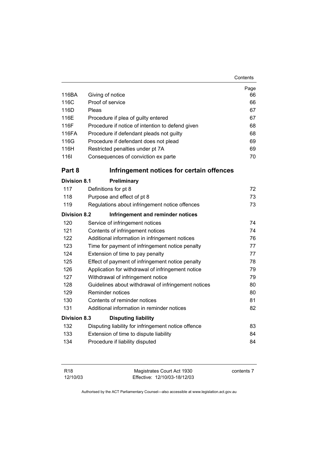| Contents |
|----------|
|----------|

| 116BA               |                                                     | Page<br>66 |
|---------------------|-----------------------------------------------------|------------|
| 116C                | Giving of notice<br>Proof of service                | 66         |
| 116D                | Pleas                                               |            |
| 116E                | Procedure if plea of guilty entered                 | 67<br>67   |
| 116F                | Procedure if notice of intention to defend given    | 68         |
| 116FA               | Procedure if defendant pleads not guilty            | 68         |
| 116G                | Procedure if defendant does not plead               | 69         |
| 116H                | Restricted penalties under pt 7A                    | 69         |
| <b>1161</b>         | Consequences of conviction ex parte                 | 70         |
| Part 8              | Infringement notices for certain offences           |            |
| <b>Division 8.1</b> | Preliminary                                         |            |
| 117                 | Definitions for pt 8                                | 72         |
| 118                 | Purpose and effect of pt 8                          | 73         |
| 119                 | Regulations about infringement notice offences      | 73         |
| <b>Division 8.2</b> | Infringement and reminder notices                   |            |
| 120                 | Service of infringement notices                     | 74         |
| 121                 | Contents of infringement notices                    | 74         |
| 122                 | Additional information in infringement notices      | 76         |
| 123                 | Time for payment of infringement notice penalty     | 77         |
| 124                 | Extension of time to pay penalty                    | 77         |
| 125                 | Effect of payment of infringement notice penalty    | 78         |
| 126                 | Application for withdrawal of infringement notice   | 79         |
| 127                 | Withdrawal of infringement notice                   | 79         |
| 128                 | Guidelines about withdrawal of infringement notices | 80         |
| 129                 | Reminder notices                                    | 80         |
| 130                 | Contents of reminder notices                        | 81         |
| 131                 | Additional information in reminder notices          | 82         |
| <b>Division 8.3</b> | <b>Disputing liability</b>                          |            |
| 132                 | Disputing liability for infringement notice offence | 83         |
| 133                 | Extension of time to dispute liability              | 84         |
| 134                 | Procedure if liability disputed                     | 84         |
|                     |                                                     |            |

| R18      | Magistrates Court Act 1930   | contents 7 |
|----------|------------------------------|------------|
| 12/10/03 | Effective: 12/10/03-18/12/03 |            |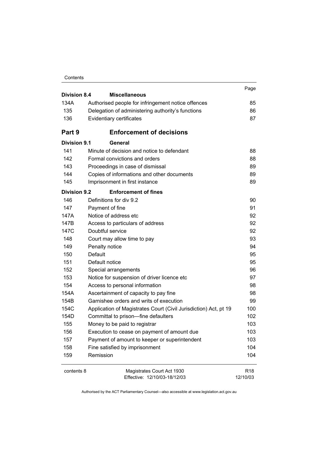| Contents |
|----------|
|----------|

| <b>Division 8.4</b> | <b>Miscellaneous</b>                                             | Page            |
|---------------------|------------------------------------------------------------------|-----------------|
| 134A                | Authorised people for infringement notice offences               | 85              |
| 135                 | Delegation of administering authority's functions                | 86              |
| 136                 | Evidentiary certificates                                         | 87              |
|                     |                                                                  |                 |
| Part 9              | <b>Enforcement of decisions</b>                                  |                 |
| <b>Division 9.1</b> | General                                                          |                 |
| 141                 | Minute of decision and notice to defendant                       | 88              |
| 142                 | Formal convictions and orders                                    | 88              |
| 143                 | Proceedings in case of dismissal                                 | 89              |
| 144                 | Copies of informations and other documents                       | 89              |
| 145                 | Imprisonment in first instance                                   | 89              |
| <b>Division 9.2</b> | <b>Enforcement of fines</b>                                      |                 |
| 146                 | Definitions for div 9.2                                          | 90              |
| 147                 | Payment of fine                                                  | 91              |
| 147A                | Notice of address etc                                            | 92              |
| 147B                | Access to particulars of address                                 | 92              |
| 147C                | Doubtful service                                                 | 92              |
| 148                 | Court may allow time to pay                                      | 93              |
| 149                 | Penalty notice                                                   | 94              |
| 150                 | Default                                                          | 95              |
| 151                 | Default notice                                                   | 95              |
| 152                 | Special arrangements                                             | 96              |
| 153                 | Notice for suspension of driver licence etc                      | 97              |
| 154                 | Access to personal information                                   | 98              |
| 154A                | Ascertainment of capacity to pay fine                            | 98              |
| 154B                | Garnishee orders and writs of execution                          | 99              |
| 154C                | Application of Magistrates Court (Civil Jurisdiction) Act, pt 19 | 100             |
| 154D                | Committal to prison-fine defaulters                              | 102             |
| 155                 | Money to be paid to registrar                                    | 103             |
| 156                 | Execution to cease on payment of amount due                      | 103             |
| 157                 | Payment of amount to keeper or superintendent                    | 103             |
| 158                 | Fine satisfied by imprisonment                                   | 104             |
| 159                 | Remission                                                        | 104             |
| contents 8          | Magistrates Court Act 1930                                       | R <sub>18</sub> |
|                     | Effective: 12/10/03-18/12/03                                     | 12/10/03        |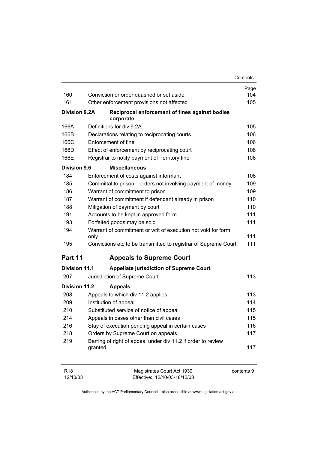|                      |                                                                      | Contents   |
|----------------------|----------------------------------------------------------------------|------------|
|                      |                                                                      | Page       |
| 160                  | Conviction or order quashed or set aside                             | 104        |
| 161                  | Other enforcement provisions not affected                            | 105        |
| <b>Division 9.2A</b> | Reciprocal enforcement of fines against bodies<br>corporate          |            |
| 166A                 | Definitions for div 9.2A                                             | 105        |
| 166B                 | Declarations relating to reciprocating courts                        | 106        |
| 166C                 | Enforcement of fine                                                  | 106        |
| 166D                 | Effect of enforcement by reciprocating court                         | 108        |
| 166E                 | Registrar to notify payment of Territory fine                        | 108        |
| <b>Division 9.6</b>  | <b>Miscellaneous</b>                                                 |            |
| 184                  | Enforcement of costs against informant                               | 108        |
| 185                  | Committal to prison-orders not involving payment of money            | 109        |
| 186                  | Warrant of commitment to prison                                      | 109        |
| 187                  | Warrant of commitment if defendant already in prison                 | 110        |
| 188                  | Mitigation of payment by court                                       | 110        |
| 191                  | Accounts to be kept in approved form                                 | 111        |
| 193                  | Forfeited goods may be sold                                          | 111        |
| 194                  | Warrant of commitment or writ of execution not void for form<br>only | 111        |
| 195                  | Convictions etc to be transmitted to registrar of Supreme Court      | 111        |
| Part 11              | <b>Appeals to Supreme Court</b>                                      |            |
| <b>Division 11.1</b> | <b>Appellate jurisdiction of Supreme Court</b>                       |            |
| 207                  | Jurisdiction of Supreme Court                                        | 113        |
| <b>Division 11.2</b> | <b>Appeals</b>                                                       |            |
| 208                  | Appeals to which div 11.2 applies                                    | 113        |
| 209                  | Institution of appeal                                                | 114        |
| 210                  | Substituted service of notice of appeal                              | 115        |
| 214                  | Appeals in cases other than civil cases                              | 115        |
| 216                  | Stay of execution pending appeal in certain cases                    | 116        |
| 218                  | Orders by Supreme Court on appeals                                   | 117        |
| 219                  | Barring of right of appeal under div 11.2 if order to review         |            |
|                      | granted                                                              | 117        |
| R <sub>18</sub>      | Magistrates Court Act 1930                                           | contents 9 |

Effective: 12/10/03-18/12/03

12/10/03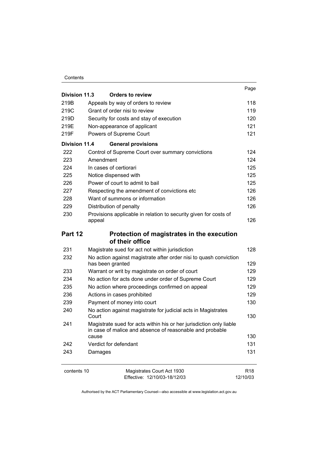#### Contents

|               |                                                                                                                                 | Page            |
|---------------|---------------------------------------------------------------------------------------------------------------------------------|-----------------|
| Division 11.3 | <b>Orders to review</b>                                                                                                         |                 |
| 219B          | Appeals by way of orders to review                                                                                              | 118             |
| 219C          | Grant of order nisi to review                                                                                                   | 119             |
| 219D          | Security for costs and stay of execution                                                                                        | 120             |
| 219E          | Non-appearance of applicant                                                                                                     | 121             |
| 219F          | Powers of Supreme Court                                                                                                         | 121             |
| Division 11.4 | <b>General provisions</b>                                                                                                       |                 |
| 222           | Control of Supreme Court over summary convictions                                                                               | 124             |
| 223           | Amendment                                                                                                                       | 124             |
| 224           | In cases of certiorari                                                                                                          | 125             |
| 225           | Notice dispensed with                                                                                                           | 125             |
| 226           | Power of court to admit to bail                                                                                                 | 125             |
| 227           | Respecting the amendment of convictions etc                                                                                     | 126             |
| 228           | Want of summons or information                                                                                                  | 126             |
| 229           | Distribution of penalty                                                                                                         | 126             |
| 230           | Provisions applicable in relation to security given for costs of                                                                |                 |
|               | appeal                                                                                                                          | 126             |
| Part 12       | Protection of magistrates in the execution                                                                                      |                 |
|               | of their office                                                                                                                 |                 |
| 231           | Magistrate sued for act not within jurisdiction                                                                                 | 128             |
| 232           | No action against magistrate after order nisi to quash conviction                                                               |                 |
|               | has been granted                                                                                                                | 129             |
| 233           | Warrant or writ by magistrate on order of court                                                                                 | 129             |
| 234           | No action for acts done under order of Supreme Court                                                                            | 129             |
| 235           | No action where proceedings confirmed on appeal                                                                                 | 129             |
| 236           | Actions in cases prohibited                                                                                                     | 129             |
| 239           | Payment of money into court                                                                                                     | 130             |
| 240           | No action against magistrate for judicial acts in Magistrates<br>Court                                                          | 130             |
| 241           | Magistrate sued for acts within his or her jurisdiction only liable<br>in case of malice and absence of reasonable and probable |                 |
|               | cause                                                                                                                           | 130             |
| 242           | Verdict for defendant                                                                                                           | 131             |
| 243           | Damages                                                                                                                         | 131             |
| contents 10   | Magistrates Court Act 1930                                                                                                      | R <sub>18</sub> |
|               | Effective: 12/10/03-18/12/03                                                                                                    | 12/10/03        |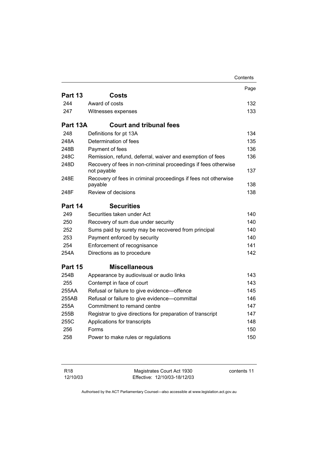|          |                                                                               | Contents |
|----------|-------------------------------------------------------------------------------|----------|
|          |                                                                               | Page     |
| Part 13  | <b>Costs</b>                                                                  |          |
| 244      | Award of costs                                                                | 132      |
| 247      | Witnesses expenses                                                            | 133      |
| Part 13A | <b>Court and tribunal fees</b>                                                |          |
| 248      | Definitions for pt 13A                                                        | 134      |
| 248A     | Determination of fees                                                         | 135      |
| 248B     | Payment of fees                                                               | 136      |
| 248C     | Remission, refund, deferral, waiver and exemption of fees                     | 136      |
| 248D     | Recovery of fees in non-criminal proceedings if fees otherwise<br>not payable | 137      |
| 248E     | Recovery of fees in criminal proceedings if fees not otherwise<br>payable     | 138      |
| 248F     | Review of decisions                                                           | 138      |
| Part 14  | <b>Securities</b>                                                             |          |
| 249      | Securities taken under Act                                                    | 140      |
| 250      | Recovery of sum due under security                                            | 140      |
| 252      | Sums paid by surety may be recovered from principal                           | 140      |
| 253      | Payment enforced by security                                                  | 140      |
| 254      | Enforcement of recognisance                                                   | 141      |
| 254A     | Directions as to procedure                                                    | 142      |
| Part 15  | <b>Miscellaneous</b>                                                          |          |
| 254B     | Appearance by audiovisual or audio links                                      | 143      |
| 255      | Contempt in face of court                                                     | 143      |
| 255AA    | Refusal or failure to give evidence-offence                                   | 145      |
| 255AB    | Refusal or failure to give evidence-committal                                 | 146      |
| 255A     | Commitment to remand centre                                                   | 147      |
| 255B     | Registrar to give directions for preparation of transcript                    | 147      |
| 255C     | Applications for transcripts                                                  | 148      |
| 256      | Forms                                                                         | 150      |
| 258      | Power to make rules or regulations                                            | 150      |
|          |                                                                               |          |

| R <sub>18</sub> | Magistrates Court Act 1930   | contents 11 |
|-----------------|------------------------------|-------------|
| 12/10/03        | Effective: 12/10/03-18/12/03 |             |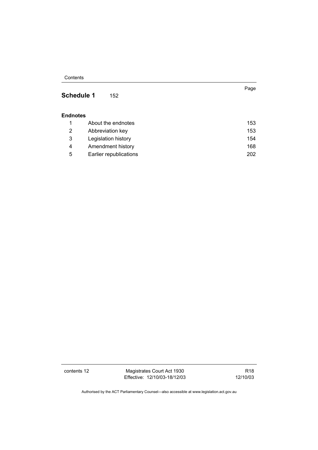**Contents** 

#### **Schedule 1** 152

#### **Endnotes**

|   | About the endnotes     | 153 |
|---|------------------------|-----|
|   | Abbreviation key       | 153 |
| 3 | Legislation history    | 154 |
| 4 | Amendment history      | 168 |
| 5 | Earlier republications | 202 |

contents 12 Magistrates Court Act 1930 Effective: 12/10/03-18/12/03

R18 12/10/03

Page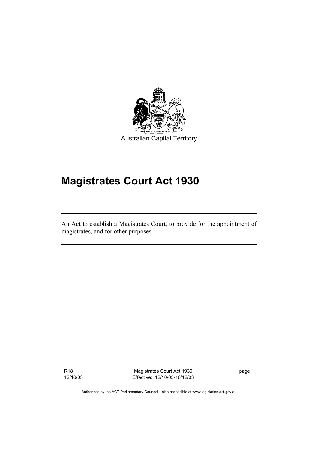

# **Magistrates Court Act 1930**

An Act to establish a Magistrates Court, to provide for the appointment of magistrates, and for other purposes

R18 12/10/03

Magistrates Court Act 1930 Effective: 12/10/03-18/12/03 page 1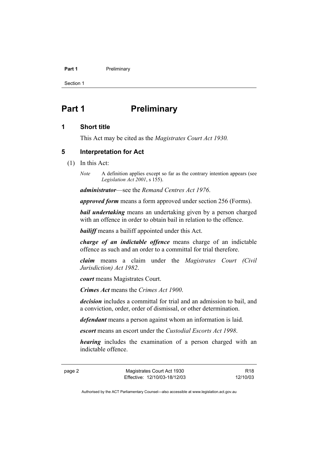#### **Part 1** Preliminary

Section 1

# **Part 1** Preliminary

#### **1 Short title**

This Act may be cited as the *Magistrates Court Act 1930.*

#### **5 Interpretation for Act**

- (1) In this Act:
	- *Note* A definition applies except so far as the contrary intention appears (see *Legislation Act 2001*, s 155).

*administrator*—see the *Remand Centres Act 1976*.

*approved form* means a form approved under section 256 (Forms).

*bail undertaking* means an undertaking given by a person charged with an offence in order to obtain bail in relation to the offence.

*bailiff* means a bailiff appointed under this Act.

*charge of an indictable offence* means charge of an indictable offence as such and an order to a committal for trial therefore.

*claim* means a claim under the *Magistrates Court (Civil Jurisdiction) Act 1982*.

*court* means Magistrates Court.

*Crimes Act* means the *Crimes Act 1900*.

*decision* includes a committal for trial and an admission to bail, and a conviction, order, order of dismissal, or other determination.

*defendant* means a person against whom an information is laid.

*escort* means an escort under the *Custodial Escorts Act 1998*.

*hearing* includes the examination of a person charged with an indictable offence.

page 2 Magistrates Court Act 1930 Effective: 12/10/03-18/12/03

R18 12/10/03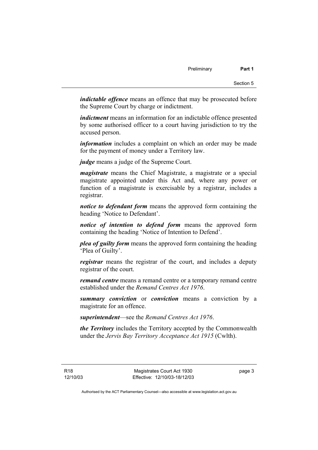*indictable offence* means an offence that may be prosecuted before the Supreme Court by charge or indictment.

*indictment* means an information for an indictable offence presented by some authorised officer to a court having jurisdiction to try the accused person.

*information* includes a complaint on which an order may be made for the payment of money under a Territory law.

*judge* means a judge of the Supreme Court.

*magistrate* means the Chief Magistrate, a magistrate or a special magistrate appointed under this Act and, where any power or function of a magistrate is exercisable by a registrar, includes a registrar.

*notice to defendant form* means the approved form containing the heading 'Notice to Defendant'.

*notice of intention to defend form* means the approved form containing the heading 'Notice of Intention to Defend'.

*plea of guilty form* means the approved form containing the heading 'Plea of Guilty'.

*registrar* means the registrar of the court, and includes a deputy registrar of the court.

*remand centre* means a remand centre or a temporary remand centre established under the *Remand Centres Act 1976*.

*summary conviction* or *conviction* means a conviction by a magistrate for an offence.

*superintendent*—see the *Remand Centres Act 1976*.

*the Territory* includes the Territory accepted by the Commonwealth under the *Jervis Bay Territory Acceptance Act 1915* (Cwlth).

page 3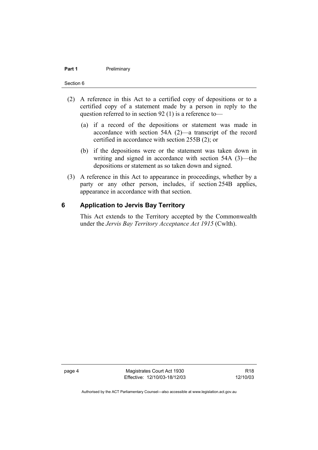#### **Part 1** Preliminary

#### Section 6

- (2) A reference in this Act to a certified copy of depositions or to a certified copy of a statement made by a person in reply to the question referred to in section 92 (1) is a reference to—
	- (a) if a record of the depositions or statement was made in accordance with section 54A (2)—a transcript of the record certified in accordance with section 255B (2); or
	- (b) if the depositions were or the statement was taken down in writing and signed in accordance with section 54A (3)—the depositions or statement as so taken down and signed.
- (3) A reference in this Act to appearance in proceedings, whether by a party or any other person, includes, if section 254B applies, appearance in accordance with that section.

#### **6 Application to Jervis Bay Territory**

This Act extends to the Territory accepted by the Commonwealth under the *Jervis Bay Territory Acceptance Act 1915* (Cwlth).

page 4 Magistrates Court Act 1930 Effective: 12/10/03-18/12/03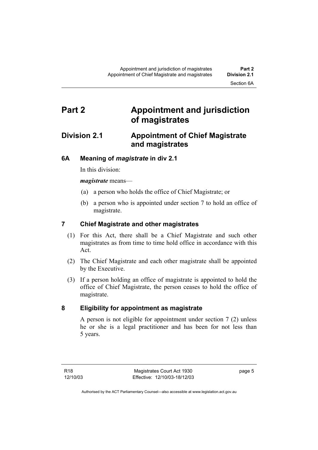# **Part 2 Appointment and jurisdiction of magistrates**

## **Division 2.1 Appointment of Chief Magistrate and magistrates**

## **6A Meaning of** *magistrate* **in div 2.1**

In this division:

*magistrate* means—

- (a) a person who holds the office of Chief Magistrate; or
- (b) a person who is appointed under section 7 to hold an office of magistrate.

## **7 Chief Magistrate and other magistrates**

- (1) For this Act, there shall be a Chief Magistrate and such other magistrates as from time to time hold office in accordance with this Act.
- (2) The Chief Magistrate and each other magistrate shall be appointed by the Executive.
- (3) If a person holding an office of magistrate is appointed to hold the office of Chief Magistrate, the person ceases to hold the office of magistrate.

## **8 Eligibility for appointment as magistrate**

A person is not eligible for appointment under section 7 (2) unless he or she is a legal practitioner and has been for not less than 5 years.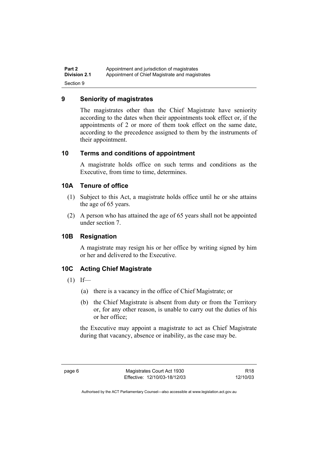#### **9 Seniority of magistrates**

The magistrates other than the Chief Magistrate have seniority according to the dates when their appointments took effect or, if the appointments of 2 or more of them took effect on the same date, according to the precedence assigned to them by the instruments of their appointment.

#### **10 Terms and conditions of appointment**

A magistrate holds office on such terms and conditions as the Executive, from time to time, determines.

#### **10A Tenure of office**

- (1) Subject to this Act, a magistrate holds office until he or she attains the age of 65 years.
- (2) A person who has attained the age of 65 years shall not be appointed under section 7.

#### **10B Resignation**

A magistrate may resign his or her office by writing signed by him or her and delivered to the Executive.

#### **10C Acting Chief Magistrate**

- $(1)$  If—
	- (a) there is a vacancy in the office of Chief Magistrate; or
	- (b) the Chief Magistrate is absent from duty or from the Territory or, for any other reason, is unable to carry out the duties of his or her office;

the Executive may appoint a magistrate to act as Chief Magistrate during that vacancy, absence or inability, as the case may be.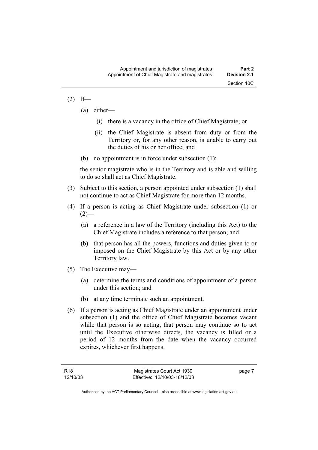#### $(2)$  If—

- (a) either—
	- (i) there is a vacancy in the office of Chief Magistrate; or
	- (ii) the Chief Magistrate is absent from duty or from the Territory or, for any other reason, is unable to carry out the duties of his or her office; and
- (b) no appointment is in force under subsection (1);

the senior magistrate who is in the Territory and is able and willing to do so shall act as Chief Magistrate.

- (3) Subject to this section, a person appointed under subsection (1) shall not continue to act as Chief Magistrate for more than 12 months.
- (4) If a person is acting as Chief Magistrate under subsection (1) or  $(2)$ —
	- (a) a reference in a law of the Territory (including this Act) to the Chief Magistrate includes a reference to that person; and
	- (b) that person has all the powers, functions and duties given to or imposed on the Chief Magistrate by this Act or by any other Territory law.
- (5) The Executive may—
	- (a) determine the terms and conditions of appointment of a person under this section; and
	- (b) at any time terminate such an appointment.
- (6) If a person is acting as Chief Magistrate under an appointment under subsection (1) and the office of Chief Magistrate becomes vacant while that person is so acting, that person may continue so to act until the Executive otherwise directs, the vacancy is filled or a period of 12 months from the date when the vacancy occurred expires, whichever first happens.

page 7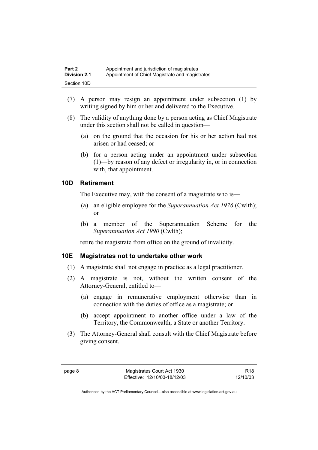- (7) A person may resign an appointment under subsection (1) by writing signed by him or her and delivered to the Executive.
- (8) The validity of anything done by a person acting as Chief Magistrate under this section shall not be called in question—
	- (a) on the ground that the occasion for his or her action had not arisen or had ceased; or
	- (b) for a person acting under an appointment under subsection (1)—by reason of any defect or irregularity in, or in connection with, that appointment.

#### **10D Retirement**

The Executive may, with the consent of a magistrate who is—

- (a) an eligible employee for the *Superannuation Act 1976* (Cwlth); or
- (b) a member of the Superannuation Scheme for the *Superannuation Act 1990* (Cwlth);

retire the magistrate from office on the ground of invalidity.

#### **10E Magistrates not to undertake other work**

- (1) A magistrate shall not engage in practice as a legal practitioner.
- (2) A magistrate is not, without the written consent of the Attorney-General, entitled to—
	- (a) engage in remunerative employment otherwise than in connection with the duties of office as a magistrate; or
	- (b) accept appointment to another office under a law of the Territory, the Commonwealth, a State or another Territory.
- (3) The Attorney-General shall consult with the Chief Magistrate before giving consent.

R18 12/10/03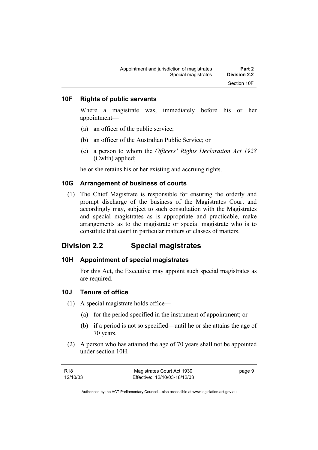#### **10F Rights of public servants**

Where a magistrate was, immediately before his or her appointment—

- (a) an officer of the public service;
- (b) an officer of the Australian Public Service; or
- (c) a person to whom the *Officers' Rights Declaration Act 1928* (Cwlth) applied;

he or she retains his or her existing and accruing rights.

#### **10G Arrangement of business of courts**

 (1) The Chief Magistrate is responsible for ensuring the orderly and prompt discharge of the business of the Magistrates Court and accordingly may, subject to such consultation with the Magistrates and special magistrates as is appropriate and practicable, make arrangements as to the magistrate or special magistrate who is to constitute that court in particular matters or classes of matters.

#### **Division 2.2 Special magistrates**

#### **10H Appointment of special magistrates**

For this Act, the Executive may appoint such special magistrates as are required.

#### **10J Tenure of office**

- (1) A special magistrate holds office—
	- (a) for the period specified in the instrument of appointment; or
	- (b) if a period is not so specified—until he or she attains the age of 70 years.
- (2) A person who has attained the age of 70 years shall not be appointed under section 10H.

| R18      | Magistrates Court Act 1930   | page 9 |
|----------|------------------------------|--------|
| 12/10/03 | Effective: 12/10/03-18/12/03 |        |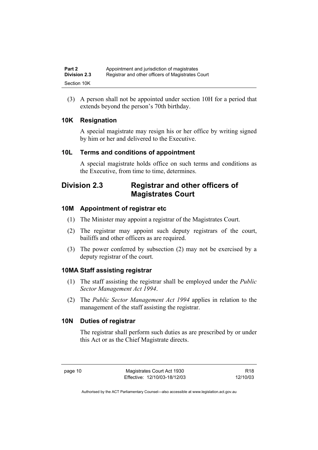(3) A person shall not be appointed under section 10H for a period that extends beyond the person's 70th birthday.

#### **10K Resignation**

A special magistrate may resign his or her office by writing signed by him or her and delivered to the Executive.

#### **10L Terms and conditions of appointment**

A special magistrate holds office on such terms and conditions as the Executive, from time to time, determines.

# **Division 2.3 Registrar and other officers of Magistrates Court**

#### **10M Appointment of registrar etc**

- (1) The Minister may appoint a registrar of the Magistrates Court.
- (2) The registrar may appoint such deputy registrars of the court, bailiffs and other officers as are required.
- (3) The power conferred by subsection (2) may not be exercised by a deputy registrar of the court.

#### **10MA Staff assisting registrar**

- (1) The staff assisting the registrar shall be employed under the *Public Sector Management Act 1994*.
- (2) The *Public Sector Management Act 1994* applies in relation to the management of the staff assisting the registrar.

#### **10N Duties of registrar**

The registrar shall perform such duties as are prescribed by or under this Act or as the Chief Magistrate directs.

R18 12/10/03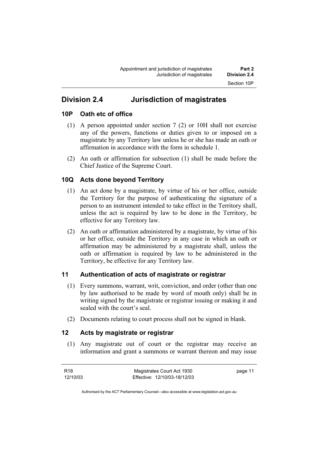# **Division 2.4 Jurisdiction of magistrates**

#### **10P Oath etc of office**

- (1) A person appointed under section 7 (2) or 10H shall not exercise any of the powers, functions or duties given to or imposed on a magistrate by any Territory law unless he or she has made an oath or affirmation in accordance with the form in schedule 1.
- (2) An oath or affirmation for subsection (1) shall be made before the Chief Justice of the Supreme Court.

## **10Q Acts done beyond Territory**

- (1) An act done by a magistrate, by virtue of his or her office, outside the Territory for the purpose of authenticating the signature of a person to an instrument intended to take effect in the Territory shall, unless the act is required by law to be done in the Territory, be effective for any Territory law.
- (2) An oath or affirmation administered by a magistrate, by virtue of his or her office, outside the Territory in any case in which an oath or affirmation may be administered by a magistrate shall, unless the oath or affirmation is required by law to be administered in the Territory, be effective for any Territory law.

## **11 Authentication of acts of magistrate or registrar**

- (1) Every summons, warrant, writ, conviction, and order (other than one by law authorised to be made by word of mouth only) shall be in writing signed by the magistrate or registrar issuing or making it and sealed with the court's seal.
- (2) Documents relating to court process shall not be signed in blank.

#### **12 Acts by magistrate or registrar**

 (1) Any magistrate out of court or the registrar may receive an information and grant a summons or warrant thereon and may issue

| R18      | Magistrates Court Act 1930   | page 11 |
|----------|------------------------------|---------|
| 12/10/03 | Effective: 12/10/03-18/12/03 |         |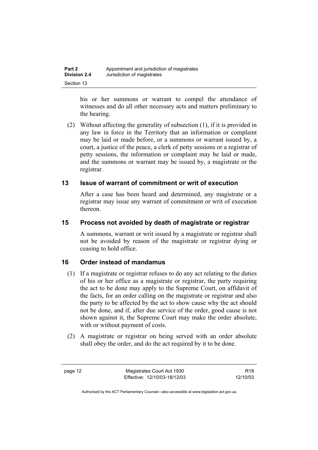| Part 2              | Appointment and jurisdiction of magistrates |
|---------------------|---------------------------------------------|
| <b>Division 2.4</b> | Jurisdiction of magistrates                 |
| Section 13          |                                             |

his or her summons or warrant to compel the attendance of witnesses and do all other necessary acts and matters preliminary to the hearing.

 (2) Without affecting the generality of subsection (1), if it is provided in any law in force in the Territory that an information or complaint may be laid or made before, or a summons or warrant issued by, a court, a justice of the peace, a clerk of petty sessions or a registrar of petty sessions, the information or complaint may be laid or made, and the summons or warrant may be issued by, a magistrate or the registrar.

#### **13 Issue of warrant of commitment or writ of execution**

After a case has been heard and determined, any magistrate or a registrar may issue any warrant of commitment or writ of execution thereon.

#### **15 Process not avoided by death of magistrate or registrar**

A summons, warrant or writ issued by a magistrate or registrar shall not be avoided by reason of the magistrate or registrar dying or ceasing to hold office.

#### **16 Order instead of mandamus**

- (1) If a magistrate or registrar refuses to do any act relating to the duties of his or her office as a magistrate or registrar, the party requiring the act to be done may apply to the Supreme Court, on affidavit of the facts, for an order calling on the magistrate or registrar and also the party to be affected by the act to show cause why the act should not be done, and if, after due service of the order, good cause is not shown against it, the Supreme Court may make the order absolute, with or without payment of costs.
- (2) A magistrate or registrar on being served with an order absolute shall obey the order, and do the act required by it to be done.

page 12 Magistrates Court Act 1930 Effective: 12/10/03-18/12/03

R18 12/10/03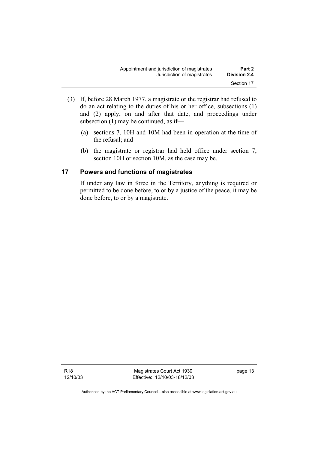- (3) If, before 28 March 1977, a magistrate or the registrar had refused to do an act relating to the duties of his or her office, subsections (1) and (2) apply, on and after that date, and proceedings under subsection (1) may be continued, as if—
	- (a) sections 7, 10H and 10M had been in operation at the time of the refusal; and
	- (b) the magistrate or registrar had held office under section 7, section 10H or section 10M, as the case may be.

#### **17 Powers and functions of magistrates**

If under any law in force in the Territory, anything is required or permitted to be done before, to or by a justice of the peace, it may be done before, to or by a magistrate.

Magistrates Court Act 1930 Effective: 12/10/03-18/12/03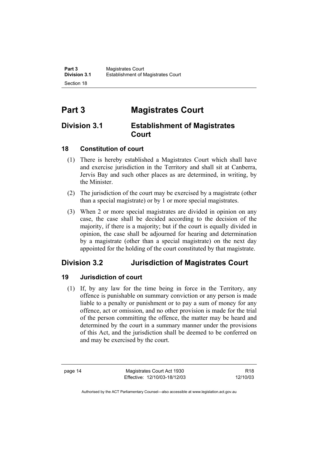# **Part 3 Magistrates Court**

## **Division 3.1 Establishment of Magistrates Court**

## **18 Constitution of court**

- (1) There is hereby established a Magistrates Court which shall have and exercise jurisdiction in the Territory and shall sit at Canberra, Jervis Bay and such other places as are determined, in writing, by the Minister.
- (2) The jurisdiction of the court may be exercised by a magistrate (other than a special magistrate) or by 1 or more special magistrates.
- (3) When 2 or more special magistrates are divided in opinion on any case, the case shall be decided according to the decision of the majority, if there is a majority; but if the court is equally divided in opinion, the case shall be adjourned for hearing and determination by a magistrate (other than a special magistrate) on the next day appointed for the holding of the court constituted by that magistrate.

## **Division 3.2 Jurisdiction of Magistrates Court**

## **19 Jurisdiction of court**

 (1) If, by any law for the time being in force in the Territory, any offence is punishable on summary conviction or any person is made liable to a penalty or punishment or to pay a sum of money for any offence, act or omission, and no other provision is made for the trial of the person committing the offence, the matter may be heard and determined by the court in a summary manner under the provisions of this Act, and the jurisdiction shall be deemed to be conferred on and may be exercised by the court.

page 14 Magistrates Court Act 1930 Effective: 12/10/03-18/12/03

R18 12/10/03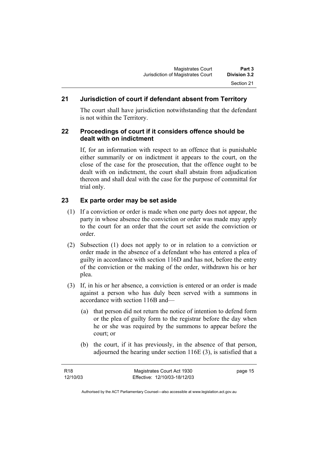## **21 Jurisdiction of court if defendant absent from Territory**

The court shall have jurisdiction notwithstanding that the defendant is not within the Territory.

#### **22 Proceedings of court if it considers offence should be dealt with on indictment**

If, for an information with respect to an offence that is punishable either summarily or on indictment it appears to the court, on the close of the case for the prosecution, that the offence ought to be dealt with on indictment, the court shall abstain from adjudication thereon and shall deal with the case for the purpose of committal for trial only.

## **23 Ex parte order may be set aside**

- (1) If a conviction or order is made when one party does not appear, the party in whose absence the conviction or order was made may apply to the court for an order that the court set aside the conviction or order.
- (2) Subsection (1) does not apply to or in relation to a conviction or order made in the absence of a defendant who has entered a plea of guilty in accordance with section 116D and has not, before the entry of the conviction or the making of the order, withdrawn his or her plea.
- (3) If, in his or her absence, a conviction is entered or an order is made against a person who has duly been served with a summons in accordance with section 116B and—
	- (a) that person did not return the notice of intention to defend form or the plea of guilty form to the registrar before the day when he or she was required by the summons to appear before the court; or
	- (b) the court, if it has previously, in the absence of that person, adjourned the hearing under section 116E (3), is satisfied that a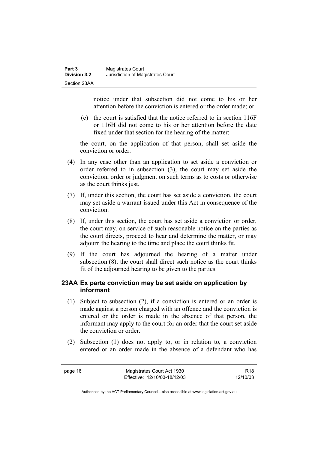notice under that subsection did not come to his or her attention before the conviction is entered or the order made; or

 (c) the court is satisfied that the notice referred to in section 116F or 116H did not come to his or her attention before the date fixed under that section for the hearing of the matter;

the court, on the application of that person, shall set aside the conviction or order.

- (4) In any case other than an application to set aside a conviction or order referred to in subsection (3), the court may set aside the conviction, order or judgment on such terms as to costs or otherwise as the court thinks just.
- (7) If, under this section, the court has set aside a conviction, the court may set aside a warrant issued under this Act in consequence of the conviction.
- (8) If, under this section, the court has set aside a conviction or order, the court may, on service of such reasonable notice on the parties as the court directs, proceed to hear and determine the matter, or may adjourn the hearing to the time and place the court thinks fit.
- (9) If the court has adjourned the hearing of a matter under subsection (8), the court shall direct such notice as the court thinks fit of the adjourned hearing to be given to the parties.

#### **23AA Ex parte conviction may be set aside on application by informant**

- (1) Subject to subsection (2), if a conviction is entered or an order is made against a person charged with an offence and the conviction is entered or the order is made in the absence of that person, the informant may apply to the court for an order that the court set aside the conviction or order.
- (2) Subsection (1) does not apply to, or in relation to, a conviction entered or an order made in the absence of a defendant who has

page 16 Magistrates Court Act 1930 Effective: 12/10/03-18/12/03

R18 12/10/03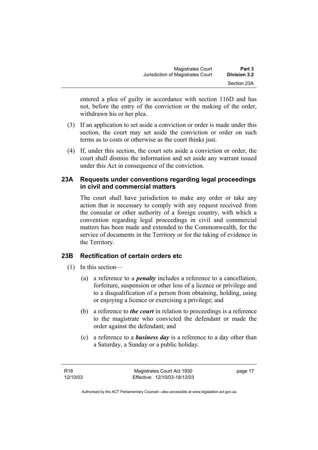| <b>Magistrates Court</b>          | Part 3       |
|-----------------------------------|--------------|
| Jurisdiction of Magistrates Court | Division 3.2 |
|                                   | Section 23A  |

entered a plea of guilty in accordance with section 116D and has not, before the entry of the conviction or the making of the order, withdrawn his or her plea.

- (3) If an application to set aside a conviction or order is made under this section, the court may set aside the conviction or order on such terms as to costs or otherwise as the court thinks just.
- (4) If, under this section, the court sets aside a conviction or order, the court shall dismiss the information and set aside any warrant issued under this Act in consequence of the conviction.

#### **23A Requests under conventions regarding legal proceedings in civil and commercial matters**

The court shall have jurisdiction to make any order or take any action that is necessary to comply with any request received from the consular or other authority of a foreign country, with which a convention regarding legal proceedings in civil and commercial matters has been made and extended to the Commonwealth, for the service of documents in the Territory or for the taking of evidence in the Territory.

#### **23B Rectification of certain orders etc**

- (1) In this section—
	- (a) a reference to a *penalty* includes a reference to a cancellation, forfeiture, suspension or other loss of a licence or privilege and to a disqualification of a person from obtaining, holding, using or enjoying a licence or exercising a privilege; and
	- (b) a reference to *the court* in relation to proceedings is a reference to the magistrate who convicted the defendant or made the order against the defendant; and
	- (c) a reference to a *business day* is a reference to a day other than a Saturday, a Sunday or a public holiday.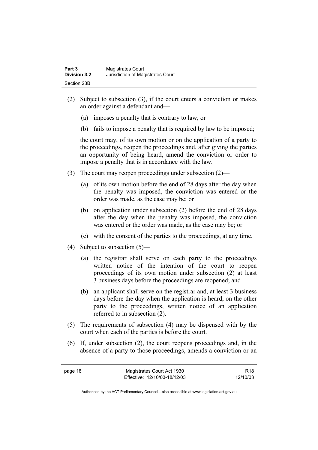- (2) Subject to subsection (3), if the court enters a conviction or makes an order against a defendant and—
	- (a) imposes a penalty that is contrary to law; or
	- (b) fails to impose a penalty that is required by law to be imposed;

the court may, of its own motion or on the application of a party to the proceedings, reopen the proceedings and, after giving the parties an opportunity of being heard, amend the conviction or order to impose a penalty that is in accordance with the law.

- (3) The court may reopen proceedings under subsection (2)—
	- (a) of its own motion before the end of 28 days after the day when the penalty was imposed, the conviction was entered or the order was made, as the case may be; or
	- (b) on application under subsection (2) before the end of 28 days after the day when the penalty was imposed, the conviction was entered or the order was made, as the case may be; or
	- (c) with the consent of the parties to the proceedings, at any time.
- (4) Subject to subsection (5)—
	- (a) the registrar shall serve on each party to the proceedings written notice of the intention of the court to reopen proceedings of its own motion under subsection (2) at least 3 business days before the proceedings are reopened; and
	- (b) an applicant shall serve on the registrar and, at least 3 business days before the day when the application is heard, on the other party to the proceedings, written notice of an application referred to in subsection (2).
- (5) The requirements of subsection (4) may be dispensed with by the court when each of the parties is before the court.
- (6) If, under subsection (2), the court reopens proceedings and, in the absence of a party to those proceedings, amends a conviction or an

R18 12/10/03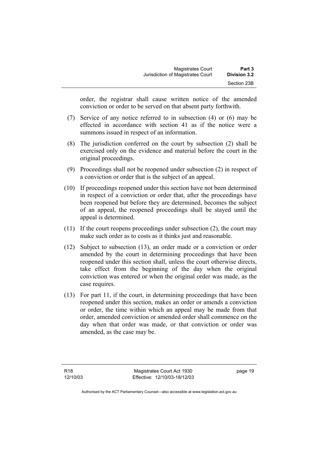| <b>Magistrates Court</b>          | Part 3       |
|-----------------------------------|--------------|
| Jurisdiction of Magistrates Court | Division 3.2 |
|                                   | Section 23B  |

order, the registrar shall cause written notice of the amended conviction or order to be served on that absent party forthwith.

- (7) Service of any notice referred to in subsection (4) or (6) may be effected in accordance with section 41 as if the notice were a summons issued in respect of an information.
- (8) The jurisdiction conferred on the court by subsection (2) shall be exercised only on the evidence and material before the court in the original proceedings.
- (9) Proceedings shall not be reopened under subsection (2) in respect of a conviction or order that is the subject of an appeal.
- (10) If proceedings reopened under this section have not been determined in respect of a conviction or order that, after the proceedings have been reopened but before they are determined, becomes the subject of an appeal, the reopened proceedings shall be stayed until the appeal is determined.
- (11) If the court reopens proceedings under subsection (2), the court may make such order as to costs as it thinks just and reasonable.
- (12) Subject to subsection (13), an order made or a conviction or order amended by the court in determining proceedings that have been reopened under this section shall, unless the court otherwise directs, take effect from the beginning of the day when the original conviction was entered or when the original order was made, as the case requires.
- (13) For part 11, if the court, in determining proceedings that have been reopened under this section, makes an order or amends a conviction or order, the time within which an appeal may be made from that order, amended conviction or amended order shall commence on the day when that order was made, or that conviction or order was amended, as the case may be.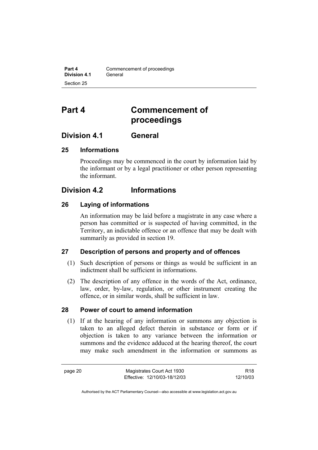# **Part 4 Commencement of proceedings**

## **Division 4.1 General**

#### **25 Informations**

Proceedings may be commenced in the court by information laid by the informant or by a legal practitioner or other person representing the informant.

## **Division 4.2 Informations**

#### **26 Laying of informations**

An information may be laid before a magistrate in any case where a person has committed or is suspected of having committed, in the Territory, an indictable offence or an offence that may be dealt with summarily as provided in section 19.

#### **27 Description of persons and property and of offences**

- (1) Such description of persons or things as would be sufficient in an indictment shall be sufficient in informations.
- (2) The description of any offence in the words of the Act, ordinance, law, order, by-law, regulation, or other instrument creating the offence, or in similar words, shall be sufficient in law.

#### **28 Power of court to amend information**

 (1) If at the hearing of any information or summons any objection is taken to an alleged defect therein in substance or form or if objection is taken to any variance between the information or summons and the evidence adduced at the hearing thereof, the court may make such amendment in the information or summons as

R18 12/10/03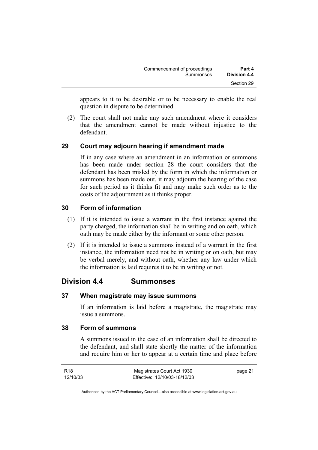| Commencement of proceedings | Part 4       |
|-----------------------------|--------------|
| Summonses                   | Division 4.4 |
|                             | Section 29   |

appears to it to be desirable or to be necessary to enable the real question in dispute to be determined.

 (2) The court shall not make any such amendment where it considers that the amendment cannot be made without injustice to the defendant.

#### **29 Court may adjourn hearing if amendment made**

If in any case where an amendment in an information or summons has been made under section 28 the court considers that the defendant has been misled by the form in which the information or summons has been made out, it may adjourn the hearing of the case for such period as it thinks fit and may make such order as to the costs of the adjournment as it thinks proper.

#### **30 Form of information**

- (1) If it is intended to issue a warrant in the first instance against the party charged, the information shall be in writing and on oath, which oath may be made either by the informant or some other person.
- (2) If it is intended to issue a summons instead of a warrant in the first instance, the information need not be in writing or on oath, but may be verbal merely, and without oath, whether any law under which the information is laid requires it to be in writing or not.

## **Division 4.4 Summonses**

#### **37 When magistrate may issue summons**

If an information is laid before a magistrate, the magistrate may issue a summons.

#### **38 Form of summons**

A summons issued in the case of an information shall be directed to the defendant, and shall state shortly the matter of the information and require him or her to appear at a certain time and place before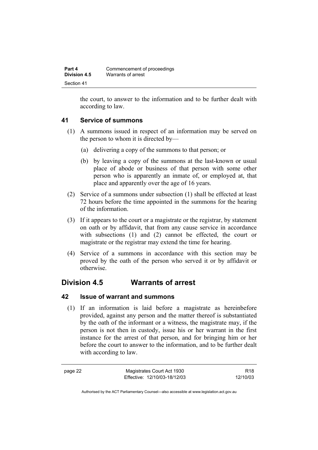| Part 4       | Commencement of proceedings |
|--------------|-----------------------------|
| Division 4.5 | Warrants of arrest          |
| Section 41   |                             |

the court, to answer to the information and to be further dealt with according to law.

#### **41 Service of summons**

- (1) A summons issued in respect of an information may be served on the person to whom it is directed by—
	- (a) delivering a copy of the summons to that person; or
	- (b) by leaving a copy of the summons at the last-known or usual place of abode or business of that person with some other person who is apparently an inmate of, or employed at, that place and apparently over the age of 16 years.
- (2) Service of a summons under subsection (1) shall be effected at least 72 hours before the time appointed in the summons for the hearing of the information.
- (3) If it appears to the court or a magistrate or the registrar, by statement on oath or by affidavit, that from any cause service in accordance with subsections (1) and (2) cannot be effected, the court or magistrate or the registrar may extend the time for hearing.
- (4) Service of a summons in accordance with this section may be proved by the oath of the person who served it or by affidavit or otherwise.

## **Division 4.5 Warrants of arrest**

#### **42 Issue of warrant and summons**

 (1) If an information is laid before a magistrate as hereinbefore provided, against any person and the matter thereof is substantiated by the oath of the informant or a witness, the magistrate may, if the person is not then in custody, issue his or her warrant in the first instance for the arrest of that person, and for bringing him or her before the court to answer to the information, and to be further dealt with according to law.

R18 12/10/03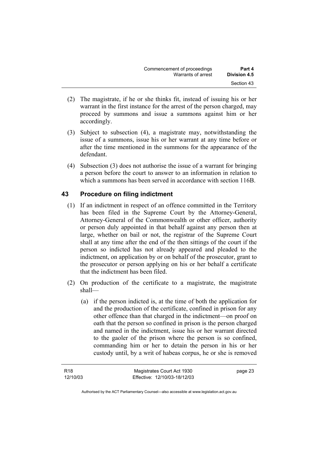| Commencement of proceedings | Part 4              |
|-----------------------------|---------------------|
| Warrants of arrest          | <b>Division 4.5</b> |
|                             | Section 43          |

- (2) The magistrate, if he or she thinks fit, instead of issuing his or her warrant in the first instance for the arrest of the person charged, may proceed by summons and issue a summons against him or her accordingly.
- (3) Subject to subsection (4), a magistrate may, notwithstanding the issue of a summons, issue his or her warrant at any time before or after the time mentioned in the summons for the appearance of the defendant.
- (4) Subsection (3) does not authorise the issue of a warrant for bringing a person before the court to answer to an information in relation to which a summons has been served in accordance with section 116B.

#### **43 Procedure on filing indictment**

- (1) If an indictment in respect of an offence committed in the Territory has been filed in the Supreme Court by the Attorney-General, Attorney-General of the Commonwealth or other officer, authority or person duly appointed in that behalf against any person then at large, whether on bail or not, the registrar of the Supreme Court shall at any time after the end of the then sittings of the court if the person so indicted has not already appeared and pleaded to the indictment, on application by or on behalf of the prosecutor, grant to the prosecutor or person applying on his or her behalf a certificate that the indictment has been filed.
- (2) On production of the certificate to a magistrate, the magistrate shall—
	- (a) if the person indicted is, at the time of both the application for and the production of the certificate, confined in prison for any other offence than that charged in the indictment—on proof on oath that the person so confined in prison is the person charged and named in the indictment, issue his or her warrant directed to the gaoler of the prison where the person is so confined, commanding him or her to detain the person in his or her custody until, by a writ of habeas corpus, he or she is removed

Authorised by the ACT Parliamentary Counsel—also accessible at www.legislation.act.gov.au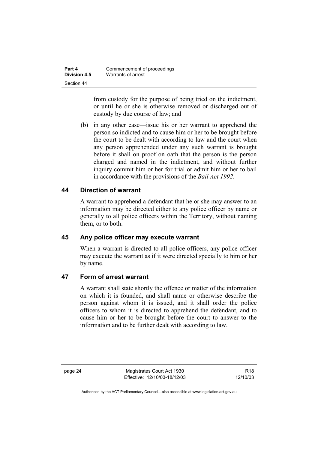| Part 4       | Commencement of proceedings |
|--------------|-----------------------------|
| Division 4.5 | Warrants of arrest          |
| Section 44   |                             |

from custody for the purpose of being tried on the indictment, or until he or she is otherwise removed or discharged out of custody by due course of law; and

 (b) in any other case—issue his or her warrant to apprehend the person so indicted and to cause him or her to be brought before the court to be dealt with according to law and the court when any person apprehended under any such warrant is brought before it shall on proof on oath that the person is the person charged and named in the indictment, and without further inquiry commit him or her for trial or admit him or her to bail in accordance with the provisions of the *Bail Act 1992*.

#### **44 Direction of warrant**

A warrant to apprehend a defendant that he or she may answer to an information may be directed either to any police officer by name or generally to all police officers within the Territory, without naming them, or to both.

#### **45 Any police officer may execute warrant**

When a warrant is directed to all police officers, any police officer may execute the warrant as if it were directed specially to him or her by name.

#### **47 Form of arrest warrant**

A warrant shall state shortly the offence or matter of the information on which it is founded, and shall name or otherwise describe the person against whom it is issued, and it shall order the police officers to whom it is directed to apprehend the defendant, and to cause him or her to be brought before the court to answer to the information and to be further dealt with according to law.

page 24 Magistrates Court Act 1930 Effective: 12/10/03-18/12/03

R18 12/10/03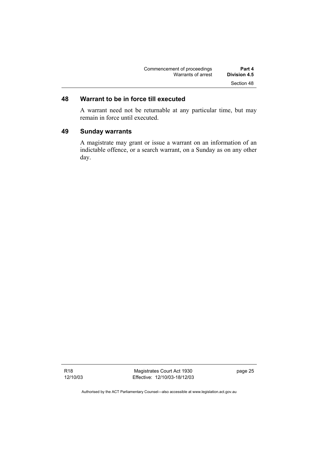| Commencement of proceedings | Part 4       |
|-----------------------------|--------------|
| Warrants of arrest          | Division 4.5 |
|                             | Section 48   |

### **48 Warrant to be in force till executed**

A warrant need not be returnable at any particular time, but may remain in force until executed.

#### **49 Sunday warrants**

A magistrate may grant or issue a warrant on an information of an indictable offence, or a search warrant, on a Sunday as on any other day.

R18 12/10/03

Magistrates Court Act 1930 Effective: 12/10/03-18/12/03 page 25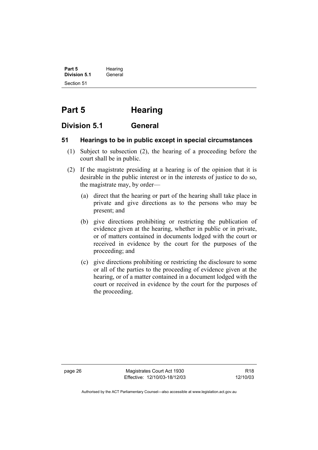**Part 5** Hearing **Division 5.1** General Section 51

# **Part 5 Hearing**

### **Division 5.1 General**

#### **51 Hearings to be in public except in special circumstances**

- (1) Subject to subsection (2), the hearing of a proceeding before the court shall be in public.
- (2) If the magistrate presiding at a hearing is of the opinion that it is desirable in the public interest or in the interests of justice to do so, the magistrate may, by order—
	- (a) direct that the hearing or part of the hearing shall take place in private and give directions as to the persons who may be present; and
	- (b) give directions prohibiting or restricting the publication of evidence given at the hearing, whether in public or in private, or of matters contained in documents lodged with the court or received in evidence by the court for the purposes of the proceeding; and
	- (c) give directions prohibiting or restricting the disclosure to some or all of the parties to the proceeding of evidence given at the hearing, or of a matter contained in a document lodged with the court or received in evidence by the court for the purposes of the proceeding.

page 26 Magistrates Court Act 1930 Effective: 12/10/03-18/12/03

R18 12/10/03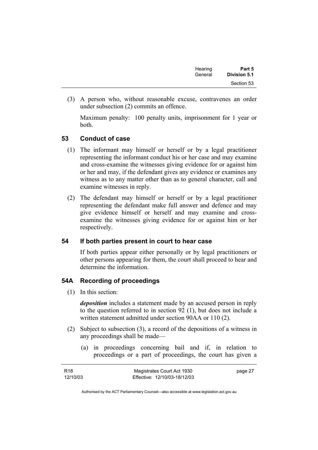| Hearing | Part 5       |
|---------|--------------|
| General | Division 5.1 |
|         | Section 53   |

 (3) A person who, without reasonable excuse, contravenes an order under subsection (2) commits an offence.

Maximum penalty: 100 penalty units, imprisonment for 1 year or both.

#### **53 Conduct of case**

- (1) The informant may himself or herself or by a legal practitioner representing the informant conduct his or her case and may examine and cross-examine the witnesses giving evidence for or against him or her and may, if the defendant gives any evidence or examines any witness as to any matter other than as to general character, call and examine witnesses in reply.
- (2) The defendant may himself or herself or by a legal practitioner representing the defendant make full answer and defence and may give evidence himself or herself and may examine and crossexamine the witnesses giving evidence for or against him or her respectively.

#### **54 If both parties present in court to hear case**

If both parties appear either personally or by legal practitioners or other persons appearing for them, the court shall proceed to hear and determine the information.

#### **54A Recording of proceedings**

(1) In this section:

*deposition* includes a statement made by an accused person in reply to the question referred to in section 92 (1), but does not include a written statement admitted under section 90AA or 110 (2).

- (2) Subject to subsection (3), a record of the depositions of a witness in any proceedings shall be made—
	- (a) in proceedings concerning bail and if, in relation to proceedings or a part of proceedings, the court has given a

| R <sub>18</sub> | Magistrates Court Act 1930   | page 27 |
|-----------------|------------------------------|---------|
| 12/10/03        | Effective: 12/10/03-18/12/03 |         |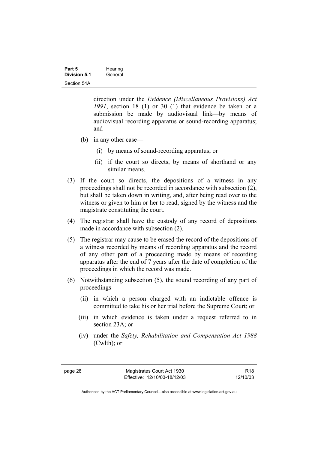| Part 5              | Hearing |
|---------------------|---------|
| <b>Division 5.1</b> | General |
| Section 54A         |         |

direction under the *Evidence (Miscellaneous Provisions) Act 1991*, section 18 (1) or 30 (1) that evidence be taken or a submission be made by audiovisual link—by means of audiovisual recording apparatus or sound-recording apparatus; and

- (b) in any other case—
	- (i) by means of sound-recording apparatus; or
	- (ii) if the court so directs, by means of shorthand or any similar means.
- (3) If the court so directs, the depositions of a witness in any proceedings shall not be recorded in accordance with subsection (2), but shall be taken down in writing, and, after being read over to the witness or given to him or her to read, signed by the witness and the magistrate constituting the court.
- (4) The registrar shall have the custody of any record of depositions made in accordance with subsection (2).
- (5) The registrar may cause to be erased the record of the depositions of a witness recorded by means of recording apparatus and the record of any other part of a proceeding made by means of recording apparatus after the end of 7 years after the date of completion of the proceedings in which the record was made.
- (6) Notwithstanding subsection (5), the sound recording of any part of proceedings—
	- (ii) in which a person charged with an indictable offence is committed to take his or her trial before the Supreme Court; or
	- (iii) in which evidence is taken under a request referred to in section 23A; or
	- (iv) under the *Safety, Rehabilitation and Compensation Act 1988* (Cwlth); or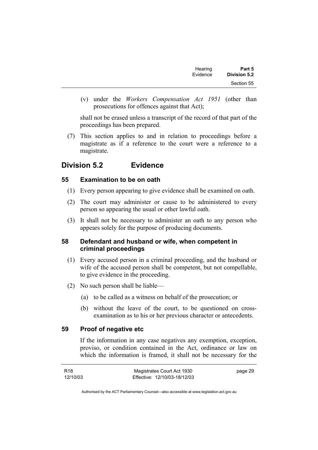| Part 5              | Hearing  |
|---------------------|----------|
| <b>Division 5.2</b> | Evidence |
| Section 55          |          |

 (v) under the *Workers Compensation Act 1951* (other than prosecutions for offences against that Act);

shall not be erased unless a transcript of the record of that part of the proceedings has been prepared.

 (7) This section applies to and in relation to proceedings before a magistrate as if a reference to the court were a reference to a magistrate.

# **Division 5.2 Evidence**

#### **55 Examination to be on oath**

- (1) Every person appearing to give evidence shall be examined on oath.
- (2) The court may administer or cause to be administered to every person so appearing the usual or other lawful oath.
- (3) It shall not be necessary to administer an oath to any person who appears solely for the purpose of producing documents.

#### **58 Defendant and husband or wife, when competent in criminal proceedings**

- (1) Every accused person in a criminal proceeding, and the husband or wife of the accused person shall be competent, but not compellable, to give evidence in the proceeding.
- (2) No such person shall be liable—
	- (a) to be called as a witness on behalf of the prosecution; or
	- (b) without the leave of the court, to be questioned on crossexamination as to his or her previous character or antecedents.

#### **59 Proof of negative etc**

If the information in any case negatives any exemption, exception, proviso, or condition contained in the Act, ordinance or law on which the information is framed, it shall not be necessary for the

| R <sub>18</sub> | Magistrates Court Act 1930   | page 29 |
|-----------------|------------------------------|---------|
| 12/10/03        | Effective: 12/10/03-18/12/03 |         |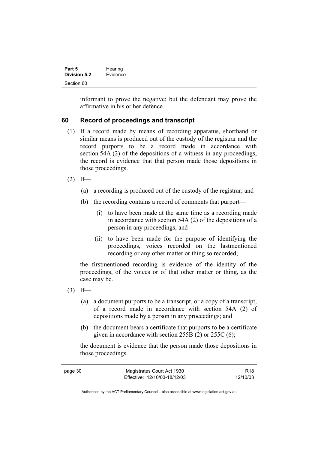| Part 5              | Hearing  |
|---------------------|----------|
| <b>Division 5.2</b> | Evidence |
| Section 60          |          |

informant to prove the negative; but the defendant may prove the affirmative in his or her defence.

#### **60 Record of proceedings and transcript**

- (1) If a record made by means of recording apparatus, shorthand or similar means is produced out of the custody of the registrar and the record purports to be a record made in accordance with section 54A (2) of the depositions of a witness in any proceedings, the record is evidence that that person made those depositions in those proceedings.
- $(2)$  If—
	- (a) a recording is produced out of the custody of the registrar; and
	- (b) the recording contains a record of comments that purport—
		- (i) to have been made at the same time as a recording made in accordance with section 54A (2) of the depositions of a person in any proceedings; and
		- (ii) to have been made for the purpose of identifying the proceedings, voices recorded on the lastmentioned recording or any other matter or thing so recorded;

the firstmentioned recording is evidence of the identity of the proceedings, of the voices or of that other matter or thing, as the case may be.

- $(3)$  If—
	- (a) a document purports to be a transcript, or a copy of a transcript, of a record made in accordance with section 54A (2) of depositions made by a person in any proceedings; and
	- (b) the document bears a certificate that purports to be a certificate given in accordance with section 255B (2) or 255C (6);

the document is evidence that the person made those depositions in those proceedings.

| page 30 | Magistrates Court Act 1930   | R18      |
|---------|------------------------------|----------|
|         | Effective: 12/10/03-18/12/03 | 12/10/03 |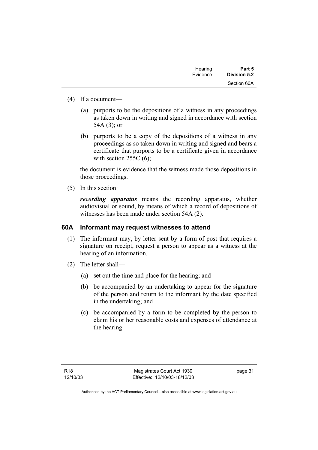| Hearing  | Part 5       |
|----------|--------------|
| Evidence | Division 5.2 |
|          | Section 60A  |

- (4) If a document—
	- (a) purports to be the depositions of a witness in any proceedings as taken down in writing and signed in accordance with section 54A (3); or
	- (b) purports to be a copy of the depositions of a witness in any proceedings as so taken down in writing and signed and bears a certificate that purports to be a certificate given in accordance with section  $255C(6)$ ;

the document is evidence that the witness made those depositions in those proceedings.

(5) In this section:

*recording apparatus* means the recording apparatus, whether audiovisual or sound, by means of which a record of depositions of witnesses has been made under section 54A (2).

#### **60A Informant may request witnesses to attend**

- (1) The informant may, by letter sent by a form of post that requires a signature on receipt, request a person to appear as a witness at the hearing of an information.
- (2) The letter shall—
	- (a) set out the time and place for the hearing; and
	- (b) be accompanied by an undertaking to appear for the signature of the person and return to the informant by the date specified in the undertaking; and
	- (c) be accompanied by a form to be completed by the person to claim his or her reasonable costs and expenses of attendance at the hearing.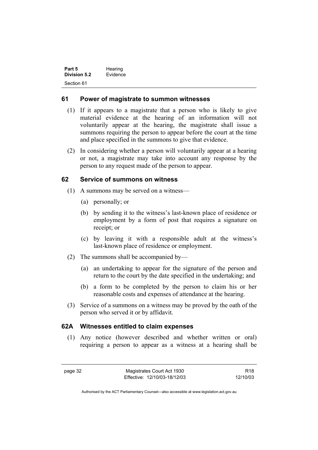| Part 5       | Hearing  |
|--------------|----------|
| Division 5.2 | Evidence |
| Section 61   |          |

#### **61 Power of magistrate to summon witnesses**

- (1) If it appears to a magistrate that a person who is likely to give material evidence at the hearing of an information will not voluntarily appear at the hearing, the magistrate shall issue a summons requiring the person to appear before the court at the time and place specified in the summons to give that evidence.
- (2) In considering whether a person will voluntarily appear at a hearing or not, a magistrate may take into account any response by the person to any request made of the person to appear.

#### **62 Service of summons on witness**

- (1) A summons may be served on a witness—
	- (a) personally; or
	- (b) by sending it to the witness's last-known place of residence or employment by a form of post that requires a signature on receipt; or
	- (c) by leaving it with a responsible adult at the witness's last-known place of residence or employment.
- (2) The summons shall be accompanied by—
	- (a) an undertaking to appear for the signature of the person and return to the court by the date specified in the undertaking; and
	- (b) a form to be completed by the person to claim his or her reasonable costs and expenses of attendance at the hearing.
- (3) Service of a summons on a witness may be proved by the oath of the person who served it or by affidavit.

#### **62A Witnesses entitled to claim expenses**

 (1) Any notice (however described and whether written or oral) requiring a person to appear as a witness at a hearing shall be

R18 12/10/03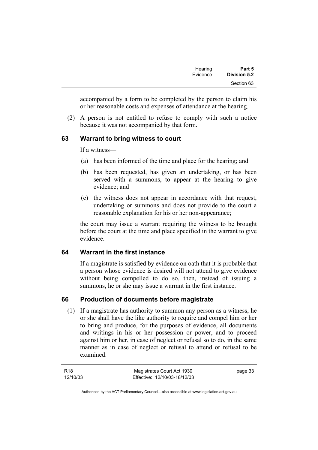| Part 5              | Hearing  |
|---------------------|----------|
| <b>Division 5.2</b> | Evidence |
| Section 63          |          |

accompanied by a form to be completed by the person to claim his or her reasonable costs and expenses of attendance at the hearing.

 (2) A person is not entitled to refuse to comply with such a notice because it was not accompanied by that form.

#### **63 Warrant to bring witness to court**

If a witness—

- (a) has been informed of the time and place for the hearing; and
- (b) has been requested, has given an undertaking, or has been served with a summons, to appear at the hearing to give evidence; and
- (c) the witness does not appear in accordance with that request, undertaking or summons and does not provide to the court a reasonable explanation for his or her non-appearance;

the court may issue a warrant requiring the witness to be brought before the court at the time and place specified in the warrant to give evidence.

#### **64 Warrant in the first instance**

If a magistrate is satisfied by evidence on oath that it is probable that a person whose evidence is desired will not attend to give evidence without being compelled to do so, then, instead of issuing a summons, he or she may issue a warrant in the first instance.

#### **66 Production of documents before magistrate**

 (1) If a magistrate has authority to summon any person as a witness, he or she shall have the like authority to require and compel him or her to bring and produce, for the purposes of evidence, all documents and writings in his or her possession or power, and to proceed against him or her, in case of neglect or refusal so to do, in the same manner as in case of neglect or refusal to attend or refusal to be examined.

page 33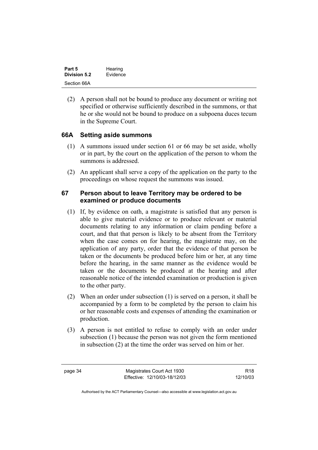| Part 5       | Hearing  |  |
|--------------|----------|--|
| Division 5.2 | Evidence |  |
| Section 66A  |          |  |

 (2) A person shall not be bound to produce any document or writing not specified or otherwise sufficiently described in the summons, or that he or she would not be bound to produce on a subpoena duces tecum in the Supreme Court.

#### **66A Setting aside summons**

- (1) A summons issued under section 61 or 66 may be set aside, wholly or in part, by the court on the application of the person to whom the summons is addressed.
- (2) An applicant shall serve a copy of the application on the party to the proceedings on whose request the summons was issued.

#### **67 Person about to leave Territory may be ordered to be examined or produce documents**

- (1) If, by evidence on oath, a magistrate is satisfied that any person is able to give material evidence or to produce relevant or material documents relating to any information or claim pending before a court, and that that person is likely to be absent from the Territory when the case comes on for hearing, the magistrate may, on the application of any party, order that the evidence of that person be taken or the documents be produced before him or her, at any time before the hearing, in the same manner as the evidence would be taken or the documents be produced at the hearing and after reasonable notice of the intended examination or production is given to the other party.
- (2) When an order under subsection (1) is served on a person, it shall be accompanied by a form to be completed by the person to claim his or her reasonable costs and expenses of attending the examination or production.
- (3) A person is not entitled to refuse to comply with an order under subsection (1) because the person was not given the form mentioned in subsection (2) at the time the order was served on him or her.

page 34 Magistrates Court Act 1930 Effective: 12/10/03-18/12/03

R18 12/10/03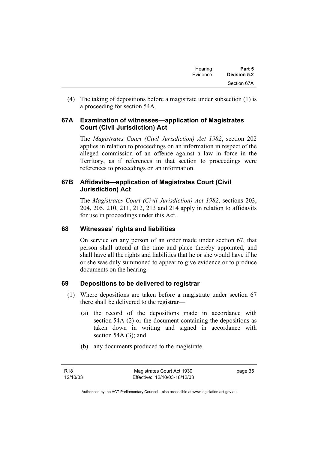| Hearing  | Part 5       |
|----------|--------------|
| Evidence | Division 5.2 |
|          | Section 67A  |

 (4) The taking of depositions before a magistrate under subsection (1) is a proceeding for section 54A.

#### **67A Examination of witnesses—application of Magistrates Court (Civil Jurisdiction) Act**

The *Magistrates Court (Civil Jurisdiction) Act 1982*, section 202 applies in relation to proceedings on an information in respect of the alleged commission of an offence against a law in force in the Territory, as if references in that section to proceedings were references to proceedings on an information.

#### **67B Affidavits—application of Magistrates Court (Civil Jurisdiction) Act**

The *Magistrates Court (Civil Jurisdiction) Act 1982*, sections 203, 204, 205, 210, 211, 212, 213 and 214 apply in relation to affidavits for use in proceedings under this Act.

#### **68 Witnesses' rights and liabilities**

On service on any person of an order made under section 67, that person shall attend at the time and place thereby appointed, and shall have all the rights and liabilities that he or she would have if he or she was duly summoned to appear to give evidence or to produce documents on the hearing.

#### **69 Depositions to be delivered to registrar**

- (1) Where depositions are taken before a magistrate under section 67 there shall be delivered to the registrar—
	- (a) the record of the depositions made in accordance with section 54A (2) or the document containing the depositions as taken down in writing and signed in accordance with section 54A (3); and
	- (b) any documents produced to the magistrate.

page 35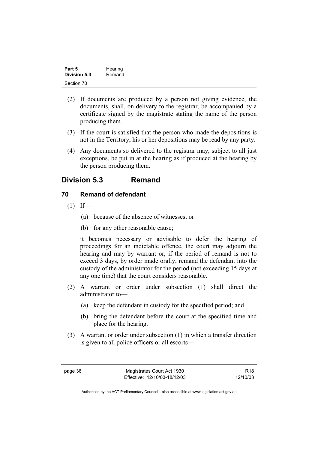| Part 5       | Hearing |
|--------------|---------|
| Division 5.3 | Remand  |
| Section 70   |         |

- (2) If documents are produced by a person not giving evidence, the documents, shall, on delivery to the registrar, be accompanied by a certificate signed by the magistrate stating the name of the person producing them.
- (3) If the court is satisfied that the person who made the depositions is not in the Territory, his or her depositions may be read by any party.
- (4) Any documents so delivered to the registrar may, subject to all just exceptions, be put in at the hearing as if produced at the hearing by the person producing them.

## **Division 5.3 Remand**

#### **70 Remand of defendant**

- $(1)$  If—
	- (a) because of the absence of witnesses; or
	- (b) for any other reasonable cause;

it becomes necessary or advisable to defer the hearing of proceedings for an indictable offence, the court may adjourn the hearing and may by warrant or, if the period of remand is not to exceed 3 days, by order made orally, remand the defendant into the custody of the administrator for the period (not exceeding 15 days at any one time) that the court considers reasonable.

- (2) A warrant or order under subsection (1) shall direct the administrator to—
	- (a) keep the defendant in custody for the specified period; and
	- (b) bring the defendant before the court at the specified time and place for the hearing.
- (3) A warrant or order under subsection (1) in which a transfer direction is given to all police officers or all escorts—

R18 12/10/03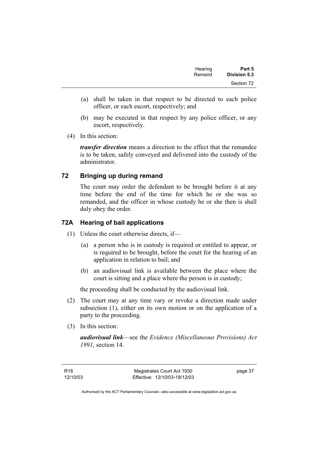| Hearing<br>Remand | Part 5<br><b>Division 5.3</b> |
|-------------------|-------------------------------|
|                   | Section 72                    |

- (a) shall be taken in that respect to be directed to each police officer, or each escort, respectively; and
- (b) may be executed in that respect by any police officer, or any escort, respectively.
- (4) In this section:

*transfer direction* means a direction to the effect that the remandee is to be taken, safely conveyed and delivered into the custody of the administrator.

#### **72 Bringing up during remand**

The court may order the defendant to be brought before it at any time before the end of the time for which he or she was so remanded, and the officer in whose custody he or she then is shall duly obey the order.

#### **72A Hearing of bail applications**

- (1) Unless the court otherwise directs, if—
	- (a) a person who is in custody is required or entitled to appear, or is required to be brought, before the court for the hearing of an application in relation to bail; and
	- (b) an audiovisual link is available between the place where the court is sitting and a place where the person is in custody;

the proceeding shall be conducted by the audiovisual link.

- (2) The court may at any time vary or revoke a direction made under subsection (1), either on its own motion or on the application of a party to the proceeding.
- (3) In this section:

*audiovisual link*—see the *Evidence (Miscellaneous Provisions) Act 1991*, section 14.

page 37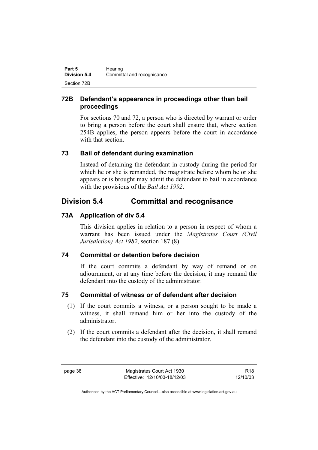| Part 5              | Hearing                    |
|---------------------|----------------------------|
| <b>Division 5.4</b> | Committal and recognisance |
| Section 72B         |                            |

### **72B Defendant's appearance in proceedings other than bail proceedings**

For sections 70 and 72, a person who is directed by warrant or order to bring a person before the court shall ensure that, where section 254B applies, the person appears before the court in accordance with that section.

### **73 Bail of defendant during examination**

Instead of detaining the defendant in custody during the period for which he or she is remanded, the magistrate before whom he or she appears or is brought may admit the defendant to bail in accordance with the provisions of the *Bail Act 1992*.

# **Division 5.4 Committal and recognisance**

### **73A Application of div 5.4**

This division applies in relation to a person in respect of whom a warrant has been issued under the *Magistrates Court (Civil Jurisdiction) Act 1982*, section 187 (8).

### **74 Committal or detention before decision**

If the court commits a defendant by way of remand or on adjournment, or at any time before the decision, it may remand the defendant into the custody of the administrator.

### **75 Committal of witness or of defendant after decision**

- (1) If the court commits a witness, or a person sought to be made a witness, it shall remand him or her into the custody of the administrator.
- (2) If the court commits a defendant after the decision, it shall remand the defendant into the custody of the administrator.

R18 12/10/03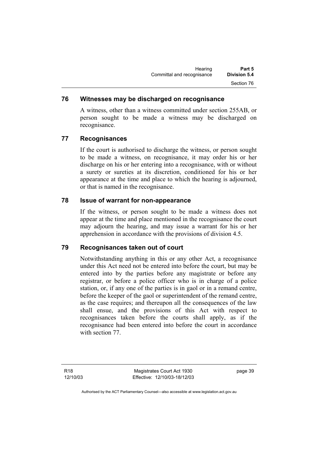#### **76 Witnesses may be discharged on recognisance**

A witness, other than a witness committed under section 255AB, or person sought to be made a witness may be discharged on recognisance.

#### **77 Recognisances**

If the court is authorised to discharge the witness, or person sought to be made a witness, on recognisance, it may order his or her discharge on his or her entering into a recognisance, with or without a surety or sureties at its discretion, conditioned for his or her appearance at the time and place to which the hearing is adjourned, or that is named in the recognisance.

#### **78 Issue of warrant for non-appearance**

If the witness, or person sought to be made a witness does not appear at the time and place mentioned in the recognisance the court may adjourn the hearing, and may issue a warrant for his or her apprehension in accordance with the provisions of division 4.5.

#### **79 Recognisances taken out of court**

Notwithstanding anything in this or any other Act, a recognisance under this Act need not be entered into before the court, but may be entered into by the parties before any magistrate or before any registrar, or before a police officer who is in charge of a police station, or, if any one of the parties is in gaol or in a remand centre, before the keeper of the gaol or superintendent of the remand centre, as the case requires; and thereupon all the consequences of the law shall ensue, and the provisions of this Act with respect to recognisances taken before the courts shall apply, as if the recognisance had been entered into before the court in accordance with section 77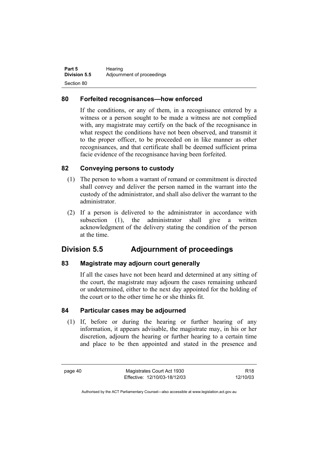| Part 5              | Hearing                    |
|---------------------|----------------------------|
| <b>Division 5.5</b> | Adjournment of proceedings |
| Section 80          |                            |

#### **80 Forfeited recognisances—how enforced**

If the conditions, or any of them, in a recognisance entered by a witness or a person sought to be made a witness are not complied with, any magistrate may certify on the back of the recognisance in what respect the conditions have not been observed, and transmit it to the proper officer, to be proceeded on in like manner as other recognisances, and that certificate shall be deemed sufficient prima facie evidence of the recognisance having been forfeited.

#### **82 Conveying persons to custody**

- (1) The person to whom a warrant of remand or commitment is directed shall convey and deliver the person named in the warrant into the custody of the administrator, and shall also deliver the warrant to the administrator.
- (2) If a person is delivered to the administrator in accordance with subsection (1), the administrator shall give a written acknowledgment of the delivery stating the condition of the person at the time.

## **Division 5.5 Adjournment of proceedings**

#### **83 Magistrate may adjourn court generally**

If all the cases have not been heard and determined at any sitting of the court, the magistrate may adjourn the cases remaining unheard or undetermined, either to the next day appointed for the holding of the court or to the other time he or she thinks fit.

#### **84 Particular cases may be adjourned**

 (1) If, before or during the hearing or further hearing of any information, it appears advisable, the magistrate may, in his or her discretion, adjourn the hearing or further hearing to a certain time and place to be then appointed and stated in the presence and

page 40 Magistrates Court Act 1930 Effective: 12/10/03-18/12/03

R18 12/10/03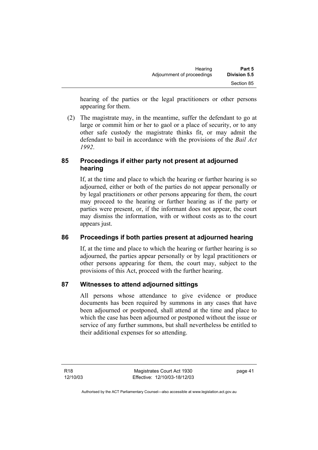hearing of the parties or the legal practitioners or other persons appearing for them.

 (2) The magistrate may, in the meantime, suffer the defendant to go at large or commit him or her to gaol or a place of security, or to any other safe custody the magistrate thinks fit, or may admit the defendant to bail in accordance with the provisions of the *Bail Act 1992*.

### **85 Proceedings if either party not present at adjourned hearing**

If, at the time and place to which the hearing or further hearing is so adjourned, either or both of the parties do not appear personally or by legal practitioners or other persons appearing for them, the court may proceed to the hearing or further hearing as if the party or parties were present, or, if the informant does not appear, the court may dismiss the information, with or without costs as to the court appears just.

### **86 Proceedings if both parties present at adjourned hearing**

If, at the time and place to which the hearing or further hearing is so adjourned, the parties appear personally or by legal practitioners or other persons appearing for them, the court may, subject to the provisions of this Act, proceed with the further hearing.

### **87 Witnesses to attend adjourned sittings**

All persons whose attendance to give evidence or produce documents has been required by summons in any cases that have been adjourned or postponed, shall attend at the time and place to which the case has been adjourned or postponed without the issue or service of any further summons, but shall nevertheless be entitled to their additional expenses for so attending.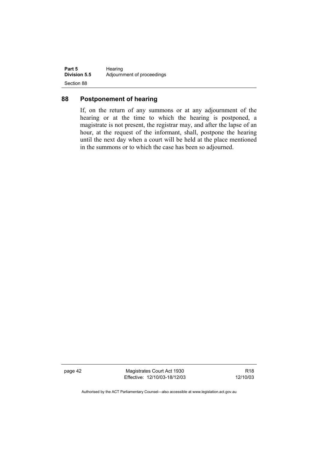| Part 5              | Hearing                    |
|---------------------|----------------------------|
| <b>Division 5.5</b> | Adjournment of proceedings |
| Section 88          |                            |

#### **88 Postponement of hearing**

If, on the return of any summons or at any adjournment of the hearing or at the time to which the hearing is postponed, a magistrate is not present, the registrar may, and after the lapse of an hour, at the request of the informant, shall, postpone the hearing until the next day when a court will be held at the place mentioned in the summons or to which the case has been so adjourned.

page 42 Magistrates Court Act 1930 Effective: 12/10/03-18/12/03

R18 12/10/03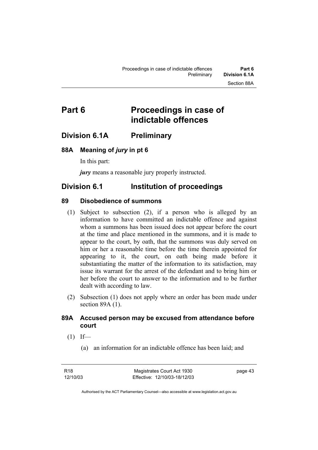# **Part 6 Proceedings in case of indictable offences**

### **Division 6.1A Preliminary**

#### **88A Meaning of** *jury* **in pt 6**

In this part:

*jury* means a reasonable jury properly instructed.

### **Division 6.1 Institution of proceedings**

#### **89 Disobedience of summons**

- (1) Subject to subsection (2), if a person who is alleged by an information to have committed an indictable offence and against whom a summons has been issued does not appear before the court at the time and place mentioned in the summons, and it is made to appear to the court, by oath, that the summons was duly served on him or her a reasonable time before the time therein appointed for appearing to it, the court, on oath being made before it substantiating the matter of the information to its satisfaction, may issue its warrant for the arrest of the defendant and to bring him or her before the court to answer to the information and to be further dealt with according to law.
- (2) Subsection (1) does not apply where an order has been made under section 89A (1).

#### **89A Accused person may be excused from attendance before court**

- $(1)$  If—
	- (a) an information for an indictable offence has been laid; and

page 43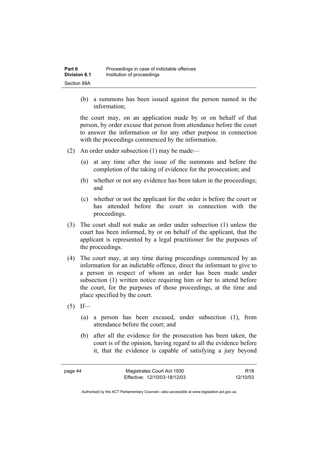(b) a summons has been issued against the person named in the information;

the court may, on an application made by or on behalf of that person, by order excuse that person from attendance before the court to answer the information or for any other purpose in connection with the proceedings commenced by the information.

- (2) An order under subsection (1) may be made—
	- (a) at any time after the issue of the summons and before the completion of the taking of evidence for the prosecution; and
	- (b) whether or not any evidence has been taken in the proceedings; and
	- (c) whether or not the applicant for the order is before the court or has attended before the court in connection with the proceedings.
- (3) The court shall not make an order under subsection (1) unless the court has been informed, by or on behalf of the applicant, that the applicant is represented by a legal practitioner for the purposes of the proceedings.
- (4) The court may, at any time during proceedings commenced by an information for an indictable offence, direct the informant to give to a person in respect of whom an order has been made under subsection (1) written notice requiring him or her to attend before the court, for the purposes of those proceedings, at the time and place specified by the court.
- $(5)$  If—
	- (a) a person has been excused, under subsection (1), from attendance before the court; and
	- (b) after all the evidence for the prosecution has been taken, the court is of the opinion, having regard to all the evidence before it, that the evidence is capable of satisfying a jury beyond

| page 44 | Magistrates Court Act 1930   | R <sub>18</sub> |
|---------|------------------------------|-----------------|
|         | Effective: 12/10/03-18/12/03 | 12/10/03        |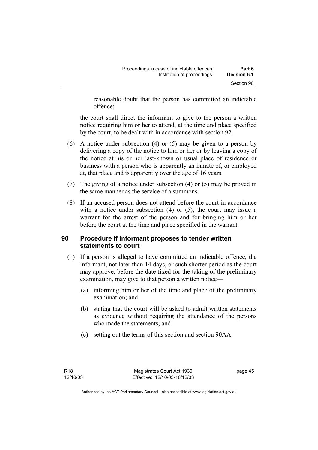reasonable doubt that the person has committed an indictable offence;

the court shall direct the informant to give to the person a written notice requiring him or her to attend, at the time and place specified by the court, to be dealt with in accordance with section 92.

- (6) A notice under subsection (4) or (5) may be given to a person by delivering a copy of the notice to him or her or by leaving a copy of the notice at his or her last-known or usual place of residence or business with a person who is apparently an inmate of, or employed at, that place and is apparently over the age of 16 years.
- (7) The giving of a notice under subsection (4) or (5) may be proved in the same manner as the service of a summons.
- (8) If an accused person does not attend before the court in accordance with a notice under subsection (4) or (5), the court may issue a warrant for the arrest of the person and for bringing him or her before the court at the time and place specified in the warrant.

#### **90 Procedure if informant proposes to tender written statements to court**

- (1) If a person is alleged to have committed an indictable offence, the informant, not later than 14 days, or such shorter period as the court may approve, before the date fixed for the taking of the preliminary examination, may give to that person a written notice—
	- (a) informing him or her of the time and place of the preliminary examination; and
	- (b) stating that the court will be asked to admit written statements as evidence without requiring the attendance of the persons who made the statements; and
	- (c) setting out the terms of this section and section 90AA.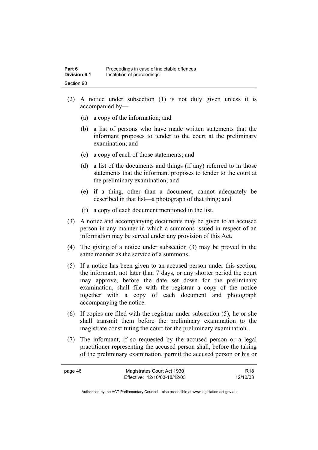- (2) A notice under subsection (1) is not duly given unless it is accompanied by—
	- (a) a copy of the information; and
	- (b) a list of persons who have made written statements that the informant proposes to tender to the court at the preliminary examination; and
	- (c) a copy of each of those statements; and
	- (d) a list of the documents and things (if any) referred to in those statements that the informant proposes to tender to the court at the preliminary examination; and
	- (e) if a thing, other than a document, cannot adequately be described in that list—a photograph of that thing; and
	- (f) a copy of each document mentioned in the list.
- (3) A notice and accompanying documents may be given to an accused person in any manner in which a summons issued in respect of an information may be served under any provision of this Act.
- (4) The giving of a notice under subsection (3) may be proved in the same manner as the service of a summons.
- (5) If a notice has been given to an accused person under this section, the informant, not later than 7 days, or any shorter period the court may approve, before the date set down for the preliminary examination, shall file with the registrar a copy of the notice together with a copy of each document and photograph accompanying the notice.
- (6) If copies are filed with the registrar under subsection (5), he or she shall transmit them before the preliminary examination to the magistrate constituting the court for the preliminary examination.
- (7) The informant, if so requested by the accused person or a legal practitioner representing the accused person shall, before the taking of the preliminary examination, permit the accused person or his or

| page 46 | Magistrates Court Act 1930   | R <sub>18</sub> |
|---------|------------------------------|-----------------|
|         | Effective: 12/10/03-18/12/03 | 12/10/03        |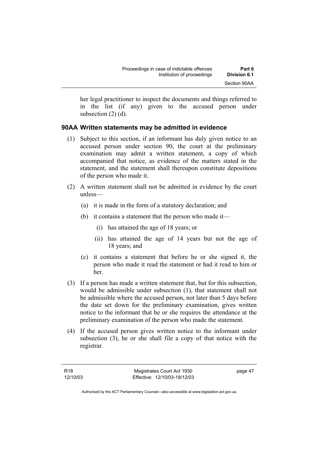her legal practitioner to inspect the documents and things referred to in the list (if any) given to the accused person under subsection (2) (d).

#### **90AA Written statements may be admitted in evidence**

- (1) Subject to this section, if an informant has duly given notice to an accused person under section 90, the court at the preliminary examination may admit a written statement, a copy of which accompanied that notice, as evidence of the matters stated in the statement, and the statement shall thereupon constitute depositions of the person who made it.
- (2) A written statement shall not be admitted in evidence by the court unless—
	- (a) it is made in the form of a statutory declaration; and
	- (b) it contains a statement that the person who made it—
		- (i) has attained the age of 18 years; or
		- (ii) has attained the age of 14 years but not the age of 18 years; and
	- (c) it contains a statement that before he or she signed it, the person who made it read the statement or had it read to him or her.
- (3) If a person has made a written statement that, but for this subsection, would be admissible under subsection (1), that statement shall not be admissible where the accused person, not later than 5 days before the date set down for the preliminary examination, gives written notice to the informant that he or she requires the attendance at the preliminary examination of the person who made the statement.
- (4) If the accused person gives written notice to the informant under subsection (3), he or she shall file a copy of that notice with the registrar.

page 47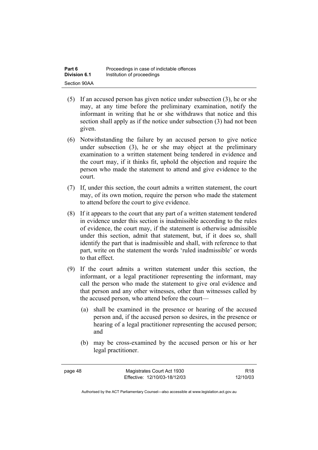- (5) If an accused person has given notice under subsection (3), he or she may, at any time before the preliminary examination, notify the informant in writing that he or she withdraws that notice and this section shall apply as if the notice under subsection (3) had not been given.
- (6) Notwithstanding the failure by an accused person to give notice under subsection (3), he or she may object at the preliminary examination to a written statement being tendered in evidence and the court may, if it thinks fit, uphold the objection and require the person who made the statement to attend and give evidence to the court.
- (7) If, under this section, the court admits a written statement, the court may, of its own motion, require the person who made the statement to attend before the court to give evidence.
- (8) If it appears to the court that any part of a written statement tendered in evidence under this section is inadmissible according to the rules of evidence, the court may, if the statement is otherwise admissible under this section, admit that statement, but, if it does so, shall identify the part that is inadmissible and shall, with reference to that part, write on the statement the words 'ruled inadmissible' or words to that effect.
- (9) If the court admits a written statement under this section, the informant, or a legal practitioner representing the informant, may call the person who made the statement to give oral evidence and that person and any other witnesses, other than witnesses called by the accused person, who attend before the court—
	- (a) shall be examined in the presence or hearing of the accused person and, if the accused person so desires, in the presence or hearing of a legal practitioner representing the accused person; and
	- (b) may be cross-examined by the accused person or his or her legal practitioner.

page 48 Magistrates Court Act 1930 Effective: 12/10/03-18/12/03

R18 12/10/03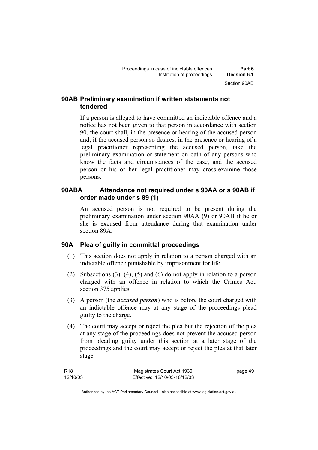#### **90AB Preliminary examination if written statements not tendered**

If a person is alleged to have committed an indictable offence and a notice has not been given to that person in accordance with section 90, the court shall, in the presence or hearing of the accused person and, if the accused person so desires, in the presence or hearing of a legal practitioner representing the accused person, take the preliminary examination or statement on oath of any persons who know the facts and circumstances of the case, and the accused person or his or her legal practitioner may cross-examine those persons.

### **90ABA Attendance not required under s 90AA or s 90AB if order made under s 89 (1)**

An accused person is not required to be present during the preliminary examination under section 90AA (9) or 90AB if he or she is excused from attendance during that examination under section 89A.

#### **90A Plea of guilty in committal proceedings**

- (1) This section does not apply in relation to a person charged with an indictable offence punishable by imprisonment for life.
- (2) Subsections (3), (4), (5) and (6) do not apply in relation to a person charged with an offence in relation to which the Crimes Act, section 375 applies.
- (3) A person (the *accused person*) who is before the court charged with an indictable offence may at any stage of the proceedings plead guilty to the charge.
- (4) The court may accept or reject the plea but the rejection of the plea at any stage of the proceedings does not prevent the accused person from pleading guilty under this section at a later stage of the proceedings and the court may accept or reject the plea at that later stage.

| R18      | Magistrates Court Act 1930   | page 49 |
|----------|------------------------------|---------|
| 12/10/03 | Effective: 12/10/03-18/12/03 |         |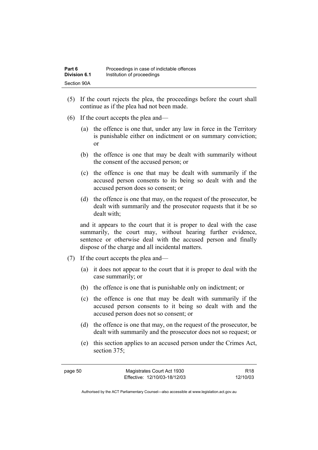- (5) If the court rejects the plea, the proceedings before the court shall continue as if the plea had not been made.
- (6) If the court accepts the plea and—
	- (a) the offence is one that, under any law in force in the Territory is punishable either on indictment or on summary conviction; or
	- (b) the offence is one that may be dealt with summarily without the consent of the accused person; or
	- (c) the offence is one that may be dealt with summarily if the accused person consents to its being so dealt with and the accused person does so consent; or
	- (d) the offence is one that may, on the request of the prosecutor, be dealt with summarily and the prosecutor requests that it be so dealt with;

and it appears to the court that it is proper to deal with the case summarily, the court may, without hearing further evidence, sentence or otherwise deal with the accused person and finally dispose of the charge and all incidental matters.

- (7) If the court accepts the plea and—
	- (a) it does not appear to the court that it is proper to deal with the case summarily; or
	- (b) the offence is one that is punishable only on indictment; or
	- (c) the offence is one that may be dealt with summarily if the accused person consents to it being so dealt with and the accused person does not so consent; or
	- (d) the offence is one that may, on the request of the prosecutor, be dealt with summarily and the prosecutor does not so request; or
	- (e) this section applies to an accused person under the Crimes Act, section 375;

R18 12/10/03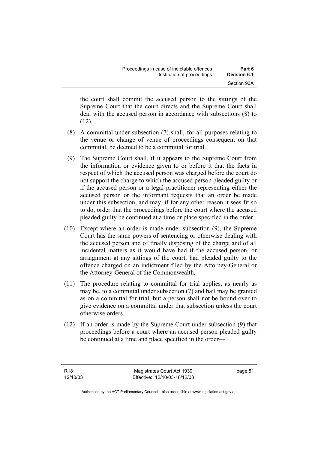the court shall commit the accused person to the sittings of the Supreme Court that the court directs and the Supreme Court shall deal with the accused person in accordance with subsections (8) to  $(12)$ .

- (8) A committal under subsection (7) shall, for all purposes relating to the venue or change of venue of proceedings consequent on that committal, be deemed to be a committal for trial.
- (9) The Supreme Court shall, if it appears to the Supreme Court from the information or evidence given to or before it that the facts in respect of which the accused person was charged before the court do not support the charge to which the accused person pleaded guilty or if the accused person or a legal practitioner representing either the accused person or the informant requests that an order be made under this subsection, and may, if for any other reason it sees fit so to do, order that the proceedings before the court where the accused pleaded guilty be continued at a time or place specified in the order.
- (10) Except where an order is made under subsection (9), the Supreme Court has the same powers of sentencing or otherwise dealing with the accused person and of finally disposing of the charge and of all incidental matters as it would have had if the accused person, or arraignment at any sittings of the court, had pleaded guilty to the offence charged on an indictment filed by the Attorney-General or the Attorney-General of the Commonwealth.
- (11) The procedure relating to committal for trial applies, as nearly as may be, to a committal under subsection (7) and bail may be granted as on a committal for trial, but a person shall not be bound over to give evidence on a committal under that subsection unless the court otherwise orders.
- (12) If an order is made by the Supreme Court under subsection (9) that proceedings before a court where an accused person pleaded guilty be continued at a time and place specified in the order—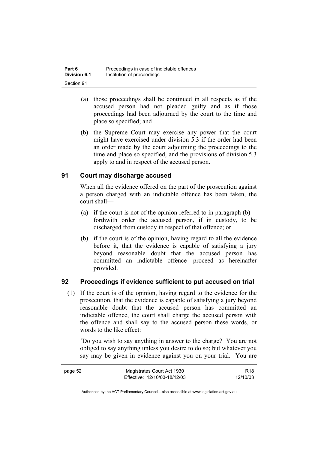- (a) those proceedings shall be continued in all respects as if the accused person had not pleaded guilty and as if those proceedings had been adjourned by the court to the time and place so specified; and
- (b) the Supreme Court may exercise any power that the court might have exercised under division 5.3 if the order had been an order made by the court adjourning the proceedings to the time and place so specified, and the provisions of division 5.3 apply to and in respect of the accused person.

### **91 Court may discharge accused**

When all the evidence offered on the part of the prosecution against a person charged with an indictable offence has been taken, the court shall—

- (a) if the court is not of the opinion referred to in paragraph  $(b)$  forthwith order the accused person, if in custody, to be discharged from custody in respect of that offence; or
- (b) if the court is of the opinion, having regard to all the evidence before it, that the evidence is capable of satisfying a jury beyond reasonable doubt that the accused person has committed an indictable offence—proceed as hereinafter provided.

#### **92 Proceedings if evidence sufficient to put accused on trial**

 (1) If the court is of the opinion, having regard to the evidence for the prosecution, that the evidence is capable of satisfying a jury beyond reasonable doubt that the accused person has committed an indictable offence, the court shall charge the accused person with the offence and shall say to the accused person these words, or words to the like effect:

'Do you wish to say anything in answer to the charge? You are not obliged to say anything unless you desire to do so; but whatever you say may be given in evidence against you on your trial. You are

| page 52 | Magistrates Court Act 1930   | R <sub>18</sub> |
|---------|------------------------------|-----------------|
|         | Effective: 12/10/03-18/12/03 | 12/10/03        |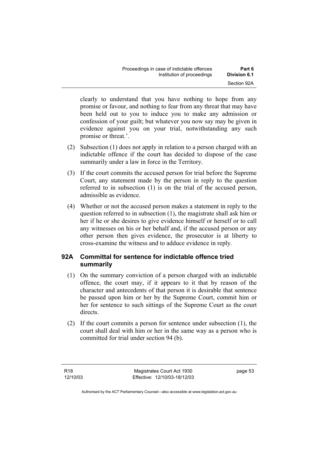| Proceedings in case of indictable offences | Part 6       |
|--------------------------------------------|--------------|
| Institution of proceedings                 | Division 6.1 |
|                                            | Section 92A  |

clearly to understand that you have nothing to hope from any promise or favour, and nothing to fear from any threat that may have been held out to you to induce you to make any admission or confession of your guilt; but whatever you now say may be given in evidence against you on your trial, notwithstanding any such promise or threat.'.

- (2) Subsection (1) does not apply in relation to a person charged with an indictable offence if the court has decided to dispose of the case summarily under a law in force in the Territory.
- (3) If the court commits the accused person for trial before the Supreme Court, any statement made by the person in reply to the question referred to in subsection (1) is on the trial of the accused person, admissible as evidence.
- (4) Whether or not the accused person makes a statement in reply to the question referred to in subsection (1), the magistrate shall ask him or her if he or she desires to give evidence himself or herself or to call any witnesses on his or her behalf and, if the accused person or any other person then gives evidence, the prosecutor is at liberty to cross-examine the witness and to adduce evidence in reply.

#### **92A Committal for sentence for indictable offence tried summarily**

- (1) On the summary conviction of a person charged with an indictable offence, the court may, if it appears to it that by reason of the character and antecedents of that person it is desirable that sentence be passed upon him or her by the Supreme Court, commit him or her for sentence to such sittings of the Supreme Court as the court directs.
- (2) If the court commits a person for sentence under subsection (1), the court shall deal with him or her in the same way as a person who is committed for trial under section 94 (b).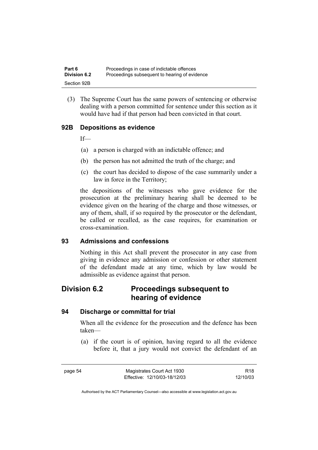(3) The Supreme Court has the same powers of sentencing or otherwise dealing with a person committed for sentence under this section as it would have had if that person had been convicted in that court.

### **92B Depositions as evidence**

If—

- (a) a person is charged with an indictable offence; and
- (b) the person has not admitted the truth of the charge; and
- (c) the court has decided to dispose of the case summarily under a law in force in the Territory;

the depositions of the witnesses who gave evidence for the prosecution at the preliminary hearing shall be deemed to be evidence given on the hearing of the charge and those witnesses, or any of them, shall, if so required by the prosecutor or the defendant, be called or recalled, as the case requires, for examination or cross-examination.

#### **93 Admissions and confessions**

Nothing in this Act shall prevent the prosecutor in any case from giving in evidence any admission or confession or other statement of the defendant made at any time, which by law would be admissible as evidence against that person.

# **Division 6.2 Proceedings subsequent to hearing of evidence**

#### **94 Discharge or committal for trial**

When all the evidence for the prosecution and the defence has been taken—

 (a) if the court is of opinion, having regard to all the evidence before it, that a jury would not convict the defendant of an

page 54 Magistrates Court Act 1930 Effective: 12/10/03-18/12/03

R18 12/10/03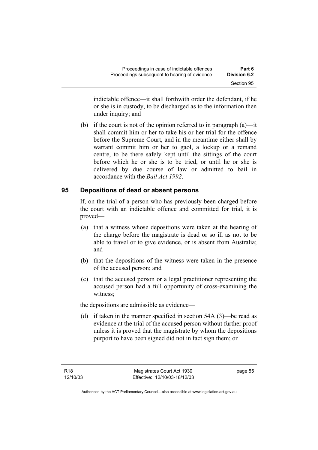indictable offence—it shall forthwith order the defendant, if he or she is in custody, to be discharged as to the information then under inquiry; and

(b) if the court is not of the opinion referred to in paragraph  $(a)$ —it shall commit him or her to take his or her trial for the offence before the Supreme Court, and in the meantime either shall by warrant commit him or her to gaol, a lockup or a remand centre, to be there safely kept until the sittings of the court before which he or she is to be tried, or until he or she is delivered by due course of law or admitted to bail in accordance with the *Bail Act 1992*.

#### **95 Depositions of dead or absent persons**

If, on the trial of a person who has previously been charged before the court with an indictable offence and committed for trial, it is proved—

- (a) that a witness whose depositions were taken at the hearing of the charge before the magistrate is dead or so ill as not to be able to travel or to give evidence, or is absent from Australia; and
- (b) that the depositions of the witness were taken in the presence of the accused person; and
- (c) that the accused person or a legal practitioner representing the accused person had a full opportunity of cross-examining the witness;

the depositions are admissible as evidence—

 (d) if taken in the manner specified in section 54A (3)—be read as evidence at the trial of the accused person without further proof unless it is proved that the magistrate by whom the depositions purport to have been signed did not in fact sign them; or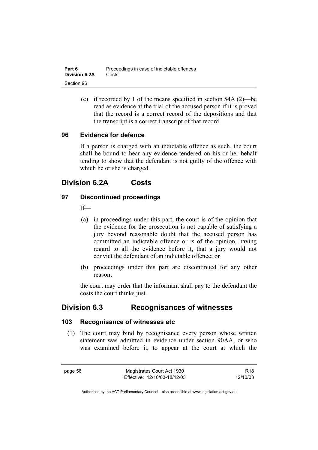| Part 6               | Proceedings in case of indictable offences |
|----------------------|--------------------------------------------|
| <b>Division 6.2A</b> | Costs                                      |
| Section 96           |                                            |

 (e) if recorded by 1 of the means specified in section 54A (2)—be read as evidence at the trial of the accused person if it is proved that the record is a correct record of the depositions and that the transcript is a correct transcript of that record.

#### **96 Evidence for defence**

If a person is charged with an indictable offence as such, the court shall be bound to hear any evidence tendered on his or her behalf tending to show that the defendant is not guilty of the offence with which he or she is charged.

### **Division 6.2A Costs**

#### **97 Discontinued proceedings**

 $If$ 

- (a) in proceedings under this part, the court is of the opinion that the evidence for the prosecution is not capable of satisfying a jury beyond reasonable doubt that the accused person has committed an indictable offence or is of the opinion, having regard to all the evidence before it, that a jury would not convict the defendant of an indictable offence; or
- (b) proceedings under this part are discontinued for any other reason;

the court may order that the informant shall pay to the defendant the costs the court thinks just.

### **Division 6.3 Recognisances of witnesses**

#### **103 Recognisance of witnesses etc**

 (1) The court may bind by recognisance every person whose written statement was admitted in evidence under section 90AA, or who was examined before it, to appear at the court at which the

page 56 Magistrates Court Act 1930 Effective: 12/10/03-18/12/03

R18 12/10/03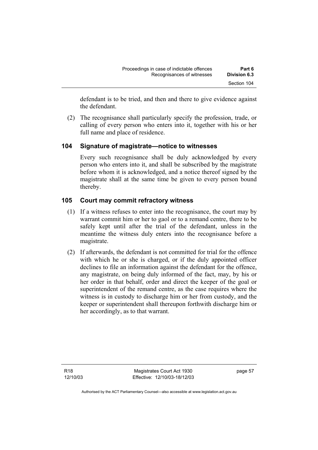defendant is to be tried, and then and there to give evidence against the defendant.

 (2) The recognisance shall particularly specify the profession, trade, or calling of every person who enters into it, together with his or her full name and place of residence.

#### **104 Signature of magistrate—notice to witnesses**

Every such recognisance shall be duly acknowledged by every person who enters into it, and shall be subscribed by the magistrate before whom it is acknowledged, and a notice thereof signed by the magistrate shall at the same time be given to every person bound thereby.

#### **105 Court may commit refractory witness**

- (1) If a witness refuses to enter into the recognisance, the court may by warrant commit him or her to gaol or to a remand centre, there to be safely kept until after the trial of the defendant, unless in the meantime the witness duly enters into the recognisance before a magistrate.
- (2) If afterwards, the defendant is not committed for trial for the offence with which he or she is charged, or if the duly appointed officer declines to file an information against the defendant for the offence, any magistrate, on being duly informed of the fact, may, by his or her order in that behalf, order and direct the keeper of the goal or superintendent of the remand centre, as the case requires where the witness is in custody to discharge him or her from custody, and the keeper or superintendent shall thereupon forthwith discharge him or her accordingly, as to that warrant.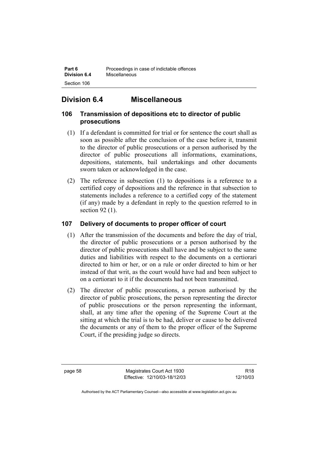# **Division 6.4 Miscellaneous**

### **106 Transmission of depositions etc to director of public prosecutions**

- (1) If a defendant is committed for trial or for sentence the court shall as soon as possible after the conclusion of the case before it, transmit to the director of public prosecutions or a person authorised by the director of public prosecutions all informations, examinations, depositions, statements, bail undertakings and other documents sworn taken or acknowledged in the case.
- (2) The reference in subsection (1) to depositions is a reference to a certified copy of depositions and the reference in that subsection to statements includes a reference to a certified copy of the statement (if any) made by a defendant in reply to the question referred to in section 92 (1).

### **107 Delivery of documents to proper officer of court**

- (1) After the transmission of the documents and before the day of trial, the director of public prosecutions or a person authorised by the director of public prosecutions shall have and be subject to the same duties and liabilities with respect to the documents on a certiorari directed to him or her, or on a rule or order directed to him or her instead of that writ, as the court would have had and been subject to on a certiorari to it if the documents had not been transmitted.
- (2) The director of public prosecutions, a person authorised by the director of public prosecutions, the person representing the director of public prosecutions or the person representing the informant, shall, at any time after the opening of the Supreme Court at the sitting at which the trial is to be had, deliver or cause to be delivered the documents or any of them to the proper officer of the Supreme Court, if the presiding judge so directs.

page 58 Magistrates Court Act 1930 Effective: 12/10/03-18/12/03

R18 12/10/03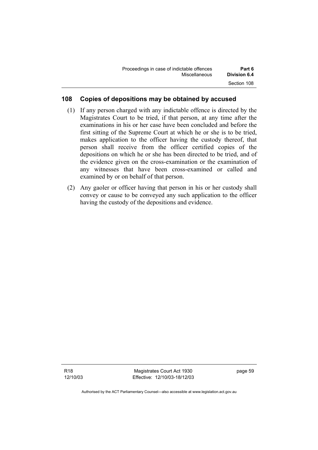| Proceedings in case of indictable offences | Part 6              |
|--------------------------------------------|---------------------|
| Miscellaneous                              | <b>Division 6.4</b> |
|                                            | Section 108         |

## **108 Copies of depositions may be obtained by accused**

- (1) If any person charged with any indictable offence is directed by the Magistrates Court to be tried, if that person, at any time after the examinations in his or her case have been concluded and before the first sitting of the Supreme Court at which he or she is to be tried, makes application to the officer having the custody thereof, that person shall receive from the officer certified copies of the depositions on which he or she has been directed to be tried, and of the evidence given on the cross-examination or the examination of any witnesses that have been cross-examined or called and examined by or on behalf of that person.
- (2) Any gaoler or officer having that person in his or her custody shall convey or cause to be conveyed any such application to the officer having the custody of the depositions and evidence.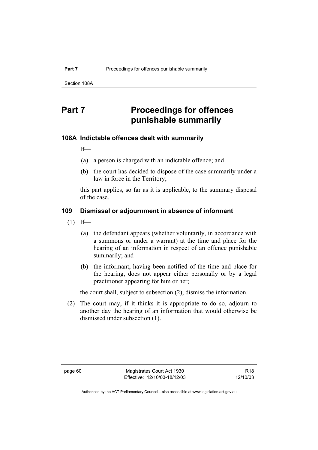Section 108A

# **Part 7** Proceedings for offences **punishable summarily**

#### **108A Indictable offences dealt with summarily**

If—

- (a) a person is charged with an indictable offence; and
- (b) the court has decided to dispose of the case summarily under a law in force in the Territory;

this part applies, so far as it is applicable, to the summary disposal of the case.

## **109 Dismissal or adjournment in absence of informant**

- $(1)$  If—
	- (a) the defendant appears (whether voluntarily, in accordance with a summons or under a warrant) at the time and place for the hearing of an information in respect of an offence punishable summarily; and
	- (b) the informant, having been notified of the time and place for the hearing, does not appear either personally or by a legal practitioner appearing for him or her;

the court shall, subject to subsection (2), dismiss the information.

 (2) The court may, if it thinks it is appropriate to do so, adjourn to another day the hearing of an information that would otherwise be dismissed under subsection (1).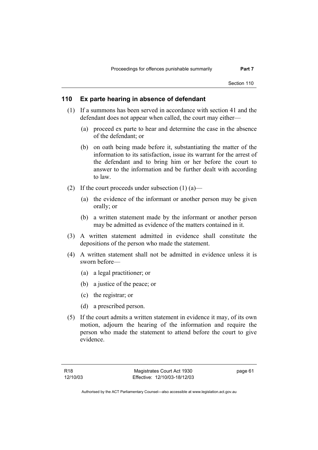#### **110 Ex parte hearing in absence of defendant**

- (1) If a summons has been served in accordance with section 41 and the defendant does not appear when called, the court may either—
	- (a) proceed ex parte to hear and determine the case in the absence of the defendant; or
	- (b) on oath being made before it, substantiating the matter of the information to its satisfaction, issue its warrant for the arrest of the defendant and to bring him or her before the court to answer to the information and be further dealt with according to law.
- (2) If the court proceeds under subsection  $(1)$  (a)—
	- (a) the evidence of the informant or another person may be given orally; or
	- (b) a written statement made by the informant or another person may be admitted as evidence of the matters contained in it.
- (3) A written statement admitted in evidence shall constitute the depositions of the person who made the statement.
- (4) A written statement shall not be admitted in evidence unless it is sworn before—
	- (a) a legal practitioner; or
	- (b) a justice of the peace; or
	- (c) the registrar; or
	- (d) a prescribed person.
- (5) If the court admits a written statement in evidence it may, of its own motion, adjourn the hearing of the information and require the person who made the statement to attend before the court to give evidence.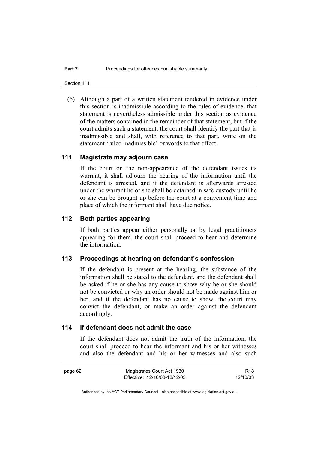Section 111

 (6) Although a part of a written statement tendered in evidence under this section is inadmissible according to the rules of evidence, that statement is nevertheless admissible under this section as evidence of the matters contained in the remainder of that statement, but if the court admits such a statement, the court shall identify the part that is inadmissible and shall, with reference to that part, write on the statement 'ruled inadmissible' or words to that effect.

#### **111 Magistrate may adjourn case**

If the court on the non-appearance of the defendant issues its warrant, it shall adjourn the hearing of the information until the defendant is arrested, and if the defendant is afterwards arrested under the warrant he or she shall be detained in safe custody until he or she can be brought up before the court at a convenient time and place of which the informant shall have due notice.

# **112 Both parties appearing**

If both parties appear either personally or by legal practitioners appearing for them, the court shall proceed to hear and determine the information.

#### **113 Proceedings at hearing on defendant's confession**

If the defendant is present at the hearing, the substance of the information shall be stated to the defendant, and the defendant shall be asked if he or she has any cause to show why he or she should not be convicted or why an order should not be made against him or her, and if the defendant has no cause to show, the court may convict the defendant, or make an order against the defendant accordingly.

## **114 If defendant does not admit the case**

If the defendant does not admit the truth of the information, the court shall proceed to hear the informant and his or her witnesses and also the defendant and his or her witnesses and also such

page 62 Magistrates Court Act 1930 Effective: 12/10/03-18/12/03

R18 12/10/03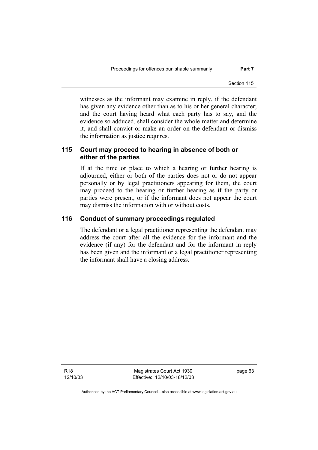witnesses as the informant may examine in reply, if the defendant has given any evidence other than as to his or her general character; and the court having heard what each party has to say, and the evidence so adduced, shall consider the whole matter and determine it, and shall convict or make an order on the defendant or dismiss the information as justice requires.

# **115 Court may proceed to hearing in absence of both or either of the parties**

If at the time or place to which a hearing or further hearing is adjourned, either or both of the parties does not or do not appear personally or by legal practitioners appearing for them, the court may proceed to the hearing or further hearing as if the party or parties were present, or if the informant does not appear the court may dismiss the information with or without costs.

#### **116 Conduct of summary proceedings regulated**

The defendant or a legal practitioner representing the defendant may address the court after all the evidence for the informant and the evidence (if any) for the defendant and for the informant in reply has been given and the informant or a legal practitioner representing the informant shall have a closing address.

R18 12/10/03

Magistrates Court Act 1930 Effective: 12/10/03-18/12/03 page 63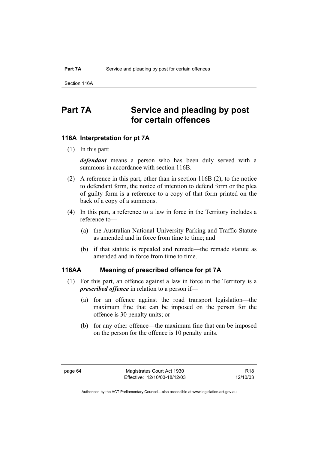Section 116A

# **Part 7A Service and pleading by post for certain offences**

## **116A Interpretation for pt 7A**

(1) In this part:

*defendant* means a person who has been duly served with a summons in accordance with section 116B.

- (2) A reference in this part, other than in section 116B (2), to the notice to defendant form, the notice of intention to defend form or the plea of guilty form is a reference to a copy of that form printed on the back of a copy of a summons.
- (4) In this part, a reference to a law in force in the Territory includes a reference to—
	- (a) the Australian National University Parking and Traffic Statute as amended and in force from time to time; and
	- (b) if that statute is repealed and remade—the remade statute as amended and in force from time to time.

#### **116AA Meaning of prescribed offence for pt 7A**

- (1) For this part, an offence against a law in force in the Territory is a *prescribed offence* in relation to a person if—
	- (a) for an offence against the road transport legislation—the maximum fine that can be imposed on the person for the offence is 30 penalty units; or
	- (b) for any other offence—the maximum fine that can be imposed on the person for the offence is 10 penalty units.

R18 12/10/03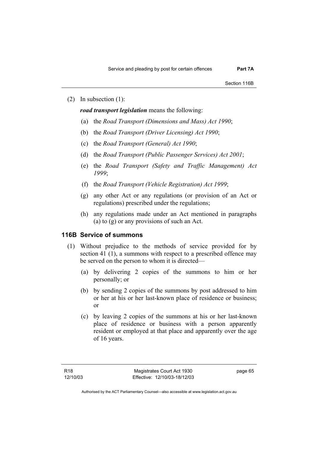(2) In subsection (1):

*road transport legislation* means the following:

- (a) the *Road Transport (Dimensions and Mass) Act 1990*;
- (b) the *Road Transport (Driver Licensing) Act 1990*;
- (c) the *Road Transport (General) Act 1990*;
- (d) the *Road Transport (Public Passenger Services) Act 2001*;
- (e) the *Road Transport (Safety and Traffic Management) Act 1999*;
- (f) the *Road Transport (Vehicle Registration) Act 1999*;
- (g) any other Act or any regulations (or provision of an Act or regulations) prescribed under the regulations;
- (h) any regulations made under an Act mentioned in paragraphs (a) to (g) or any provisions of such an Act.

#### **116B Service of summons**

- (1) Without prejudice to the methods of service provided for by section 41 (1), a summons with respect to a prescribed offence may be served on the person to whom it is directed—
	- (a) by delivering 2 copies of the summons to him or her personally; or
	- (b) by sending 2 copies of the summons by post addressed to him or her at his or her last-known place of residence or business; or
	- (c) by leaving 2 copies of the summons at his or her last-known place of residence or business with a person apparently resident or employed at that place and apparently over the age of 16 years.

page 65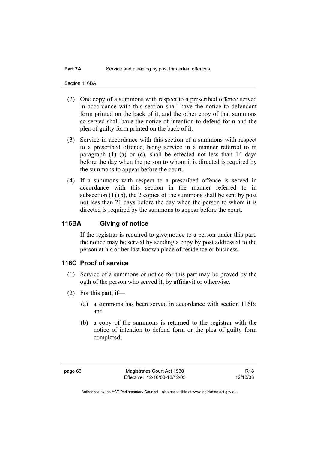Section 116BA

- (2) One copy of a summons with respect to a prescribed offence served in accordance with this section shall have the notice to defendant form printed on the back of it, and the other copy of that summons so served shall have the notice of intention to defend form and the plea of guilty form printed on the back of it.
- (3) Service in accordance with this section of a summons with respect to a prescribed offence, being service in a manner referred to in paragraph (1) (a) or (c), shall be effected not less than 14 days before the day when the person to whom it is directed is required by the summons to appear before the court.
- (4) If a summons with respect to a prescribed offence is served in accordance with this section in the manner referred to in subsection (1) (b), the 2 copies of the summons shall be sent by post not less than 21 days before the day when the person to whom it is directed is required by the summons to appear before the court.

## **116BA Giving of notice**

If the registrar is required to give notice to a person under this part, the notice may be served by sending a copy by post addressed to the person at his or her last-known place of residence or business.

## **116C Proof of service**

- (1) Service of a summons or notice for this part may be proved by the oath of the person who served it, by affidavit or otherwise.
- (2) For this part, if—
	- (a) a summons has been served in accordance with section 116B; and
	- (b) a copy of the summons is returned to the registrar with the notice of intention to defend form or the plea of guilty form completed;

R18 12/10/03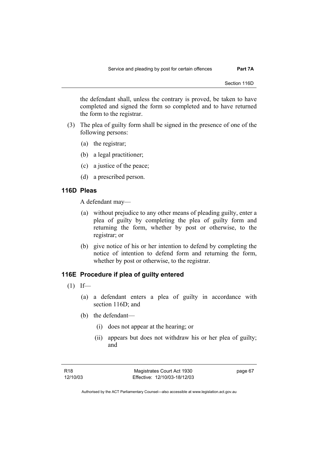the defendant shall, unless the contrary is proved, be taken to have completed and signed the form so completed and to have returned the form to the registrar.

- (3) The plea of guilty form shall be signed in the presence of one of the following persons:
	- (a) the registrar;
	- (b) a legal practitioner;
	- (c) a justice of the peace;
	- (d) a prescribed person.

# **116D Pleas**

A defendant may—

- (a) without prejudice to any other means of pleading guilty, enter a plea of guilty by completing the plea of guilty form and returning the form, whether by post or otherwise, to the registrar; or
- (b) give notice of his or her intention to defend by completing the notice of intention to defend form and returning the form, whether by post or otherwise, to the registrar.

### **116E Procedure if plea of guilty entered**

- $(1)$  If—
	- (a) a defendant enters a plea of guilty in accordance with section 116D; and
	- (b) the defendant—
		- (i) does not appear at the hearing; or
		- (ii) appears but does not withdraw his or her plea of guilty; and

page 67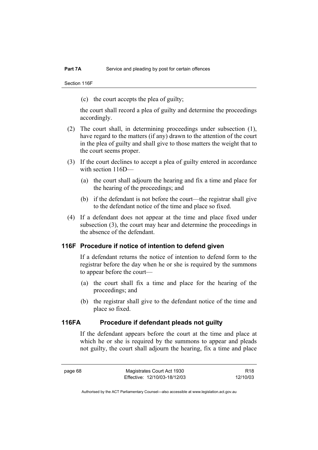Section 116F

(c) the court accepts the plea of guilty;

the court shall record a plea of guilty and determine the proceedings accordingly.

- (2) The court shall, in determining proceedings under subsection (1), have regard to the matters (if any) drawn to the attention of the court in the plea of guilty and shall give to those matters the weight that to the court seems proper.
- (3) If the court declines to accept a plea of guilty entered in accordance with section 116D—
	- (a) the court shall adjourn the hearing and fix a time and place for the hearing of the proceedings; and
	- (b) if the defendant is not before the court—the registrar shall give to the defendant notice of the time and place so fixed.
- (4) If a defendant does not appear at the time and place fixed under subsection (3), the court may hear and determine the proceedings in the absence of the defendant.

#### **116F Procedure if notice of intention to defend given**

If a defendant returns the notice of intention to defend form to the registrar before the day when he or she is required by the summons to appear before the court—

- (a) the court shall fix a time and place for the hearing of the proceedings; and
- (b) the registrar shall give to the defendant notice of the time and place so fixed.

# **116FA Procedure if defendant pleads not guilty**

If the defendant appears before the court at the time and place at which he or she is required by the summons to appear and pleads not guilty, the court shall adjourn the hearing, fix a time and place

R18 12/10/03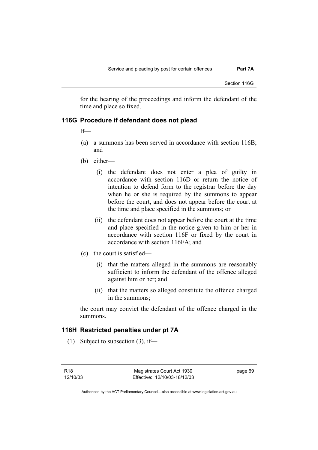for the hearing of the proceedings and inform the defendant of the time and place so fixed.

### **116G Procedure if defendant does not plead**

If—

- (a) a summons has been served in accordance with section 116B; and
- (b) either—
	- (i) the defendant does not enter a plea of guilty in accordance with section 116D or return the notice of intention to defend form to the registrar before the day when he or she is required by the summons to appear before the court, and does not appear before the court at the time and place specified in the summons; or
	- (ii) the defendant does not appear before the court at the time and place specified in the notice given to him or her in accordance with section 116F or fixed by the court in accordance with section 116FA; and
- (c) the court is satisfied—
	- (i) that the matters alleged in the summons are reasonably sufficient to inform the defendant of the offence alleged against him or her; and
	- (ii) that the matters so alleged constitute the offence charged in the summons;

the court may convict the defendant of the offence charged in the summons.

#### **116H Restricted penalties under pt 7A**

(1) Subject to subsection (3), if—

R18 12/10/03 page 69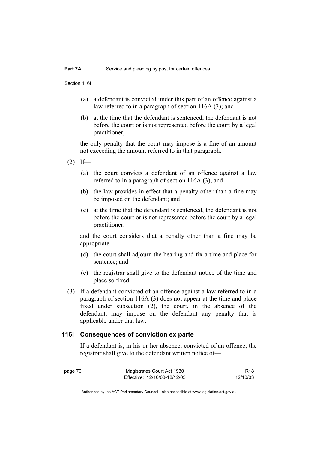Section 116I

- (a) a defendant is convicted under this part of an offence against a law referred to in a paragraph of section 116A (3); and
- (b) at the time that the defendant is sentenced, the defendant is not before the court or is not represented before the court by a legal practitioner;

the only penalty that the court may impose is a fine of an amount not exceeding the amount referred to in that paragraph.

- $(2)$  If—
	- (a) the court convicts a defendant of an offence against a law referred to in a paragraph of section 116A (3); and
	- (b) the law provides in effect that a penalty other than a fine may be imposed on the defendant; and
	- (c) at the time that the defendant is sentenced, the defendant is not before the court or is not represented before the court by a legal practitioner;

and the court considers that a penalty other than a fine may be appropriate—

- (d) the court shall adjourn the hearing and fix a time and place for sentence; and
- (e) the registrar shall give to the defendant notice of the time and place so fixed.
- (3) If a defendant convicted of an offence against a law referred to in a paragraph of section 116A (3) does not appear at the time and place fixed under subsection (2), the court, in the absence of the defendant, may impose on the defendant any penalty that is applicable under that law.

#### **116I Consequences of conviction ex parte**

If a defendant is, in his or her absence, convicted of an offence, the registrar shall give to the defendant written notice of—

page 70 Magistrates Court Act 1930 Effective: 12/10/03-18/12/03 R18 12/10/03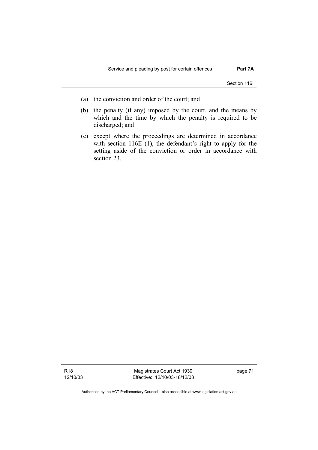Section 116I

- (a) the conviction and order of the court; and
- (b) the penalty (if any) imposed by the court, and the means by which and the time by which the penalty is required to be discharged; and
- (c) except where the proceedings are determined in accordance with section 116E (1), the defendant's right to apply for the setting aside of the conviction or order in accordance with section 23.

R18 12/10/03

Magistrates Court Act 1930 Effective: 12/10/03-18/12/03 page 71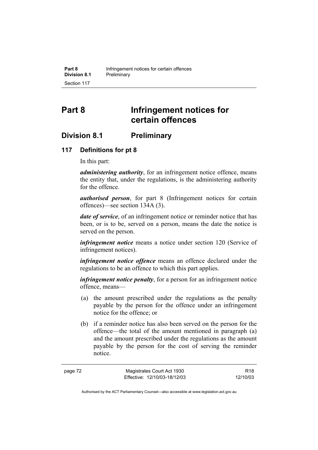# **Part 8 Infringement notices for certain offences**

# **Division 8.1 Preliminary**

# **117 Definitions for pt 8**

In this part:

*administering authority*, for an infringement notice offence, means the entity that, under the regulations, is the administering authority for the offence.

*authorised person*, for part 8 (Infringement notices for certain offences)—see section 134A (3).

*date of service*, of an infringement notice or reminder notice that has been, or is to be, served on a person, means the date the notice is served on the person.

*infringement notice* means a notice under section 120 (Service of infringement notices).

*infringement notice offence* means an offence declared under the regulations to be an offence to which this part applies.

*infringement notice penalty*, for a person for an infringement notice offence, means—

- (a) the amount prescribed under the regulations as the penalty payable by the person for the offence under an infringement notice for the offence; or
- (b) if a reminder notice has also been served on the person for the offence—the total of the amount mentioned in paragraph (a) and the amount prescribed under the regulations as the amount payable by the person for the cost of serving the reminder notice.

R18 12/10/03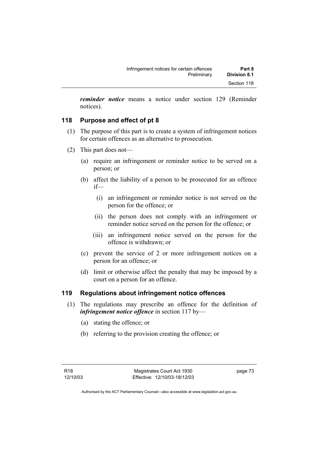*reminder notice* means a notice under section 129 (Reminder notices).

# **118 Purpose and effect of pt 8**

- (1) The purpose of this part is to create a system of infringement notices for certain offences as an alternative to prosecution.
- (2) This part does not—
	- (a) require an infringement or reminder notice to be served on a person; or
	- (b) affect the liability of a person to be prosecuted for an offence if—
		- (i) an infringement or reminder notice is not served on the person for the offence; or
		- (ii) the person does not comply with an infringement or reminder notice served on the person for the offence; or
		- (iii) an infringement notice served on the person for the offence is withdrawn; or
	- (c) prevent the service of 2 or more infringement notices on a person for an offence; or
	- (d) limit or otherwise affect the penalty that may be imposed by a court on a person for an offence.

# **119 Regulations about infringement notice offences**

- (1) The regulations may prescribe an offence for the definition of *infringement notice offence* in section 117 by—
	- (a) stating the offence; or
	- (b) referring to the provision creating the offence; or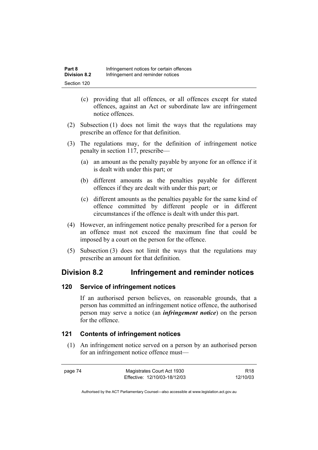- (c) providing that all offences, or all offences except for stated offences, against an Act or subordinate law are infringement notice offences.
- (2) Subsection (1) does not limit the ways that the regulations may prescribe an offence for that definition.
- (3) The regulations may, for the definition of infringement notice penalty in section 117, prescribe—
	- (a) an amount as the penalty payable by anyone for an offence if it is dealt with under this part; or
	- (b) different amounts as the penalties payable for different offences if they are dealt with under this part; or
	- (c) different amounts as the penalties payable for the same kind of offence committed by different people or in different circumstances if the offence is dealt with under this part.
- (4) However, an infringement notice penalty prescribed for a person for an offence must not exceed the maximum fine that could be imposed by a court on the person for the offence.
- (5) Subsection (3) does not limit the ways that the regulations may prescribe an amount for that definition.

# **Division 8.2 Infringement and reminder notices**

### **120 Service of infringement notices**

If an authorised person believes, on reasonable grounds, that a person has committed an infringement notice offence, the authorised person may serve a notice (an *infringement notice*) on the person for the offence.

# **121 Contents of infringement notices**

 (1) An infringement notice served on a person by an authorised person for an infringement notice offence must—

page 74 Magistrates Court Act 1930 Effective: 12/10/03-18/12/03

R18 12/10/03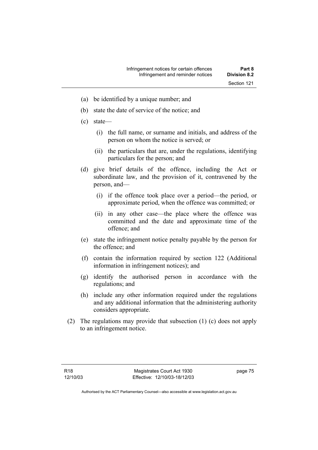- (a) be identified by a unique number; and
- (b) state the date of service of the notice; and
- (c) state—
	- (i) the full name, or surname and initials, and address of the person on whom the notice is served; or
	- (ii) the particulars that are, under the regulations, identifying particulars for the person; and
- (d) give brief details of the offence, including the Act or subordinate law, and the provision of it, contravened by the person, and—
	- (i) if the offence took place over a period—the period, or approximate period, when the offence was committed; or
	- (ii) in any other case—the place where the offence was committed and the date and approximate time of the offence; and
- (e) state the infringement notice penalty payable by the person for the offence; and
- (f) contain the information required by section 122 (Additional information in infringement notices); and
- (g) identify the authorised person in accordance with the regulations; and
- (h) include any other information required under the regulations and any additional information that the administering authority considers appropriate.
- (2) The regulations may provide that subsection (1) (c) does not apply to an infringement notice.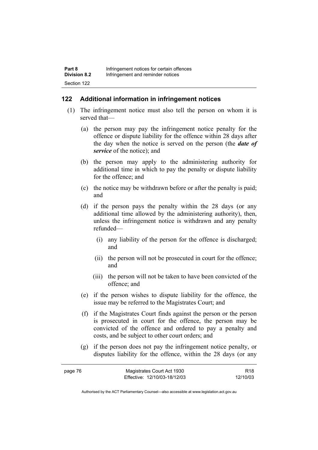# **122 Additional information in infringement notices**

- (1) The infringement notice must also tell the person on whom it is served that—
	- (a) the person may pay the infringement notice penalty for the offence or dispute liability for the offence within 28 days after the day when the notice is served on the person (the *date of service* of the notice); and
	- (b) the person may apply to the administering authority for additional time in which to pay the penalty or dispute liability for the offence; and
	- (c) the notice may be withdrawn before or after the penalty is paid; and
	- (d) if the person pays the penalty within the 28 days (or any additional time allowed by the administering authority), then, unless the infringement notice is withdrawn and any penalty refunded—
		- (i) any liability of the person for the offence is discharged; and
		- (ii) the person will not be prosecuted in court for the offence; and
		- (iii) the person will not be taken to have been convicted of the offence; and
	- (e) if the person wishes to dispute liability for the offence, the issue may be referred to the Magistrates Court; and
	- (f) if the Magistrates Court finds against the person or the person is prosecuted in court for the offence, the person may be convicted of the offence and ordered to pay a penalty and costs, and be subject to other court orders; and
	- (g) if the person does not pay the infringement notice penalty, or disputes liability for the offence, within the 28 days (or any

| page 76 | Magistrates Court Act 1930   | R <sub>18</sub> |
|---------|------------------------------|-----------------|
|         | Effective: 12/10/03-18/12/03 | 12/10/03        |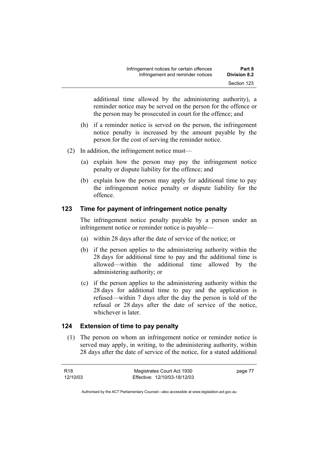additional time allowed by the administering authority), a reminder notice may be served on the person for the offence or the person may be prosecuted in court for the offence; and

- (h) if a reminder notice is served on the person, the infringement notice penalty is increased by the amount payable by the person for the cost of serving the reminder notice.
- (2) In addition, the infringement notice must—
	- (a) explain how the person may pay the infringement notice penalty or dispute liability for the offence; and
	- (b) explain how the person may apply for additional time to pay the infringement notice penalty or dispute liability for the offence.

# **123 Time for payment of infringement notice penalty**

The infringement notice penalty payable by a person under an infringement notice or reminder notice is payable—

- (a) within 28 days after the date of service of the notice; or
- (b) if the person applies to the administering authority within the 28 days for additional time to pay and the additional time is allowed—within the additional time allowed by the administering authority; or
- (c) if the person applies to the administering authority within the 28 days for additional time to pay and the application is refused—within 7 days after the day the person is told of the refusal or 28 days after the date of service of the notice, whichever is later.

# **124 Extension of time to pay penalty**

 (1) The person on whom an infringement notice or reminder notice is served may apply, in writing, to the administering authority, within 28 days after the date of service of the notice, for a stated additional

| R18      | Magistrates Court Act 1930   | page 77 |
|----------|------------------------------|---------|
| 12/10/03 | Effective: 12/10/03-18/12/03 |         |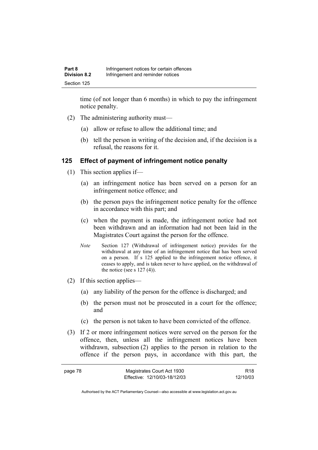time (of not longer than 6 months) in which to pay the infringement notice penalty.

- (2) The administering authority must—
	- (a) allow or refuse to allow the additional time; and
	- (b) tell the person in writing of the decision and, if the decision is a refusal, the reasons for it.

### **125 Effect of payment of infringement notice penalty**

- (1) This section applies if—
	- (a) an infringement notice has been served on a person for an infringement notice offence; and
	- (b) the person pays the infringement notice penalty for the offence in accordance with this part; and
	- (c) when the payment is made, the infringement notice had not been withdrawn and an information had not been laid in the Magistrates Court against the person for the offence.
	- *Note* Section 127 (Withdrawal of infringement notice) provides for the withdrawal at any time of an infringement notice that has been served on a person. If s 125 applied to the infringement notice offence, it ceases to apply, and is taken never to have applied, on the withdrawal of the notice (see s  $127(4)$ ).
- (2) If this section applies—
	- (a) any liability of the person for the offence is discharged; and
	- (b) the person must not be prosecuted in a court for the offence; and
	- (c) the person is not taken to have been convicted of the offence.
- (3) If 2 or more infringement notices were served on the person for the offence, then, unless all the infringement notices have been withdrawn, subsection (2) applies to the person in relation to the offence if the person pays, in accordance with this part, the

| page 78 | Magistrates Court Act 1930   | R <sub>18</sub> |
|---------|------------------------------|-----------------|
|         | Effective: 12/10/03-18/12/03 | 12/10/03        |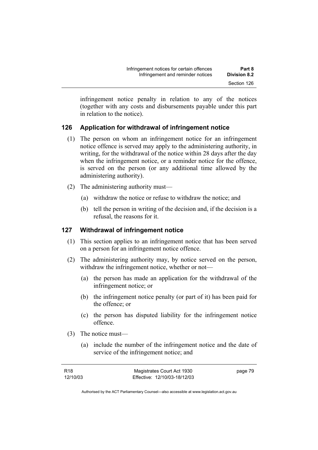infringement notice penalty in relation to any of the notices (together with any costs and disbursements payable under this part in relation to the notice).

# **126 Application for withdrawal of infringement notice**

- (1) The person on whom an infringement notice for an infringement notice offence is served may apply to the administering authority, in writing, for the withdrawal of the notice within 28 days after the day when the infringement notice, or a reminder notice for the offence, is served on the person (or any additional time allowed by the administering authority).
- (2) The administering authority must—
	- (a) withdraw the notice or refuse to withdraw the notice; and
	- (b) tell the person in writing of the decision and, if the decision is a refusal, the reasons for it.

# **127 Withdrawal of infringement notice**

- (1) This section applies to an infringement notice that has been served on a person for an infringement notice offence.
- (2) The administering authority may, by notice served on the person, withdraw the infringement notice, whether or not—
	- (a) the person has made an application for the withdrawal of the infringement notice; or
	- (b) the infringement notice penalty (or part of it) has been paid for the offence; or
	- (c) the person has disputed liability for the infringement notice offence.
- (3) The notice must—
	- (a) include the number of the infringement notice and the date of service of the infringement notice; and

| R18      | Magistrates Court Act 1930   | page 79 |
|----------|------------------------------|---------|
| 12/10/03 | Effective: 12/10/03-18/12/03 |         |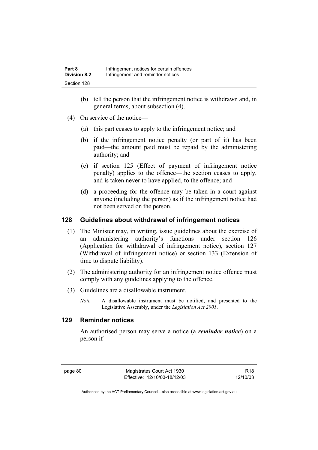- (b) tell the person that the infringement notice is withdrawn and, in general terms, about subsection (4).
- (4) On service of the notice—
	- (a) this part ceases to apply to the infringement notice; and
	- (b) if the infringement notice penalty (or part of it) has been paid—the amount paid must be repaid by the administering authority; and
	- (c) if section 125 (Effect of payment of infringement notice penalty) applies to the offence—the section ceases to apply, and is taken never to have applied, to the offence; and
	- (d) a proceeding for the offence may be taken in a court against anyone (including the person) as if the infringement notice had not been served on the person.

# **128 Guidelines about withdrawal of infringement notices**

- (1) The Minister may, in writing, issue guidelines about the exercise of an administering authority's functions under section 126 (Application for withdrawal of infringement notice), section 127 (Withdrawal of infringement notice) or section 133 (Extension of time to dispute liability).
- (2) The administering authority for an infringement notice offence must comply with any guidelines applying to the offence.
- (3) Guidelines are a disallowable instrument.
	- *Note* A disallowable instrument must be notified, and presented to the Legislative Assembly, under the *Legislation Act 2001*.

# **129 Reminder notices**

An authorised person may serve a notice (a *reminder notice*) on a person if—

page 80 Magistrates Court Act 1930 Effective: 12/10/03-18/12/03

R18 12/10/03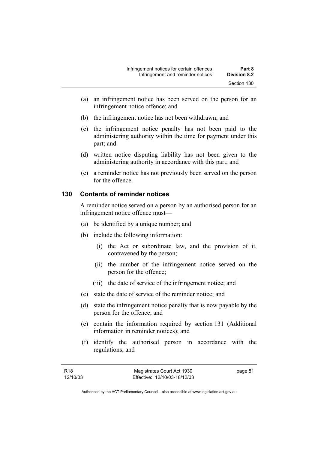- (a) an infringement notice has been served on the person for an infringement notice offence; and
- (b) the infringement notice has not been withdrawn; and
- (c) the infringement notice penalty has not been paid to the administering authority within the time for payment under this part; and
- (d) written notice disputing liability has not been given to the administering authority in accordance with this part; and
- (e) a reminder notice has not previously been served on the person for the offence.

# **130 Contents of reminder notices**

A reminder notice served on a person by an authorised person for an infringement notice offence must—

- (a) be identified by a unique number; and
- (b) include the following information:
	- (i) the Act or subordinate law, and the provision of it, contravened by the person;
	- (ii) the number of the infringement notice served on the person for the offence;
	- (iii) the date of service of the infringement notice; and
- (c) state the date of service of the reminder notice; and
- (d) state the infringement notice penalty that is now payable by the person for the offence; and
- (e) contain the information required by section 131 (Additional information in reminder notices); and
- (f) identify the authorised person in accordance with the regulations; and

page 81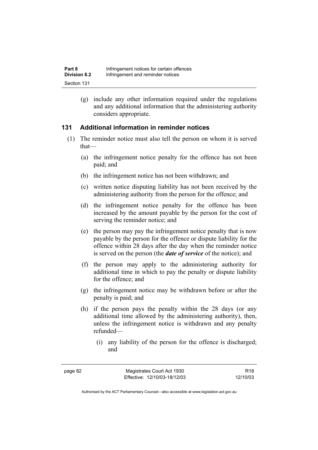(g) include any other information required under the regulations and any additional information that the administering authority considers appropriate.

# **131 Additional information in reminder notices**

- (1) The reminder notice must also tell the person on whom it is served that—
	- (a) the infringement notice penalty for the offence has not been paid; and
	- (b) the infringement notice has not been withdrawn; and
	- (c) written notice disputing liability has not been received by the administering authority from the person for the offence; and
	- (d) the infringement notice penalty for the offence has been increased by the amount payable by the person for the cost of serving the reminder notice; and
	- (e) the person may pay the infringement notice penalty that is now payable by the person for the offence or dispute liability for the offence within 28 days after the day when the reminder notice is served on the person (the *date of service* of the notice); and
	- (f) the person may apply to the administering authority for additional time in which to pay the penalty or dispute liability for the offence; and
	- (g) the infringement notice may be withdrawn before or after the penalty is paid; and
	- (h) if the person pays the penalty within the 28 days (or any additional time allowed by the administering authority), then, unless the infringement notice is withdrawn and any penalty refunded—
		- (i) any liability of the person for the offence is discharged; and

R18 12/10/03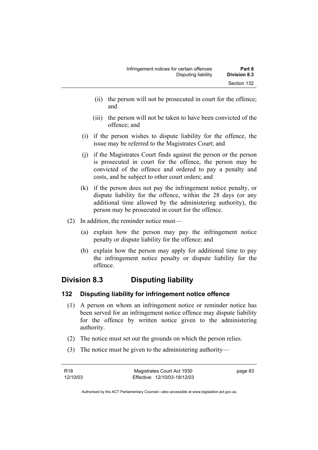- (ii) the person will not be prosecuted in court for the offence; and
- (iii) the person will not be taken to have been convicted of the offence; and
- (i) if the person wishes to dispute liability for the offence, the issue may be referred to the Magistrates Court; and
- (j) if the Magistrates Court finds against the person or the person is prosecuted in court for the offence, the person may be convicted of the offence and ordered to pay a penalty and costs, and be subject to other court orders; and
- (k) if the person does not pay the infringement notice penalty, or dispute liability for the offence, within the 28 days (or any additional time allowed by the administering authority), the person may be prosecuted in court for the offence.
- (2) In addition, the reminder notice must—
	- (a) explain how the person may pay the infringement notice penalty or dispute liability for the offence; and
	- (b) explain how the person may apply for additional time to pay the infringement notice penalty or dispute liability for the offence.

# **Division 8.3 Disputing liability**

# **132 Disputing liability for infringement notice offence**

- (1) A person on whom an infringement notice or reminder notice has been served for an infringement notice offence may dispute liability for the offence by written notice given to the administering authority.
- (2) The notice must set out the grounds on which the person relies.
- (3) The notice must be given to the administering authority—

| R18      | Magistrates Court Act 1930   | page 83 |
|----------|------------------------------|---------|
| 12/10/03 | Effective: 12/10/03-18/12/03 |         |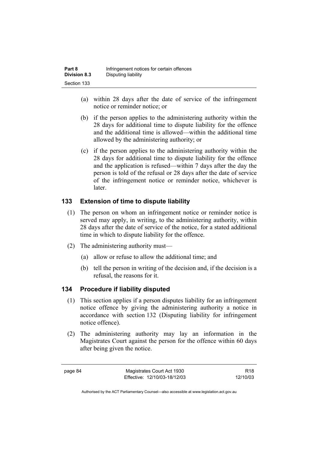| Part 8              | Infringement notices for certain offences |
|---------------------|-------------------------------------------|
| <b>Division 8.3</b> | Disputing liability                       |
| Section 133         |                                           |

- (a) within 28 days after the date of service of the infringement notice or reminder notice; or
- (b) if the person applies to the administering authority within the 28 days for additional time to dispute liability for the offence and the additional time is allowed—within the additional time allowed by the administering authority; or
- (c) if the person applies to the administering authority within the 28 days for additional time to dispute liability for the offence and the application is refused—within 7 days after the day the person is told of the refusal or 28 days after the date of service of the infringement notice or reminder notice, whichever is later.

# **133 Extension of time to dispute liability**

- (1) The person on whom an infringement notice or reminder notice is served may apply, in writing, to the administering authority, within 28 days after the date of service of the notice, for a stated additional time in which to dispute liability for the offence.
- (2) The administering authority must—
	- (a) allow or refuse to allow the additional time; and
	- (b) tell the person in writing of the decision and, if the decision is a refusal, the reasons for it.

# **134 Procedure if liability disputed**

- (1) This section applies if a person disputes liability for an infringement notice offence by giving the administering authority a notice in accordance with section 132 (Disputing liability for infringement notice offence).
- (2) The administering authority may lay an information in the Magistrates Court against the person for the offence within 60 days after being given the notice.

page 84 Magistrates Court Act 1930 Effective: 12/10/03-18/12/03

R18 12/10/03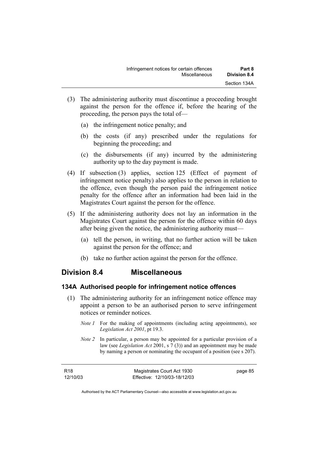- (3) The administering authority must discontinue a proceeding brought against the person for the offence if, before the hearing of the proceeding, the person pays the total of—
	- (a) the infringement notice penalty; and
	- (b) the costs (if any) prescribed under the regulations for beginning the proceeding; and
	- (c) the disbursements (if any) incurred by the administering authority up to the day payment is made.
- (4) If subsection (3) applies, section 125 (Effect of payment of infringement notice penalty) also applies to the person in relation to the offence, even though the person paid the infringement notice penalty for the offence after an information had been laid in the Magistrates Court against the person for the offence.
- (5) If the administering authority does not lay an information in the Magistrates Court against the person for the offence within 60 days after being given the notice, the administering authority must—
	- (a) tell the person, in writing, that no further action will be taken against the person for the offence; and
	- (b) take no further action against the person for the offence.

# **Division 8.4 Miscellaneous**

### **134A Authorised people for infringement notice offences**

- (1) The administering authority for an infringement notice offence may appoint a person to be an authorised person to serve infringement notices or reminder notices.
	- *Note 1* For the making of appointments (including acting appointments), see *Legislation Act 2001*, pt 19.3.
	- *Note 2* In particular, a person may be appointed for a particular provision of a law (see *Legislation Act* 2001, s 7 (3)) and an appointment may be made by naming a person or nominating the occupant of a position (see s 207).

| R18      | Magistrates Court Act 1930   | page 85 |
|----------|------------------------------|---------|
| 12/10/03 | Effective: 12/10/03-18/12/03 |         |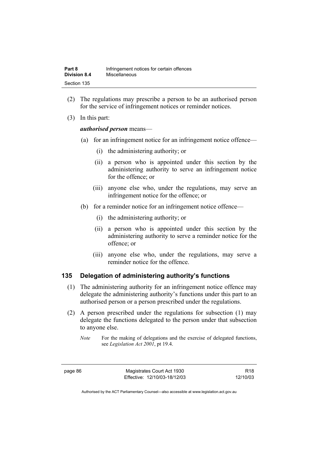| Part 8              | Infringement notices for certain offences |
|---------------------|-------------------------------------------|
| <b>Division 8.4</b> | <b>Miscellaneous</b>                      |
| Section 135         |                                           |

- (2) The regulations may prescribe a person to be an authorised person for the service of infringement notices or reminder notices.
- (3) In this part:

#### *authorised person* means—

- (a) for an infringement notice for an infringement notice offence—
	- (i) the administering authority; or
	- (ii) a person who is appointed under this section by the administering authority to serve an infringement notice for the offence; or
	- (iii) anyone else who, under the regulations, may serve an infringement notice for the offence; or
- (b) for a reminder notice for an infringement notice offence—
	- (i) the administering authority; or
	- (ii) a person who is appointed under this section by the administering authority to serve a reminder notice for the offence; or
	- (iii) anyone else who, under the regulations, may serve a reminder notice for the offence.

#### **135 Delegation of administering authority's functions**

- (1) The administering authority for an infringement notice offence may delegate the administering authority's functions under this part to an authorised person or a person prescribed under the regulations.
- (2) A person prescribed under the regulations for subsection (1) may delegate the functions delegated to the person under that subsection to anyone else.

page 86 Magistrates Court Act 1930 Effective: 12/10/03-18/12/03

R18 12/10/03

*Note* For the making of delegations and the exercise of delegated functions, see *Legislation Act 2001*, pt 19.4.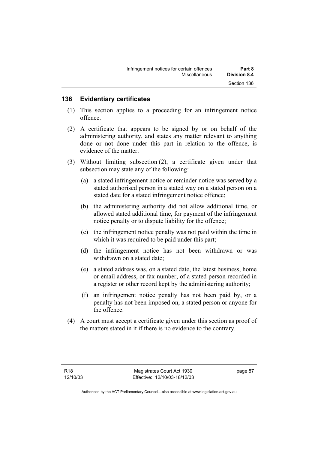## **136 Evidentiary certificates**

- (1) This section applies to a proceeding for an infringement notice offence.
- (2) A certificate that appears to be signed by or on behalf of the administering authority, and states any matter relevant to anything done or not done under this part in relation to the offence, is evidence of the matter.
- (3) Without limiting subsection (2), a certificate given under that subsection may state any of the following:
	- (a) a stated infringement notice or reminder notice was served by a stated authorised person in a stated way on a stated person on a stated date for a stated infringement notice offence;
	- (b) the administering authority did not allow additional time, or allowed stated additional time, for payment of the infringement notice penalty or to dispute liability for the offence;
	- (c) the infringement notice penalty was not paid within the time in which it was required to be paid under this part;
	- (d) the infringement notice has not been withdrawn or was withdrawn on a stated date;
	- (e) a stated address was, on a stated date, the latest business, home or email address, or fax number, of a stated person recorded in a register or other record kept by the administering authority;
	- (f) an infringement notice penalty has not been paid by, or a penalty has not been imposed on, a stated person or anyone for the offence.
- (4) A court must accept a certificate given under this section as proof of the matters stated in it if there is no evidence to the contrary.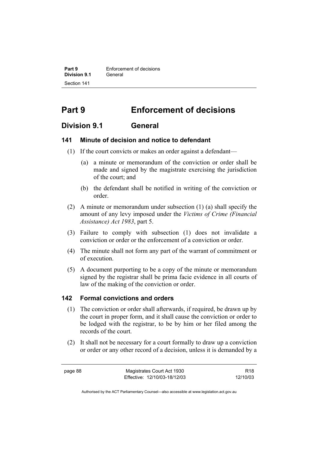**Part 9 Enforcement of decisions Division 9.1** General Section 141

# **Part 9 Enforcement of decisions**

# **Division 9.1 General**

#### **141 Minute of decision and notice to defendant**

- (1) If the court convicts or makes an order against a defendant—
	- (a) a minute or memorandum of the conviction or order shall be made and signed by the magistrate exercising the jurisdiction of the court; and
	- (b) the defendant shall be notified in writing of the conviction or order.
- (2) A minute or memorandum under subsection (1) (a) shall specify the amount of any levy imposed under the *Victims of Crime (Financial Assistance) Act 1983*, part 5.
- (3) Failure to comply with subsection (1) does not invalidate a conviction or order or the enforcement of a conviction or order.
- (4) The minute shall not form any part of the warrant of commitment or of execution.
- (5) A document purporting to be a copy of the minute or memorandum signed by the registrar shall be prima facie evidence in all courts of law of the making of the conviction or order.

#### **142 Formal convictions and orders**

- (1) The conviction or order shall afterwards, if required, be drawn up by the court in proper form, and it shall cause the conviction or order to be lodged with the registrar, to be by him or her filed among the records of the court.
- (2) It shall not be necessary for a court formally to draw up a conviction or order or any other record of a decision, unless it is demanded by a

page 88 Magistrates Court Act 1930 Effective: 12/10/03-18/12/03

R18 12/10/03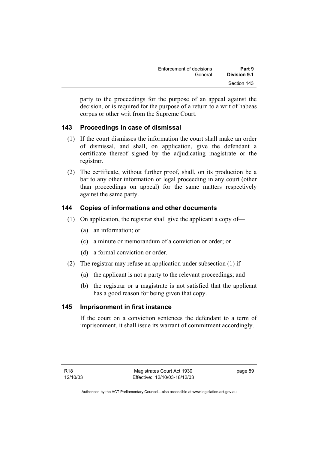| Enforcement of decisions | Part 9       |
|--------------------------|--------------|
| General                  | Division 9.1 |
|                          | Section 143  |

party to the proceedings for the purpose of an appeal against the decision, or is required for the purpose of a return to a writ of habeas corpus or other writ from the Supreme Court.

# **143 Proceedings in case of dismissal**

- (1) If the court dismisses the information the court shall make an order of dismissal, and shall, on application, give the defendant a certificate thereof signed by the adjudicating magistrate or the registrar.
- (2) The certificate, without further proof, shall, on its production be a bar to any other information or legal proceeding in any court (other than proceedings on appeal) for the same matters respectively against the same party.

# **144 Copies of informations and other documents**

- (1) On application, the registrar shall give the applicant a copy of—
	- (a) an information; or
	- (c) a minute or memorandum of a conviction or order; or
	- (d) a formal conviction or order.
- (2) The registrar may refuse an application under subsection (1) if—
	- (a) the applicant is not a party to the relevant proceedings; and
	- (b) the registrar or a magistrate is not satisfied that the applicant has a good reason for being given that copy.

# **145 Imprisonment in first instance**

If the court on a conviction sentences the defendant to a term of imprisonment, it shall issue its warrant of commitment accordingly.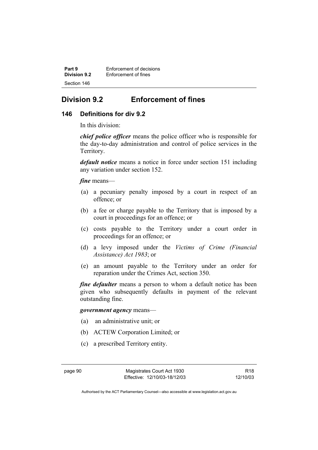**Part 9 Enforcement of decisions**<br>**Division 9.2 Enforcement of fines Enforcement of fines** Section 146

# **Division 9.2 Enforcement of fines**

## **146 Definitions for div 9.2**

In this division:

*chief police officer* means the police officer who is responsible for the day-to-day administration and control of police services in the Territory.

*default notice* means a notice in force under section 151 including any variation under section 152.

*fine* means—

- (a) a pecuniary penalty imposed by a court in respect of an offence; or
- (b) a fee or charge payable to the Territory that is imposed by a court in proceedings for an offence; or
- (c) costs payable to the Territory under a court order in proceedings for an offence; or
- (d) a levy imposed under the *Victims of Crime (Financial Assistance) Act 1983*; or
- (e) an amount payable to the Territory under an order for reparation under the Crimes Act, section 350.

*fine defaulter* means a person to whom a default notice has been given who subsequently defaults in payment of the relevant outstanding fine.

*government agency* means—

- (a) an administrative unit; or
- (b) ACTEW Corporation Limited; or
- (c) a prescribed Territory entity.

R18 12/10/03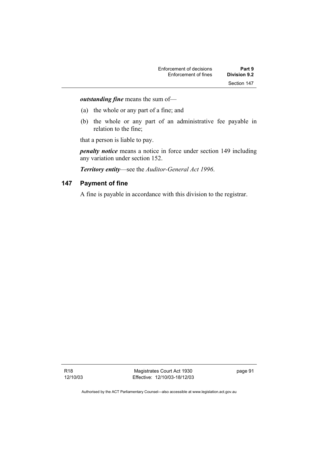*outstanding fine* means the sum of—

- (a) the whole or any part of a fine; and
- (b) the whole or any part of an administrative fee payable in relation to the fine;

that a person is liable to pay.

*penalty notice* means a notice in force under section 149 including any variation under section 152.

*Territory entity*—see the *Auditor-General Act 1996*.

### **147 Payment of fine**

A fine is payable in accordance with this division to the registrar.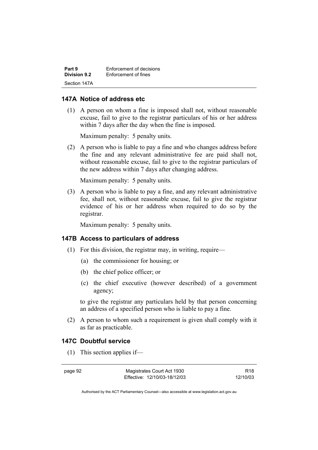| Part 9              | Enforcement of decisions |
|---------------------|--------------------------|
| <b>Division 9.2</b> | Enforcement of fines     |
| Section 147A        |                          |

#### **147A Notice of address etc**

 (1) A person on whom a fine is imposed shall not, without reasonable excuse, fail to give to the registrar particulars of his or her address within 7 days after the day when the fine is imposed.

Maximum penalty: 5 penalty units.

 (2) A person who is liable to pay a fine and who changes address before the fine and any relevant administrative fee are paid shall not, without reasonable excuse, fail to give to the registrar particulars of the new address within 7 days after changing address.

Maximum penalty: 5 penalty units.

 (3) A person who is liable to pay a fine, and any relevant administrative fee, shall not, without reasonable excuse, fail to give the registrar evidence of his or her address when required to do so by the registrar.

Maximum penalty: 5 penalty units.

#### **147B Access to particulars of address**

- (1) For this division, the registrar may, in writing, require—
	- (a) the commissioner for housing; or
	- (b) the chief police officer; or
	- (c) the chief executive (however described) of a government agency;

to give the registrar any particulars held by that person concerning an address of a specified person who is liable to pay a fine.

 (2) A person to whom such a requirement is given shall comply with it as far as practicable.

## **147C Doubtful service**

(1) This section applies if—

page 92 Magistrates Court Act 1930 Effective: 12/10/03-18/12/03

R18 12/10/03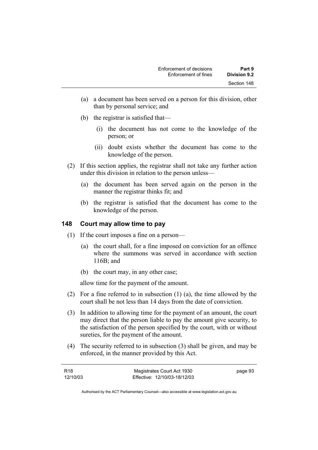- (a) a document has been served on a person for this division, other than by personal service; and
- (b) the registrar is satisfied that—
	- (i) the document has not come to the knowledge of the person; or
	- (ii) doubt exists whether the document has come to the knowledge of the person.
- (2) If this section applies, the registrar shall not take any further action under this division in relation to the person unless—
	- (a) the document has been served again on the person in the manner the registrar thinks fit; and
	- (b) the registrar is satisfied that the document has come to the knowledge of the person.

# **148 Court may allow time to pay**

- (1) If the court imposes a fine on a person—
	- (a) the court shall, for a fine imposed on conviction for an offence where the summons was served in accordance with section 116B; and
	- (b) the court may, in any other case;

allow time for the payment of the amount.

- (2) For a fine referred to in subsection (1) (a), the time allowed by the court shall be not less than 14 days from the date of conviction.
- (3) In addition to allowing time for the payment of an amount, the court may direct that the person liable to pay the amount give security, to the satisfaction of the person specified by the court, with or without sureties, for the payment of the amount.
- (4) The security referred to in subsection (3) shall be given, and may be enforced, in the manner provided by this Act.

| R18      | Magistrates Court Act 1930   | page 93 |
|----------|------------------------------|---------|
| 12/10/03 | Effective: 12/10/03-18/12/03 |         |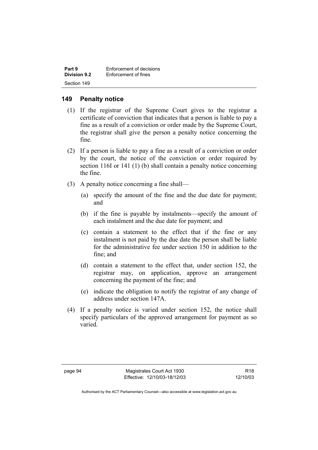| Part 9              | Enforcement of decisions |
|---------------------|--------------------------|
| <b>Division 9.2</b> | Enforcement of fines     |
| Section 149         |                          |

## **149 Penalty notice**

- (1) If the registrar of the Supreme Court gives to the registrar a certificate of conviction that indicates that a person is liable to pay a fine as a result of a conviction or order made by the Supreme Court, the registrar shall give the person a penalty notice concerning the fine.
- (2) If a person is liable to pay a fine as a result of a conviction or order by the court, the notice of the conviction or order required by section 116I or 141 (1) (b) shall contain a penalty notice concerning the fine.
- (3) A penalty notice concerning a fine shall—
	- (a) specify the amount of the fine and the due date for payment; and
	- (b) if the fine is payable by instalments—specify the amount of each instalment and the due date for payment; and
	- (c) contain a statement to the effect that if the fine or any instalment is not paid by the due date the person shall be liable for the administrative fee under section 150 in addition to the fine; and
	- (d) contain a statement to the effect that, under section 152, the registrar may, on application, approve an arrangement concerning the payment of the fine; and
	- (e) indicate the obligation to notify the registrar of any change of address under section 147A.
- (4) If a penalty notice is varied under section 152, the notice shall specify particulars of the approved arrangement for payment as so varied.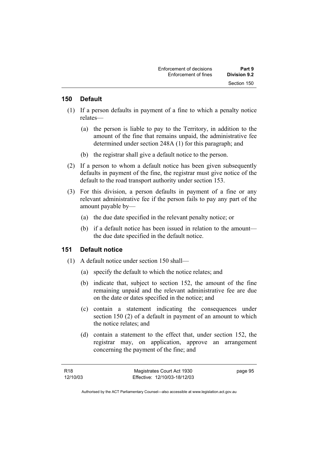#### **150 Default**

- (1) If a person defaults in payment of a fine to which a penalty notice relates—
	- (a) the person is liable to pay to the Territory, in addition to the amount of the fine that remains unpaid, the administrative fee determined under section 248A (1) for this paragraph; and
	- (b) the registrar shall give a default notice to the person.
- (2) If a person to whom a default notice has been given subsequently defaults in payment of the fine, the registrar must give notice of the default to the road transport authority under section 153.
- (3) For this division, a person defaults in payment of a fine or any relevant administrative fee if the person fails to pay any part of the amount payable by—
	- (a) the due date specified in the relevant penalty notice; or
	- (b) if a default notice has been issued in relation to the amount the due date specified in the default notice.

#### **151 Default notice**

- (1) A default notice under section 150 shall—
	- (a) specify the default to which the notice relates; and
	- (b) indicate that, subject to section 152, the amount of the fine remaining unpaid and the relevant administrative fee are due on the date or dates specified in the notice; and
	- (c) contain a statement indicating the consequences under section 150 (2) of a default in payment of an amount to which the notice relates; and
	- (d) contain a statement to the effect that, under section 152, the registrar may, on application, approve an arrangement concerning the payment of the fine; and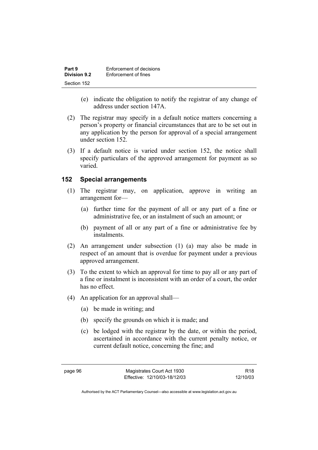| Part 9              | Enforcement of decisions |
|---------------------|--------------------------|
| <b>Division 9.2</b> | Enforcement of fines     |
| Section 152         |                          |

- (e) indicate the obligation to notify the registrar of any change of address under section 147A.
- (2) The registrar may specify in a default notice matters concerning a person's property or financial circumstances that are to be set out in any application by the person for approval of a special arrangement under section 152.
- (3) If a default notice is varied under section 152, the notice shall specify particulars of the approved arrangement for payment as so varied.

#### **152 Special arrangements**

- (1) The registrar may, on application, approve in writing an arrangement for—
	- (a) further time for the payment of all or any part of a fine or administrative fee, or an instalment of such an amount; or
	- (b) payment of all or any part of a fine or administrative fee by instalments.
- (2) An arrangement under subsection (1) (a) may also be made in respect of an amount that is overdue for payment under a previous approved arrangement.
- (3) To the extent to which an approval for time to pay all or any part of a fine or instalment is inconsistent with an order of a court, the order has no effect.
- (4) An application for an approval shall—
	- (a) be made in writing; and
	- (b) specify the grounds on which it is made; and
	- (c) be lodged with the registrar by the date, or within the period, ascertained in accordance with the current penalty notice, or current default notice, concerning the fine; and

R18 12/10/03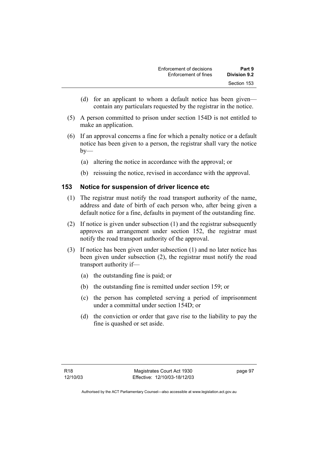- (d) for an applicant to whom a default notice has been given contain any particulars requested by the registrar in the notice.
- (5) A person committed to prison under section 154D is not entitled to make an application.
- (6) If an approval concerns a fine for which a penalty notice or a default notice has been given to a person, the registrar shall vary the notice  $by-$ 
	- (a) altering the notice in accordance with the approval; or
	- (b) reissuing the notice, revised in accordance with the approval.

# **153 Notice for suspension of driver licence etc**

- (1) The registrar must notify the road transport authority of the name, address and date of birth of each person who, after being given a default notice for a fine, defaults in payment of the outstanding fine.
- (2) If notice is given under subsection (1) and the registrar subsequently approves an arrangement under section 152, the registrar must notify the road transport authority of the approval.
- (3) If notice has been given under subsection (1) and no later notice has been given under subsection (2), the registrar must notify the road transport authority if—
	- (a) the outstanding fine is paid; or
	- (b) the outstanding fine is remitted under section 159; or
	- (c) the person has completed serving a period of imprisonment under a committal under section 154D; or
	- (d) the conviction or order that gave rise to the liability to pay the fine is quashed or set aside.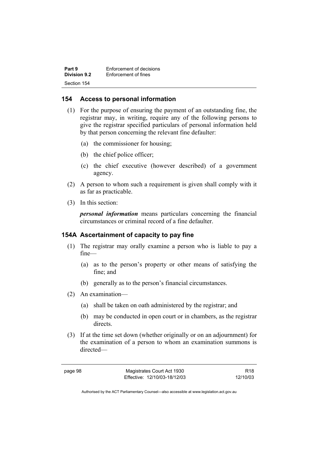| Part 9              | Enforcement of decisions |
|---------------------|--------------------------|
| <b>Division 9.2</b> | Enforcement of fines     |
| Section 154         |                          |

### **154 Access to personal information**

- (1) For the purpose of ensuring the payment of an outstanding fine, the registrar may, in writing, require any of the following persons to give the registrar specified particulars of personal information held by that person concerning the relevant fine defaulter:
	- (a) the commissioner for housing;
	- (b) the chief police officer;
	- (c) the chief executive (however described) of a government agency.
- (2) A person to whom such a requirement is given shall comply with it as far as practicable.
- (3) In this section:

*personal information* means particulars concerning the financial circumstances or criminal record of a fine defaulter.

#### **154A Ascertainment of capacity to pay fine**

- (1) The registrar may orally examine a person who is liable to pay a fine—
	- (a) as to the person's property or other means of satisfying the fine; and
	- (b) generally as to the person's financial circumstances.
- (2) An examination—
	- (a) shall be taken on oath administered by the registrar; and
	- (b) may be conducted in open court or in chambers, as the registrar directs.
- (3) If at the time set down (whether originally or on an adjournment) for the examination of a person to whom an examination summons is directed—

| ĸ<br>r<br>r. | . . |
|--------------|-----|
|--------------|-----|

Magistrates Court Act 1930 Effective: 12/10/03-18/12/03

R18 12/10/03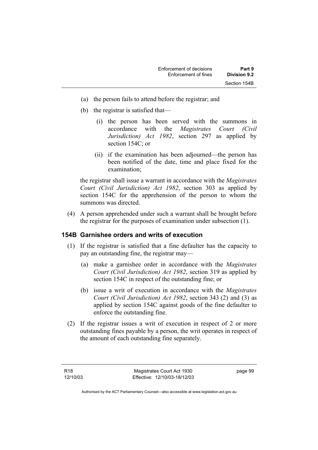- (a) the person fails to attend before the registrar; and
- (b) the registrar is satisfied that—
	- (i) the person has been served with the summons in accordance with the *Magistrates Court (Civil Jurisdiction) Act 1982*, section 297 as applied by section 154C; or
	- (ii) if the examination has been adjourned—the person has been notified of the date, time and place fixed for the examination;

the registrar shall issue a warrant in accordance with the *Magistrates Court (Civil Jurisdiction) Act 1982*, section 303 as applied by section 154C for the apprehension of the person to whom the summons was directed.

 (4) A person apprehended under such a warrant shall be brought before the registrar for the purposes of examination under subsection (1).

#### **154B Garnishee orders and writs of execution**

- (1) If the registrar is satisfied that a fine defaulter has the capacity to pay an outstanding fine, the registrar may—
	- (a) make a garnishee order in accordance with the *Magistrates Court (Civil Jurisdiction) Act 1982*, section 319 as applied by section 154C in respect of the outstanding fine; or
	- (b) issue a writ of execution in accordance with the *Magistrates Court (Civil Jurisdiction) Act 1982*, section 343 (2) and (3) as applied by section 154C against goods of the fine defaulter to enforce the outstanding fine.
- (2) If the registrar issues a writ of execution in respect of 2 or more outstanding fines payable by a person, the writ operates in respect of the amount of each outstanding fine separately.

page 99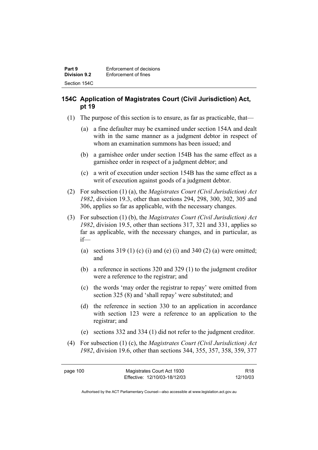# **154C Application of Magistrates Court (Civil Jurisdiction) Act, pt 19**

- (1) The purpose of this section is to ensure, as far as practicable, that—
	- (a) a fine defaulter may be examined under section 154A and dealt with in the same manner as a judgment debtor in respect of whom an examination summons has been issued; and
	- (b) a garnishee order under section 154B has the same effect as a garnishee order in respect of a judgment debtor; and
	- (c) a writ of execution under section 154B has the same effect as a writ of execution against goods of a judgment debtor.
- (2) For subsection (1) (a), the *Magistrates Court (Civil Jurisdiction) Act 1982*, division 19.3, other than sections 294, 298, 300, 302, 305 and 306, applies so far as applicable, with the necessary changes.
- (3) For subsection (1) (b), the *Magistrates Court (Civil Jurisdiction) Act 1982*, division 19.5, other than sections 317, 321 and 331, applies so far as applicable, with the necessary changes, and in particular, as if—
	- (a) sections  $319(1)$  (c) (i) and (e) (i) and  $340(2)$  (a) were omitted; and
	- (b) a reference in sections 320 and 329 (1) to the judgment creditor were a reference to the registrar; and
	- (c) the words 'may order the registrar to repay' were omitted from section 325 (8) and 'shall repay' were substituted; and
	- (d) the reference in section 330 to an application in accordance with section 123 were a reference to an application to the registrar; and
	- (e) sections 332 and 334 (1) did not refer to the judgment creditor.
- (4) For subsection (1) (c), the *Magistrates Court (Civil Jurisdiction) Act 1982*, division 19.6, other than sections 344, 355, 357, 358, 359, 377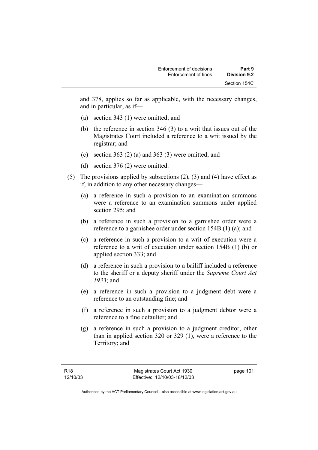and 378, applies so far as applicable, with the necessary changes, and in particular, as if—

- (a) section 343 (1) were omitted; and
- (b) the reference in section 346 (3) to a writ that issues out of the Magistrates Court included a reference to a writ issued by the registrar; and
- (c) section 363 (2) (a) and 363 (3) were omitted; and
- (d) section 376 (2) were omitted.
- (5) The provisions applied by subsections (2), (3) and (4) have effect as if, in addition to any other necessary changes—
	- (a) a reference in such a provision to an examination summons were a reference to an examination summons under applied section 295; and
	- (b) a reference in such a provision to a garnishee order were a reference to a garnishee order under section 154B (1) (a); and
	- (c) a reference in such a provision to a writ of execution were a reference to a writ of execution under section 154B (1) (b) or applied section 333; and
	- (d) a reference in such a provision to a bailiff included a reference to the sheriff or a deputy sheriff under the *Supreme Court Act 1933*; and
	- (e) a reference in such a provision to a judgment debt were a reference to an outstanding fine; and
	- (f) a reference in such a provision to a judgment debtor were a reference to a fine defaulter; and
	- (g) a reference in such a provision to a judgment creditor, other than in applied section 320 or 329 (1), were a reference to the Territory; and

page 101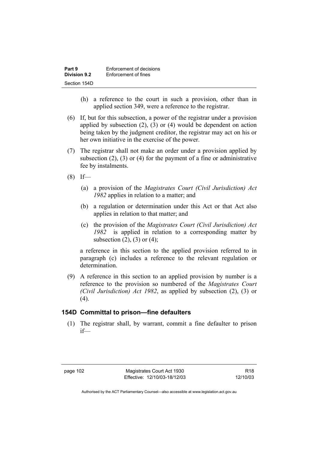| Part 9       | Enforcement of decisions |
|--------------|--------------------------|
| Division 9.2 | Enforcement of fines     |
| Section 154D |                          |

- (h) a reference to the court in such a provision, other than in applied section 349, were a reference to the registrar.
- (6) If, but for this subsection, a power of the registrar under a provision applied by subsection (2), (3) or (4) would be dependent on action being taken by the judgment creditor, the registrar may act on his or her own initiative in the exercise of the power.
- (7) The registrar shall not make an order under a provision applied by subsection  $(2)$ ,  $(3)$  or  $(4)$  for the payment of a fine or administrative fee by instalments.
- $(8)$  If—
	- (a) a provision of the *Magistrates Court (Civil Jurisdiction) Act 1982* applies in relation to a matter; and
	- (b) a regulation or determination under this Act or that Act also applies in relation to that matter; and
	- (c) the provision of the *Magistrates Court (Civil Jurisdiction) Act 1982* is applied in relation to a corresponding matter by subsection  $(2)$ ,  $(3)$  or  $(4)$ ;

a reference in this section to the applied provision referred to in paragraph (c) includes a reference to the relevant regulation or determination.

 (9) A reference in this section to an applied provision by number is a reference to the provision so numbered of the *Magistrates Court (Civil Jurisdiction) Act 1982*, as applied by subsection (2), (3) or  $(4)$ .

#### **154D Committal to prison—fine defaulters**

 (1) The registrar shall, by warrant, commit a fine defaulter to prison if—

R18 12/10/03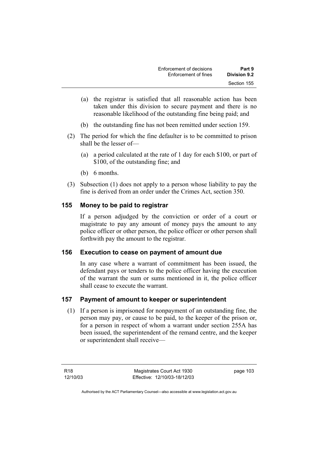| Enforcement of decisions | Part 9       |
|--------------------------|--------------|
| Enforcement of fines     | Division 9.2 |
|                          | Section 155  |

- (a) the registrar is satisfied that all reasonable action has been taken under this division to secure payment and there is no reasonable likelihood of the outstanding fine being paid; and
- (b) the outstanding fine has not been remitted under section 159.
- (2) The period for which the fine defaulter is to be committed to prison shall be the lesser of—
	- (a) a period calculated at the rate of 1 day for each \$100, or part of \$100, of the outstanding fine; and
	- (b) 6 months.
- (3) Subsection (1) does not apply to a person whose liability to pay the fine is derived from an order under the Crimes Act, section 350.

### **155 Money to be paid to registrar**

If a person adjudged by the conviction or order of a court or magistrate to pay any amount of money pays the amount to any police officer or other person, the police officer or other person shall forthwith pay the amount to the registrar.

#### **156 Execution to cease on payment of amount due**

In any case where a warrant of commitment has been issued, the defendant pays or tenders to the police officer having the execution of the warrant the sum or sums mentioned in it, the police officer shall cease to execute the warrant.

# **157 Payment of amount to keeper or superintendent**

 (1) If a person is imprisoned for nonpayment of an outstanding fine, the person may pay, or cause to be paid, to the keeper of the prison or, for a person in respect of whom a warrant under section 255A has been issued, the superintendent of the remand centre, and the keeper or superintendent shall receive—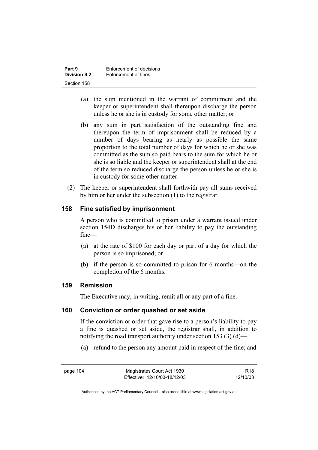| Part 9              | Enforcement of decisions |
|---------------------|--------------------------|
| <b>Division 9.2</b> | Enforcement of fines     |
| Section 158         |                          |

- (a) the sum mentioned in the warrant of commitment and the keeper or superintendent shall thereupon discharge the person unless he or she is in custody for some other matter; or
- (b) any sum in part satisfaction of the outstanding fine and thereupon the term of imprisonment shall be reduced by a number of days bearing as nearly as possible the same proportion to the total number of days for which he or she was committed as the sum so paid bears to the sum for which he or she is so liable and the keeper or superintendent shall at the end of the term so reduced discharge the person unless he or she is in custody for some other matter.
- (2) The keeper or superintendent shall forthwith pay all sums received by him or her under the subsection (1) to the registrar.

### **158 Fine satisfied by imprisonment**

A person who is committed to prison under a warrant issued under section 154D discharges his or her liability to pay the outstanding fine—

- (a) at the rate of \$100 for each day or part of a day for which the person is so imprisoned; or
- (b) if the person is so committed to prison for 6 months—on the completion of the 6 months.

#### **159 Remission**

The Executive may, in writing, remit all or any part of a fine.

#### **160 Conviction or order quashed or set aside**

If the conviction or order that gave rise to a person's liability to pay a fine is quashed or set aside, the registrar shall, in addition to notifying the road transport authority under section 153 (3) (d)—

(a) refund to the person any amount paid in respect of the fine; and

R18 12/10/03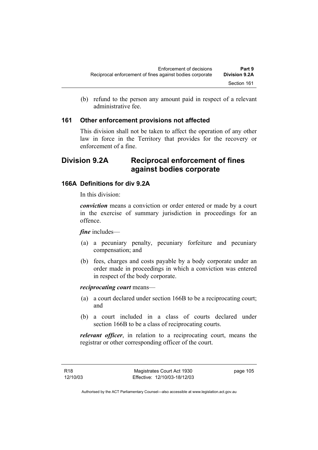(b) refund to the person any amount paid in respect of a relevant administrative fee.

### **161 Other enforcement provisions not affected**

This division shall not be taken to affect the operation of any other law in force in the Territory that provides for the recovery or enforcement of a fine.

# **Division 9.2A Reciprocal enforcement of fines against bodies corporate**

# **166A Definitions for div 9.2A**

In this division:

*conviction* means a conviction or order entered or made by a court in the exercise of summary jurisdiction in proceedings for an offence.

*fine* includes—

- (a) a pecuniary penalty, pecuniary forfeiture and pecuniary compensation; and
- (b) fees, charges and costs payable by a body corporate under an order made in proceedings in which a conviction was entered in respect of the body corporate.

*reciprocating court* means—

- (a) a court declared under section 166B to be a reciprocating court; and
- (b) a court included in a class of courts declared under section 166B to be a class of reciprocating courts.

*relevant officer*, in relation to a reciprocating court, means the registrar or other corresponding officer of the court.

R18 12/10/03 page 105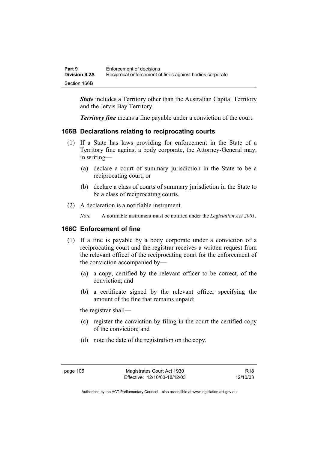| Part 9               | Enforcement of decisions                                 |
|----------------------|----------------------------------------------------------|
| <b>Division 9.2A</b> | Reciprocal enforcement of fines against bodies corporate |
| Section 166B         |                                                          |

*State* includes a Territory other than the Australian Capital Territory and the Jervis Bay Territory.

*Territory fine* means a fine payable under a conviction of the court.

# **166B Declarations relating to reciprocating courts**

- (1) If a State has laws providing for enforcement in the State of a Territory fine against a body corporate, the Attorney-General may, in writing—
	- (a) declare a court of summary jurisdiction in the State to be a reciprocating court; or
	- (b) declare a class of courts of summary jurisdiction in the State to be a class of reciprocating courts.
- (2) A declaration is a notifiable instrument.
	- *Note* A notifiable instrument must be notified under the *Legislation Act 2001*.

# **166C Enforcement of fine**

- (1) If a fine is payable by a body corporate under a conviction of a reciprocating court and the registrar receives a written request from the relevant officer of the reciprocating court for the enforcement of the conviction accompanied by—
	- (a) a copy, certified by the relevant officer to be correct, of the conviction; and
	- (b) a certificate signed by the relevant officer specifying the amount of the fine that remains unpaid;

the registrar shall—

- (c) register the conviction by filing in the court the certified copy of the conviction; and
- (d) note the date of the registration on the copy.

R18 12/10/03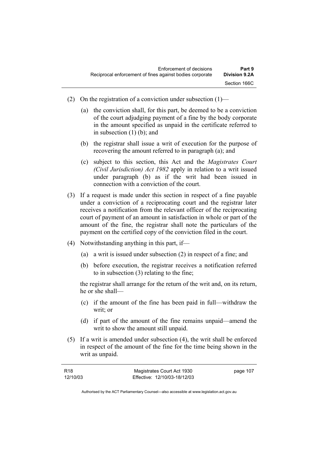- (2) On the registration of a conviction under subsection  $(1)$ 
	- (a) the conviction shall, for this part, be deemed to be a conviction of the court adjudging payment of a fine by the body corporate in the amount specified as unpaid in the certificate referred to in subsection (1) (b); and
	- (b) the registrar shall issue a writ of execution for the purpose of recovering the amount referred to in paragraph (a); and
	- (c) subject to this section, this Act and the *Magistrates Court (Civil Jurisdiction) Act 1982* apply in relation to a writ issued under paragraph (b) as if the writ had been issued in connection with a conviction of the court.
- (3) If a request is made under this section in respect of a fine payable under a conviction of a reciprocating court and the registrar later receives a notification from the relevant officer of the reciprocating court of payment of an amount in satisfaction in whole or part of the amount of the fine, the registrar shall note the particulars of the payment on the certified copy of the conviction filed in the court.
- (4) Notwithstanding anything in this part, if—
	- (a) a writ is issued under subsection (2) in respect of a fine; and
	- (b) before execution, the registrar receives a notification referred to in subsection (3) relating to the fine;

the registrar shall arrange for the return of the writ and, on its return, he or she shall—

- (c) if the amount of the fine has been paid in full—withdraw the writ; or
- (d) if part of the amount of the fine remains unpaid—amend the writ to show the amount still unpaid.
- (5) If a writ is amended under subsection (4), the writ shall be enforced in respect of the amount of the fine for the time being shown in the writ as unpaid.

| R18      | Magistrates Court Act 1930   | page 107 |
|----------|------------------------------|----------|
| 12/10/03 | Effective: 12/10/03-18/12/03 |          |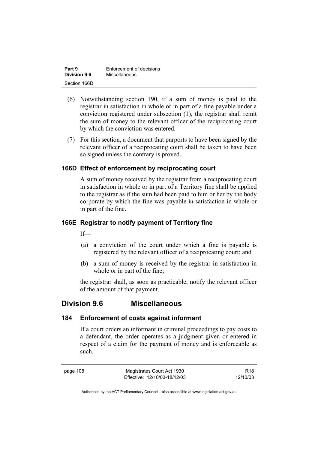| Part 9              | Enforcement of decisions |
|---------------------|--------------------------|
| <b>Division 9.6</b> | Miscellaneous            |
| Section 166D        |                          |

- (6) Notwithstanding section 190, if a sum of money is paid to the registrar in satisfaction in whole or in part of a fine payable under a conviction registered under subsection (1), the registrar shall remit the sum of money to the relevant officer of the reciprocating court by which the conviction was entered.
- (7) For this section, a document that purports to have been signed by the relevant officer of a reciprocating court shall be taken to have been so signed unless the contrary is proved.

### **166D Effect of enforcement by reciprocating court**

A sum of money received by the registrar from a reciprocating court in satisfaction in whole or in part of a Territory fine shall be applied to the registrar as if the sum had been paid to him or her by the body corporate by which the fine was payable in satisfaction in whole or in part of the fine.

### **166E Registrar to notify payment of Territory fine**

If—

- (a) a conviction of the court under which a fine is payable is registered by the relevant officer of a reciprocating court; and
- (b) a sum of money is received by the registrar in satisfaction in whole or in part of the fine;

the registrar shall, as soon as practicable, notify the relevant officer of the amount of that payment.

# **Division 9.6 Miscellaneous**

#### **184 Enforcement of costs against informant**

If a court orders an informant in criminal proceedings to pay costs to a defendant, the order operates as a judgment given or entered in respect of a claim for the payment of money and is enforceable as such.

page 108 Magistrates Court Act 1930 Effective: 12/10/03-18/12/03

R18 12/10/03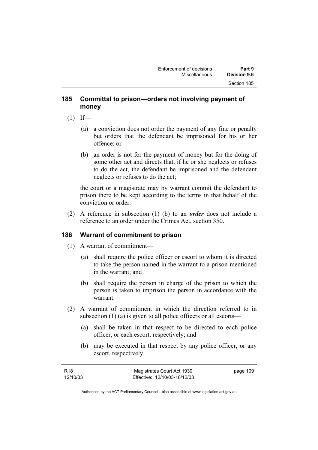### **185 Committal to prison—orders not involving payment of money**

- $(1)$  If—
	- (a) a conviction does not order the payment of any fine or penalty but orders that the defendant be imprisoned for his or her offence; or
	- (b) an order is not for the payment of money but for the doing of some other act and directs that, if he or she neglects or refuses to do the act, the defendant be imprisoned and the defendant neglects or refuses to do the act;

the court or a magistrate may by warrant commit the defendant to prison there to be kept according to the terms in that behalf of the conviction or order.

 (2) A reference in subsection (1) (b) to an *order* does not include a reference to an order under the Crimes Act, section 350.

# **186 Warrant of commitment to prison**

- (1) A warrant of commitment—
	- (a) shall require the police officer or escort to whom it is directed to take the person named in the warrant to a prison mentioned in the warrant; and
	- (b) shall require the person in charge of the prison to which the person is taken to imprison the person in accordance with the warrant.
- (2) A warrant of commitment in which the direction referred to in subsection (1) (a) is given to all police officers or all escorts—
	- (a) shall be taken in that respect to be directed to each police officer, or each escort, respectively; and
	- (b) may be executed in that respect by any police officer, or any escort, respectively.

| R18      | Magistrates Court Act 1930   | page 109 |
|----------|------------------------------|----------|
| 12/10/03 | Effective: 12/10/03-18/12/03 |          |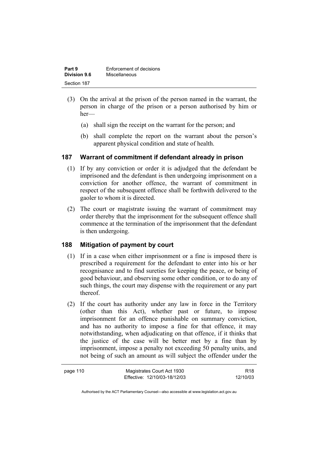| Part 9              | Enforcement of decisions |
|---------------------|--------------------------|
| <b>Division 9.6</b> | Miscellaneous            |
| Section 187         |                          |

- (3) On the arrival at the prison of the person named in the warrant, the person in charge of the prison or a person authorised by him or her—
	- (a) shall sign the receipt on the warrant for the person; and
	- (b) shall complete the report on the warrant about the person's apparent physical condition and state of health.

# **187 Warrant of commitment if defendant already in prison**

- (1) If by any conviction or order it is adjudged that the defendant be imprisoned and the defendant is then undergoing imprisonment on a conviction for another offence, the warrant of commitment in respect of the subsequent offence shall be forthwith delivered to the gaoler to whom it is directed.
- (2) The court or magistrate issuing the warrant of commitment may order thereby that the imprisonment for the subsequent offence shall commence at the termination of the imprisonment that the defendant is then undergoing.

# **188 Mitigation of payment by court**

- (1) If in a case when either imprisonment or a fine is imposed there is prescribed a requirement for the defendant to enter into his or her recognisance and to find sureties for keeping the peace, or being of good behaviour, and observing some other condition, or to do any of such things, the court may dispense with the requirement or any part thereof.
- (2) If the court has authority under any law in force in the Territory (other than this Act), whether past or future, to impose imprisonment for an offence punishable on summary conviction, and has no authority to impose a fine for that offence, it may notwithstanding, when adjudicating on that offence, if it thinks that the justice of the case will be better met by a fine than by imprisonment, impose a penalty not exceeding 50 penalty units, and not being of such an amount as will subject the offender under the

| page 110 | Magistrates Court Act 1930   | R <sub>18</sub> |
|----------|------------------------------|-----------------|
|          | Effective: 12/10/03-18/12/03 | 12/10/03        |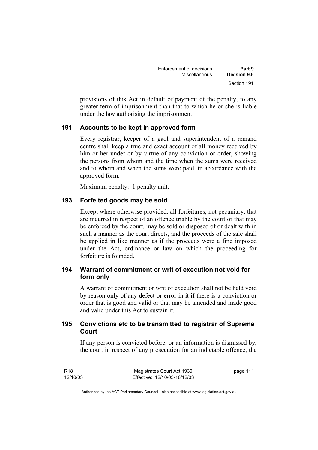| Enforcement of decisions | Part 9              |
|--------------------------|---------------------|
| <b>Miscellaneous</b>     | <b>Division 9.6</b> |
|                          | Section 191         |

provisions of this Act in default of payment of the penalty, to any greater term of imprisonment than that to which he or she is liable under the law authorising the imprisonment.

### **191 Accounts to be kept in approved form**

Every registrar, keeper of a gaol and superintendent of a remand centre shall keep a true and exact account of all money received by him or her under or by virtue of any conviction or order, showing the persons from whom and the time when the sums were received and to whom and when the sums were paid, in accordance with the approved form.

Maximum penalty: 1 penalty unit.

### **193 Forfeited goods may be sold**

Except where otherwise provided, all forfeitures, not pecuniary, that are incurred in respect of an offence triable by the court or that may be enforced by the court, may be sold or disposed of or dealt with in such a manner as the court directs, and the proceeds of the sale shall be applied in like manner as if the proceeds were a fine imposed under the Act, ordinance or law on which the proceeding for forfeiture is founded.

# **194 Warrant of commitment or writ of execution not void for form only**

A warrant of commitment or writ of execution shall not be held void by reason only of any defect or error in it if there is a conviction or order that is good and valid or that may be amended and made good and valid under this Act to sustain it.

# **195 Convictions etc to be transmitted to registrar of Supreme Court**

If any person is convicted before, or an information is dismissed by, the court in respect of any prosecution for an indictable offence, the

R18 12/10/03 Magistrates Court Act 1930 Effective: 12/10/03-18/12/03 page 111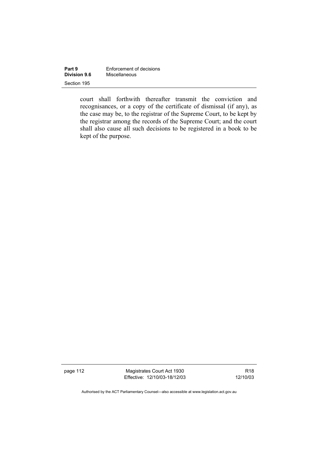| Part 9              | Enforcement of decisions |  |
|---------------------|--------------------------|--|
| <b>Division 9.6</b> | Miscellaneous            |  |
| Section 195         |                          |  |

court shall forthwith thereafter transmit the conviction and recognisances, or a copy of the certificate of dismissal (if any), as the case may be, to the registrar of the Supreme Court, to be kept by the registrar among the records of the Supreme Court; and the court shall also cause all such decisions to be registered in a book to be kept of the purpose.

page 112 Magistrates Court Act 1930 Effective: 12/10/03-18/12/03

R18 12/10/03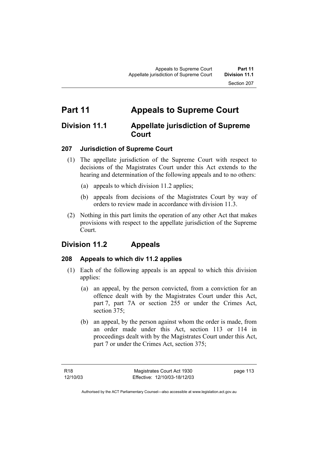# **Part 11 Appeals to Supreme Court**

# **Division 11.1 Appellate jurisdiction of Supreme Court**

# **207 Jurisdiction of Supreme Court**

- (1) The appellate jurisdiction of the Supreme Court with respect to decisions of the Magistrates Court under this Act extends to the hearing and determination of the following appeals and to no others:
	- (a) appeals to which division 11.2 applies;
	- (b) appeals from decisions of the Magistrates Court by way of orders to review made in accordance with division 11.3.
- (2) Nothing in this part limits the operation of any other Act that makes provisions with respect to the appellate jurisdiction of the Supreme Court.

# **Division 11.2 Appeals**

#### **208 Appeals to which div 11.2 applies**

- (1) Each of the following appeals is an appeal to which this division applies:
	- (a) an appeal, by the person convicted, from a conviction for an offence dealt with by the Magistrates Court under this Act, part 7, part 7A or section 255 or under the Crimes Act, section 375;
	- (b) an appeal, by the person against whom the order is made, from an order made under this Act, section 113 or 114 in proceedings dealt with by the Magistrates Court under this Act, part 7 or under the Crimes Act, section 375;

page 113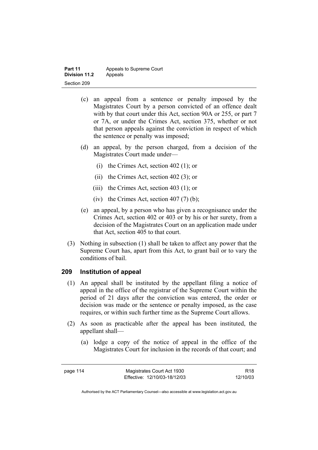| Part 11              | Appeals to Supreme Court |  |
|----------------------|--------------------------|--|
| <b>Division 11.2</b> | Appeals                  |  |
| Section 209          |                          |  |

- (c) an appeal from a sentence or penalty imposed by the Magistrates Court by a person convicted of an offence dealt with by that court under this Act, section 90A or 255, or part 7 or 7A, or under the Crimes Act, section 375, whether or not that person appeals against the conviction in respect of which the sentence or penalty was imposed;
- (d) an appeal, by the person charged, from a decision of the Magistrates Court made under—
	- (i) the Crimes Act, section 402 (1); or
	- (ii) the Crimes Act, section 402 (3); or
	- (iii) the Crimes Act, section 403 (1); or
	- (iv) the Crimes Act, section  $407(7)$  (b);
- (e) an appeal, by a person who has given a recognisance under the Crimes Act, section 402 or 403 or by his or her surety, from a decision of the Magistrates Court on an application made under that Act, section 405 to that court.
- (3) Nothing in subsection (1) shall be taken to affect any power that the Supreme Court has, apart from this Act, to grant bail or to vary the conditions of bail.

#### **209 Institution of appeal**

- (1) An appeal shall be instituted by the appellant filing a notice of appeal in the office of the registrar of the Supreme Court within the period of 21 days after the conviction was entered, the order or decision was made or the sentence or penalty imposed, as the case requires, or within such further time as the Supreme Court allows.
- (2) As soon as practicable after the appeal has been instituted, the appellant shall—
	- (a) lodge a copy of the notice of appeal in the office of the Magistrates Court for inclusion in the records of that court; and

page 114 Magistrates Court Act 1930 Effective: 12/10/03-18/12/03

R18 12/10/03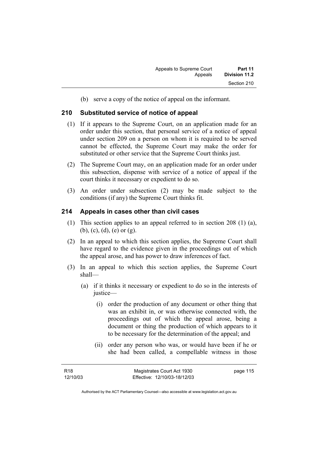(b) serve a copy of the notice of appeal on the informant.

#### **210 Substituted service of notice of appeal**

- (1) If it appears to the Supreme Court, on an application made for an order under this section, that personal service of a notice of appeal under section 209 on a person on whom it is required to be served cannot be effected, the Supreme Court may make the order for substituted or other service that the Supreme Court thinks just.
- (2) The Supreme Court may, on an application made for an order under this subsection, dispense with service of a notice of appeal if the court thinks it necessary or expedient to do so.
- (3) An order under subsection (2) may be made subject to the conditions (if any) the Supreme Court thinks fit.

#### **214 Appeals in cases other than civil cases**

- (1) This section applies to an appeal referred to in section 208 (1) (a), (b), (c), (d), (e) or (g).
- (2) In an appeal to which this section applies, the Supreme Court shall have regard to the evidence given in the proceedings out of which the appeal arose, and has power to draw inferences of fact.
- (3) In an appeal to which this section applies, the Supreme Court shall—
	- (a) if it thinks it necessary or expedient to do so in the interests of justice—
		- (i) order the production of any document or other thing that was an exhibit in, or was otherwise connected with, the proceedings out of which the appeal arose, being a document or thing the production of which appears to it to be necessary for the determination of the appeal; and
		- (ii) order any person who was, or would have been if he or she had been called, a compellable witness in those

page 115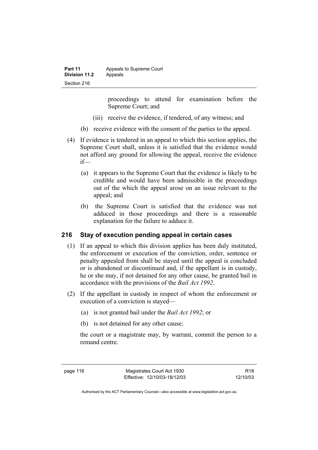| Part 11       | Appeals to Supreme Court |  |
|---------------|--------------------------|--|
| Division 11.2 | Appeals                  |  |
| Section 216   |                          |  |

proceedings to attend for examination before the Supreme Court; and

- (iii) receive the evidence, if tendered, of any witness; and
- (b) receive evidence with the consent of the parties to the appeal.
- (4) If evidence is tendered in an appeal to which this section applies, the Supreme Court shall, unless it is satisfied that the evidence would not afford any ground for allowing the appeal, receive the evidence if—
	- (a) it appears to the Supreme Court that the evidence is likely to be credible and would have been admissible in the proceedings out of the which the appeal arose on an issue relevant to the appeal; and
	- (b) the Supreme Court is satisfied that the evidence was not adduced in those proceedings and there is a reasonable explanation for the failure to adduce it.

#### **216 Stay of execution pending appeal in certain cases**

- (1) If an appeal to which this division applies has been duly instituted, the enforcement or execution of the conviction, order, sentence or penalty appealed from shall be stayed until the appeal is concluded or is abandoned or discontinued and, if the appellant is in custody, he or she may, if not detained for any other cause, be granted bail in accordance with the provisions of the *Bail Act 1992*.
- (2) If the appellant in custody in respect of whom the enforcement or execution of a conviction is stayed—
	- (a) is not granted bail under the *Bail Act 1992*; or
	- (b) is not detained for any other cause;

the court or a magistrate may, by warrant, commit the person to a remand centre.

page 116 Magistrates Court Act 1930 Effective: 12/10/03-18/12/03

R18 12/10/03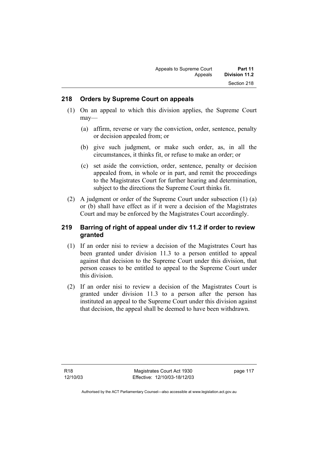#### **218 Orders by Supreme Court on appeals**

- (1) On an appeal to which this division applies, the Supreme Court may—
	- (a) affirm, reverse or vary the conviction, order, sentence, penalty or decision appealed from; or
	- (b) give such judgment, or make such order, as, in all the circumstances, it thinks fit, or refuse to make an order; or
	- (c) set aside the conviction, order, sentence, penalty or decision appealed from, in whole or in part, and remit the proceedings to the Magistrates Court for further hearing and determination, subject to the directions the Supreme Court thinks fit.
- (2) A judgment or order of the Supreme Court under subsection (1) (a) or (b) shall have effect as if it were a decision of the Magistrates Court and may be enforced by the Magistrates Court accordingly.

### **219 Barring of right of appeal under div 11.2 if order to review granted**

- (1) If an order nisi to review a decision of the Magistrates Court has been granted under division 11.3 to a person entitled to appeal against that decision to the Supreme Court under this division, that person ceases to be entitled to appeal to the Supreme Court under this division.
- (2) If an order nisi to review a decision of the Magistrates Court is granted under division 11.3 to a person after the person has instituted an appeal to the Supreme Court under this division against that decision, the appeal shall be deemed to have been withdrawn.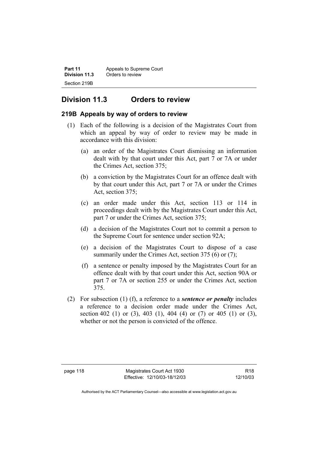| Part 11       | Appeals to Supreme Court |  |
|---------------|--------------------------|--|
| Division 11.3 | Orders to review         |  |
| Section 219B  |                          |  |

# **Division 11.3 Orders to review**

### **219B Appeals by way of orders to review**

- (1) Each of the following is a decision of the Magistrates Court from which an appeal by way of order to review may be made in accordance with this division:
	- (a) an order of the Magistrates Court dismissing an information dealt with by that court under this Act, part 7 or 7A or under the Crimes Act, section 375;
	- (b) a conviction by the Magistrates Court for an offence dealt with by that court under this Act, part 7 or 7A or under the Crimes Act, section 375;
	- (c) an order made under this Act, section 113 or 114 in proceedings dealt with by the Magistrates Court under this Act, part 7 or under the Crimes Act, section 375;
	- (d) a decision of the Magistrates Court not to commit a person to the Supreme Court for sentence under section 92A;
	- (e) a decision of the Magistrates Court to dispose of a case summarily under the Crimes Act, section 375 (6) or (7);
	- (f) a sentence or penalty imposed by the Magistrates Court for an offence dealt with by that court under this Act, section 90A or part 7 or 7A or section 255 or under the Crimes Act, section 375.
- (2) For subsection (1) (f), a reference to a *sentence or penalty* includes a reference to a decision order made under the Crimes Act, section 402 (1) or (3), 403 (1), 404 (4) or (7) or 405 (1) or (3), whether or not the person is convicted of the offence.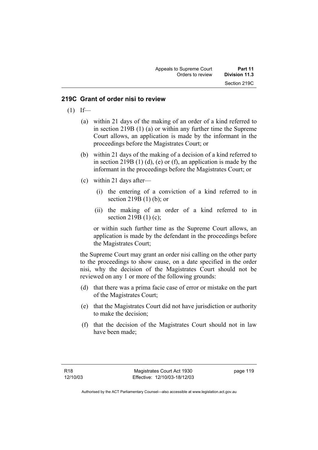#### **219C Grant of order nisi to review**

- $(1)$  If—
	- (a) within 21 days of the making of an order of a kind referred to in section 219B (1) (a) or within any further time the Supreme Court allows, an application is made by the informant in the proceedings before the Magistrates Court; or
	- (b) within 21 days of the making of a decision of a kind referred to in section 219B  $(1)$   $(d)$ ,  $(e)$  or  $(f)$ , an application is made by the informant in the proceedings before the Magistrates Court; or
	- (c) within 21 days after—
		- (i) the entering of a conviction of a kind referred to in section 219B (1) (b); or
		- (ii) the making of an order of a kind referred to in section 219B (1) (c);

or within such further time as the Supreme Court allows, an application is made by the defendant in the proceedings before the Magistrates Court;

the Supreme Court may grant an order nisi calling on the other party to the proceedings to show cause, on a date specified in the order nisi, why the decision of the Magistrates Court should not be reviewed on any 1 or more of the following grounds:

- (d) that there was a prima facie case of error or mistake on the part of the Magistrates Court;
- (e) that the Magistrates Court did not have jurisdiction or authority to make the decision;
- (f) that the decision of the Magistrates Court should not in law have been made;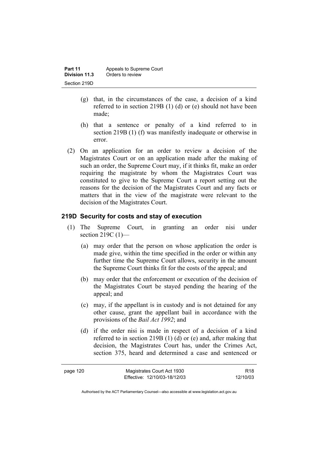| Part 11       | Appeals to Supreme Court |  |
|---------------|--------------------------|--|
| Division 11.3 | Orders to review         |  |
| Section 219D  |                          |  |

- (g) that, in the circumstances of the case, a decision of a kind referred to in section 219B (1) (d) or (e) should not have been made;
- (h) that a sentence or penalty of a kind referred to in section 219B (1) (f) was manifestly inadequate or otherwise in error.
- (2) On an application for an order to review a decision of the Magistrates Court or on an application made after the making of such an order, the Supreme Court may, if it thinks fit, make an order requiring the magistrate by whom the Magistrates Court was constituted to give to the Supreme Court a report setting out the reasons for the decision of the Magistrates Court and any facts or matters that in the view of the magistrate were relevant to the decision of the Magistrates Court.

#### **219D Security for costs and stay of execution**

- (1) The Supreme Court, in granting an order nisi under section 219C (1)—
	- (a) may order that the person on whose application the order is made give, within the time specified in the order or within any further time the Supreme Court allows, security in the amount the Supreme Court thinks fit for the costs of the appeal; and
	- (b) may order that the enforcement or execution of the decision of the Magistrates Court be stayed pending the hearing of the appeal; and
	- (c) may, if the appellant is in custody and is not detained for any other cause, grant the appellant bail in accordance with the provisions of the *Bail Act 1992*; and
	- (d) if the order nisi is made in respect of a decision of a kind referred to in section 219B (1) (d) or (e) and, after making that decision, the Magistrates Court has, under the Crimes Act, section 375, heard and determined a case and sentenced or

| page 120 | Magistrates Court Act 1930   | R <sub>18</sub> |
|----------|------------------------------|-----------------|
|          | Effective: 12/10/03-18/12/03 | 12/10/03        |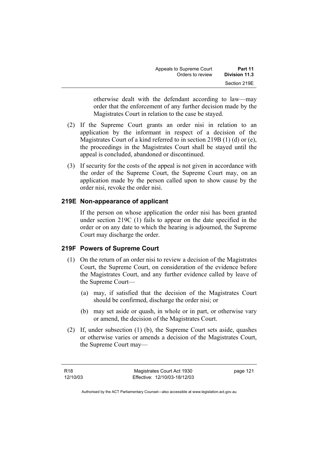| Appeals to Supreme Court | Part 11       |
|--------------------------|---------------|
| Orders to review         | Division 11.3 |
|                          | Section 219E  |

otherwise dealt with the defendant according to law—may order that the enforcement of any further decision made by the Magistrates Court in relation to the case be stayed.

- (2) If the Supreme Court grants an order nisi in relation to an application by the informant in respect of a decision of the Magistrates Court of a kind referred to in section 219B (1) (d) or (e), the proceedings in the Magistrates Court shall be stayed until the appeal is concluded, abandoned or discontinued.
- (3) If security for the costs of the appeal is not given in accordance with the order of the Supreme Court, the Supreme Court may, on an application made by the person called upon to show cause by the order nisi, revoke the order nisi.

#### **219E Non-appearance of applicant**

If the person on whose application the order nisi has been granted under section 219C (1) fails to appear on the date specified in the order or on any date to which the hearing is adjourned, the Supreme Court may discharge the order.

#### **219F Powers of Supreme Court**

- (1) On the return of an order nisi to review a decision of the Magistrates Court, the Supreme Court, on consideration of the evidence before the Magistrates Court, and any further evidence called by leave of the Supreme Court—
	- (a) may, if satisfied that the decision of the Magistrates Court should be confirmed, discharge the order nisi; or
	- (b) may set aside or quash, in whole or in part, or otherwise vary or amend, the decision of the Magistrates Court.
- (2) If, under subsection (1) (b), the Supreme Court sets aside, quashes or otherwise varies or amends a decision of the Magistrates Court, the Supreme Court may—

page 121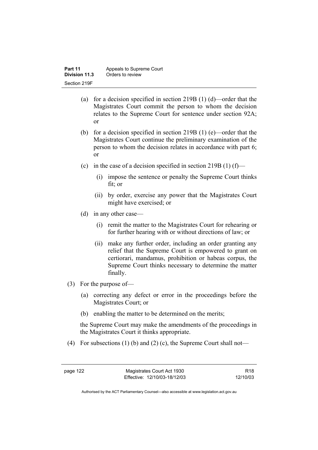- (a) for a decision specified in section 219B (1) (d)—order that the Magistrates Court commit the person to whom the decision relates to the Supreme Court for sentence under section 92A; or
- (b) for a decision specified in section 219B (1) (e)—order that the Magistrates Court continue the preliminary examination of the person to whom the decision relates in accordance with part 6; or
- (c) in the case of a decision specified in section 219B (1) (f)—
	- (i) impose the sentence or penalty the Supreme Court thinks fit; or
	- (ii) by order, exercise any power that the Magistrates Court might have exercised; or
- (d) in any other case—
	- (i) remit the matter to the Magistrates Court for rehearing or for further hearing with or without directions of law; or
	- (ii) make any further order, including an order granting any relief that the Supreme Court is empowered to grant on certiorari, mandamus, prohibition or habeas corpus, the Supreme Court thinks necessary to determine the matter finally.
- (3) For the purpose of—
	- (a) correcting any defect or error in the proceedings before the Magistrates Court; or
	- (b) enabling the matter to be determined on the merits;

the Supreme Court may make the amendments of the proceedings in the Magistrates Court it thinks appropriate.

(4) For subsections (1) (b) and (2) (c), the Supreme Court shall not—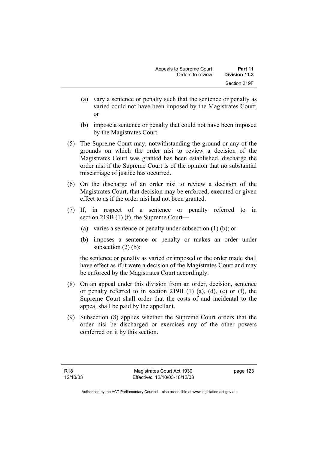- (a) vary a sentence or penalty such that the sentence or penalty as varied could not have been imposed by the Magistrates Court; or
- (b) impose a sentence or penalty that could not have been imposed by the Magistrates Court.
- (5) The Supreme Court may, notwithstanding the ground or any of the grounds on which the order nisi to review a decision of the Magistrates Court was granted has been established, discharge the order nisi if the Supreme Court is of the opinion that no substantial miscarriage of justice has occurred.
- (6) On the discharge of an order nisi to review a decision of the Magistrates Court, that decision may be enforced, executed or given effect to as if the order nisi had not been granted.
- (7) If, in respect of a sentence or penalty referred to in section 219B (1) (f), the Supreme Court—
	- (a) varies a sentence or penalty under subsection (1) (b); or
	- (b) imposes a sentence or penalty or makes an order under subsection  $(2)$  (b);

the sentence or penalty as varied or imposed or the order made shall have effect as if it were a decision of the Magistrates Court and may be enforced by the Magistrates Court accordingly.

- (8) On an appeal under this division from an order, decision, sentence or penalty referred to in section 219B (1) (a), (d), (e) or (f), the Supreme Court shall order that the costs of and incidental to the appeal shall be paid by the appellant.
- (9) Subsection (8) applies whether the Supreme Court orders that the order nisi be discharged or exercises any of the other powers conferred on it by this section.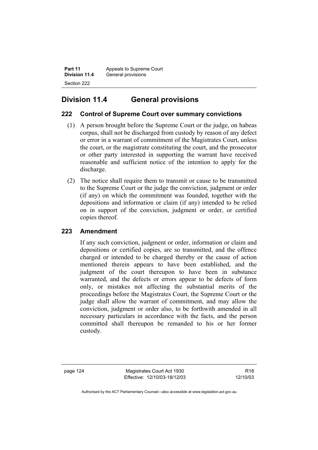**Part 11** Appeals to Supreme Court<br>**Division 11.4** General provisions **General provisions** Section 222

# **Division 11.4 General provisions**

# **222 Control of Supreme Court over summary convictions**

- (1) A person brought before the Supreme Court or the judge, on habeas corpus, shall not be discharged from custody by reason of any defect or error in a warrant of commitment of the Magistrates Court, unless the court, or the magistrate constituting the court, and the prosecutor or other party interested in supporting the warrant have received reasonable and sufficient notice of the intention to apply for the discharge.
- (2) The notice shall require them to transmit or cause to be transmitted to the Supreme Court or the judge the conviction, judgment or order (if any) on which the commitment was founded, together with the depositions and information or claim (if any) intended to be relied on in support of the conviction, judgment or order, or certified copies thereof.

# **223 Amendment**

If any such conviction, judgment or order, information or claim and depositions or certified copies, are so transmitted, and the offence charged or intended to be charged thereby or the cause of action mentioned therein appears to have been established, and the judgment of the court thereupon to have been in substance warranted, and the defects or errors appear to be defects of form only, or mistakes not affecting the substantial merits of the proceedings before the Magistrates Court, the Supreme Court or the judge shall allow the warrant of commitment, and may allow the conviction, judgment or order also, to be forthwith amended in all necessary particulars in accordance with the facts, and the person committed shall thereupon be remanded to his or her former custody.

page 124 Magistrates Court Act 1930 Effective: 12/10/03-18/12/03

R18 12/10/03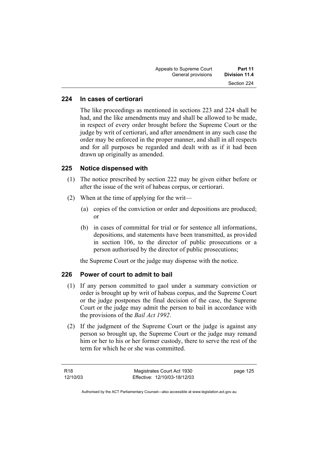| Appeals to Supreme Court | Part 11       |
|--------------------------|---------------|
| General provisions       | Division 11.4 |
|                          | Section 224   |

### **224 In cases of certiorari**

The like proceedings as mentioned in sections 223 and 224 shall be had, and the like amendments may and shall be allowed to be made, in respect of every order brought before the Supreme Court or the judge by writ of certiorari, and after amendment in any such case the order may be enforced in the proper manner, and shall in all respects and for all purposes be regarded and dealt with as if it had been drawn up originally as amended.

#### **225 Notice dispensed with**

- (1) The notice prescribed by section 222 may be given either before or after the issue of the writ of habeas corpus, or certiorari.
- (2) When at the time of applying for the writ—
	- (a) copies of the conviction or order and depositions are produced; or
	- (b) in cases of committal for trial or for sentence all informations, depositions, and statements have been transmitted, as provided in section 106, to the director of public prosecutions or a person authorised by the director of public prosecutions;

the Supreme Court or the judge may dispense with the notice.

#### **226 Power of court to admit to bail**

- (1) If any person committed to gaol under a summary conviction or order is brought up by writ of habeas corpus, and the Supreme Court or the judge postpones the final decision of the case, the Supreme Court or the judge may admit the person to bail in accordance with the provisions of the *Bail Act 1992*.
- (2) If the judgment of the Supreme Court or the judge is against any person so brought up, the Supreme Court or the judge may remand him or her to his or her former custody, there to serve the rest of the term for which he or she was committed.

page 125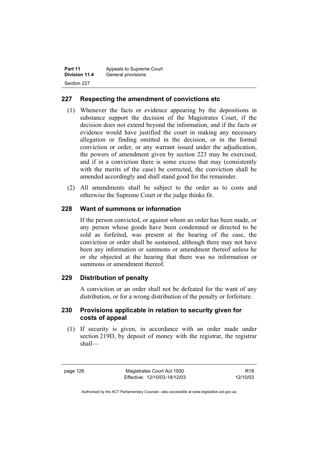| Part 11       | Appeals to Supreme Court |  |
|---------------|--------------------------|--|
| Division 11.4 | General provisions       |  |
| Section 227   |                          |  |

### **227 Respecting the amendment of convictions etc**

- (1) Whenever the facts or evidence appearing by the depositions in substance support the decision of the Magistrates Court, if the decision does not extend beyond the information, and if the facts or evidence would have justified the court in making any necessary allegation or finding omitted in the decision, or in the formal conviction or order, or any warrant issued under the adjudication, the powers of amendment given by section 223 may be exercised, and if in a conviction there is some excess that may (consistently with the merits of the case) be corrected, the conviction shall be amended accordingly and shall stand good for the remainder.
- (2) All amendments shall be subject to the order as to costs and otherwise the Supreme Court or the judge thinks fit.

#### **228 Want of summons or information**

If the person convicted, or against whom an order has been made, or any person whose goods have been condemned or directed to be sold as forfeited, was present at the hearing of the case, the conviction or order shall be sustained, although there may not have been any information or summons or amendment thereof unless he or she objected at the hearing that there was no information or summons or amendment thereof.

#### **229 Distribution of penalty**

A conviction or an order shall not be defeated for the want of any distribution, or for a wrong distribution of the penalty or forfeiture.

#### **230 Provisions applicable in relation to security given for costs of appeal**

 (1) If security is given, in accordance with an order made under section 219D, by deposit of money with the registrar, the registrar shall—

page 126 Magistrates Court Act 1930 Effective: 12/10/03-18/12/03

R18 12/10/03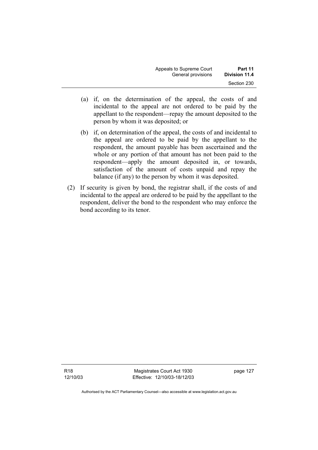| Appeals to Supreme Court | Part 11       |
|--------------------------|---------------|
| General provisions       | Division 11.4 |
|                          | Section 230   |

- (a) if, on the determination of the appeal, the costs of and incidental to the appeal are not ordered to be paid by the appellant to the respondent—repay the amount deposited to the person by whom it was deposited; or
- (b) if, on determination of the appeal, the costs of and incidental to the appeal are ordered to be paid by the appellant to the respondent, the amount payable has been ascertained and the whole or any portion of that amount has not been paid to the respondent—apply the amount deposited in, or towards, satisfaction of the amount of costs unpaid and repay the balance (if any) to the person by whom it was deposited.
- (2) If security is given by bond, the registrar shall, if the costs of and incidental to the appeal are ordered to be paid by the appellant to the respondent, deliver the bond to the respondent who may enforce the bond according to its tenor.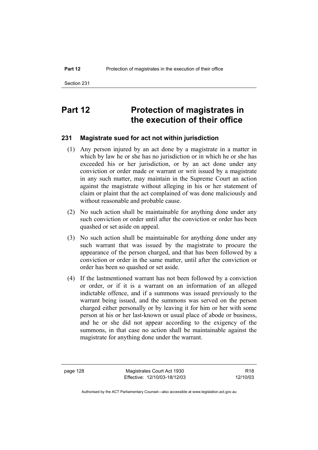# **Part 12** Protection of magistrates in **the execution of their office**

#### **231 Magistrate sued for act not within jurisdiction**

- (1) Any person injured by an act done by a magistrate in a matter in which by law he or she has no jurisdiction or in which he or she has exceeded his or her jurisdiction, or by an act done under any conviction or order made or warrant or writ issued by a magistrate in any such matter, may maintain in the Supreme Court an action against the magistrate without alleging in his or her statement of claim or plaint that the act complained of was done maliciously and without reasonable and probable cause.
- (2) No such action shall be maintainable for anything done under any such conviction or order until after the conviction or order has been quashed or set aside on appeal.
- (3) No such action shall be maintainable for anything done under any such warrant that was issued by the magistrate to procure the appearance of the person charged, and that has been followed by a conviction or order in the same matter, until after the conviction or order has been so quashed or set aside.
- (4) If the lastmentioned warrant has not been followed by a conviction or order, or if it is a warrant on an information of an alleged indictable offence, and if a summons was issued previously to the warrant being issued, and the summons was served on the person charged either personally or by leaving it for him or her with some person at his or her last-known or usual place of abode or business, and he or she did not appear according to the exigency of the summons, in that case no action shall be maintainable against the magistrate for anything done under the warrant.

page 128 Magistrates Court Act 1930 Effective: 12/10/03-18/12/03

R18 12/10/03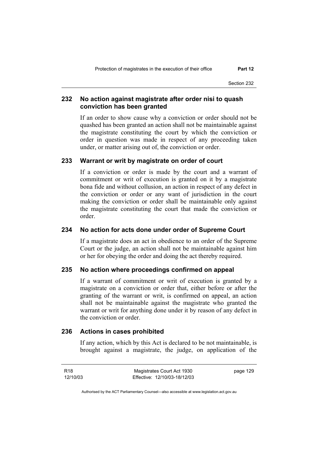Section 232

### **232 No action against magistrate after order nisi to quash conviction has been granted**

If an order to show cause why a conviction or order should not be quashed has been granted an action shall not be maintainable against the magistrate constituting the court by which the conviction or order in question was made in respect of any proceeding taken under, or matter arising out of, the conviction or order.

#### **233 Warrant or writ by magistrate on order of court**

If a conviction or order is made by the court and a warrant of commitment or writ of execution is granted on it by a magistrate bona fide and without collusion, an action in respect of any defect in the conviction or order or any want of jurisdiction in the court making the conviction or order shall be maintainable only against the magistrate constituting the court that made the conviction or order.

#### **234 No action for acts done under order of Supreme Court**

If a magistrate does an act in obedience to an order of the Supreme Court or the judge, an action shall not be maintainable against him or her for obeying the order and doing the act thereby required.

#### **235 No action where proceedings confirmed on appeal**

If a warrant of commitment or writ of execution is granted by a magistrate on a conviction or order that, either before or after the granting of the warrant or writ, is confirmed on appeal, an action shall not be maintainable against the magistrate who granted the warrant or writ for anything done under it by reason of any defect in the conviction or order.

# **236 Actions in cases prohibited**

If any action, which by this Act is declared to be not maintainable, is brought against a magistrate, the judge, on application of the

R18 12/10/03 Magistrates Court Act 1930 Effective: 12/10/03-18/12/03 page 129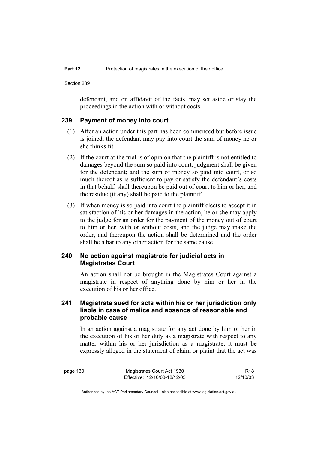defendant, and on affidavit of the facts, may set aside or stay the proceedings in the action with or without costs.

#### **239 Payment of money into court**

- (1) After an action under this part has been commenced but before issue is joined, the defendant may pay into court the sum of money he or she thinks fit.
- (2) If the court at the trial is of opinion that the plaintiff is not entitled to damages beyond the sum so paid into court, judgment shall be given for the defendant; and the sum of money so paid into court, or so much thereof as is sufficient to pay or satisfy the defendant's costs in that behalf, shall thereupon be paid out of court to him or her, and the residue (if any) shall be paid to the plaintiff.
- (3) If when money is so paid into court the plaintiff elects to accept it in satisfaction of his or her damages in the action, he or she may apply to the judge for an order for the payment of the money out of court to him or her, with or without costs, and the judge may make the order, and thereupon the action shall be determined and the order shall be a bar to any other action for the same cause.

#### **240 No action against magistrate for judicial acts in Magistrates Court**

An action shall not be brought in the Magistrates Court against a magistrate in respect of anything done by him or her in the execution of his or her office.

### **241 Magistrate sued for acts within his or her jurisdiction only liable in case of malice and absence of reasonable and probable cause**

In an action against a magistrate for any act done by him or her in the execution of his or her duty as a magistrate with respect to any matter within his or her jurisdiction as a magistrate, it must be expressly alleged in the statement of claim or plaint that the act was

R18 12/10/03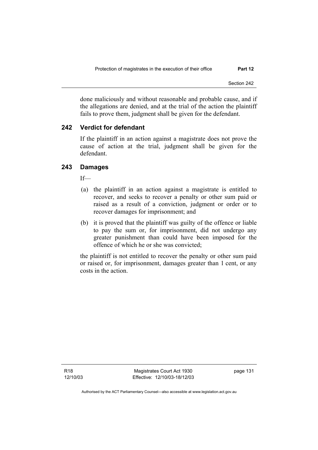done maliciously and without reasonable and probable cause, and if the allegations are denied, and at the trial of the action the plaintiff fails to prove them, judgment shall be given for the defendant.

### **242 Verdict for defendant**

If the plaintiff in an action against a magistrate does not prove the cause of action at the trial, judgment shall be given for the defendant.

### **243 Damages**

If—

- (a) the plaintiff in an action against a magistrate is entitled to recover, and seeks to recover a penalty or other sum paid or raised as a result of a conviction, judgment or order or to recover damages for imprisonment; and
- (b) it is proved that the plaintiff was guilty of the offence or liable to pay the sum or, for imprisonment, did not undergo any greater punishment than could have been imposed for the offence of which he or she was convicted;

the plaintiff is not entitled to recover the penalty or other sum paid or raised or, for imprisonment, damages greater than 1 cent, or any costs in the action.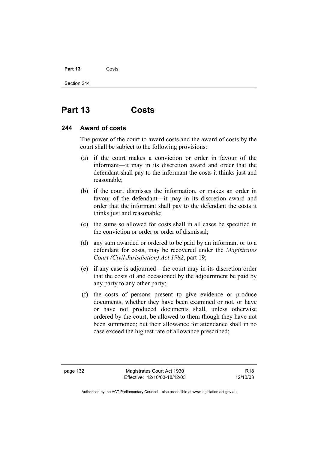### Part 13 **Costs**

Section 244

# **Part 13 Costs**

### **244 Award of costs**

The power of the court to award costs and the award of costs by the court shall be subject to the following provisions:

- (a) if the court makes a conviction or order in favour of the informant—it may in its discretion award and order that the defendant shall pay to the informant the costs it thinks just and reasonable;
- (b) if the court dismisses the information, or makes an order in favour of the defendant—it may in its discretion award and order that the informant shall pay to the defendant the costs it thinks just and reasonable;
- (c) the sums so allowed for costs shall in all cases be specified in the conviction or order or order of dismissal;
- (d) any sum awarded or ordered to be paid by an informant or to a defendant for costs, may be recovered under the *Magistrates Court (Civil Jurisdiction) Act 1982*, part 19;
- (e) if any case is adjourned—the court may in its discretion order that the costs of and occasioned by the adjournment be paid by any party to any other party;
- (f) the costs of persons present to give evidence or produce documents, whether they have been examined or not, or have or have not produced documents shall, unless otherwise ordered by the court, be allowed to them though they have not been summoned; but their allowance for attendance shall in no case exceed the highest rate of allowance prescribed;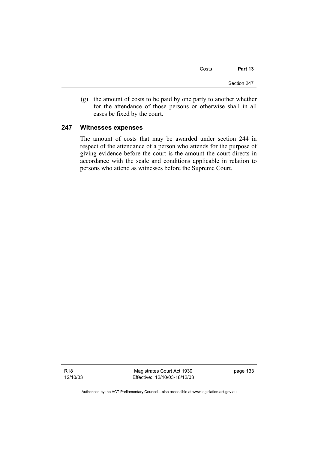Costs **Part 13** 

Section 247

 (g) the amount of costs to be paid by one party to another whether for the attendance of those persons or otherwise shall in all cases be fixed by the court.

### **247 Witnesses expenses**

The amount of costs that may be awarded under section 244 in respect of the attendance of a person who attends for the purpose of giving evidence before the court is the amount the court directs in accordance with the scale and conditions applicable in relation to persons who attend as witnesses before the Supreme Court.

R18 12/10/03

Magistrates Court Act 1930 Effective: 12/10/03-18/12/03 page 133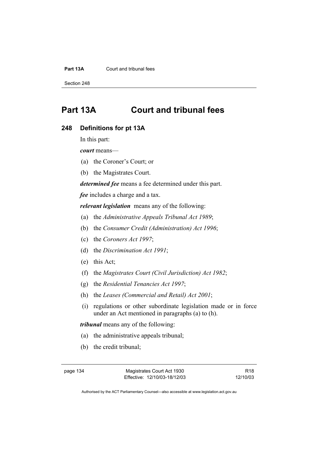### **Part 13A** Court and tribunal fees

Section 248

# **Part 13A Court and tribunal fees**

### **248 Definitions for pt 13A**

In this part:

*court* means—

- (a) the Coroner's Court; or
- (b) the Magistrates Court.

*determined fee* means a fee determined under this part.

*fee* includes a charge and a tax.

*relevant legislation* means any of the following:

- (a) the *Administrative Appeals Tribunal Act 1989*;
- (b) the *Consumer Credit (Administration) Act 1996*;
- (c) the *Coroners Act 1997*;
- (d) the *Discrimination Act 1991*;
- (e) this Act;
- (f) the *Magistrates Court (Civil Jurisdiction) Act 1982*;
- (g) the *Residential Tenancies Act 1997*;
- (h) the *Leases (Commercial and Retail) Act 2001*;
- (i) regulations or other subordinate legislation made or in force under an Act mentioned in paragraphs (a) to (h).

*tribunal* means any of the following:

- (a) the administrative appeals tribunal;
- (b) the credit tribunal;

R18 12/10/03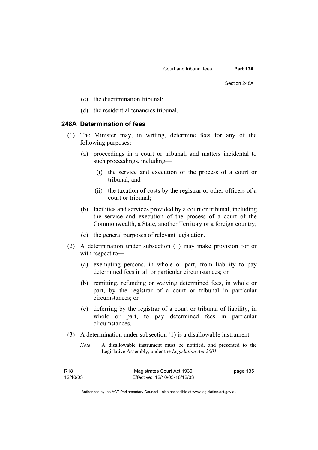- (c) the discrimination tribunal;
- (d) the residential tenancies tribunal.

### **248A Determination of fees**

- (1) The Minister may, in writing, determine fees for any of the following purposes:
	- (a) proceedings in a court or tribunal, and matters incidental to such proceedings, including—
		- (i) the service and execution of the process of a court or tribunal; and
		- (ii) the taxation of costs by the registrar or other officers of a court or tribunal;
	- (b) facilities and services provided by a court or tribunal, including the service and execution of the process of a court of the Commonwealth, a State, another Territory or a foreign country;
	- (c) the general purposes of relevant legislation.
- (2) A determination under subsection (1) may make provision for or with respect to—
	- (a) exempting persons, in whole or part, from liability to pay determined fees in all or particular circumstances; or
	- (b) remitting, refunding or waiving determined fees, in whole or part, by the registrar of a court or tribunal in particular circumstances; or
	- (c) deferring by the registrar of a court or tribunal of liability, in whole or part, to pay determined fees in particular circumstances.
- (3) A determination under subsection (1) is a disallowable instrument.
	- *Note* A disallowable instrument must be notified, and presented to the Legislative Assembly, under the *Legislation Act 2001*.

| R18      | Magistrates Court Act 1930   | page 135 |
|----------|------------------------------|----------|
| 12/10/03 | Effective: 12/10/03-18/12/03 |          |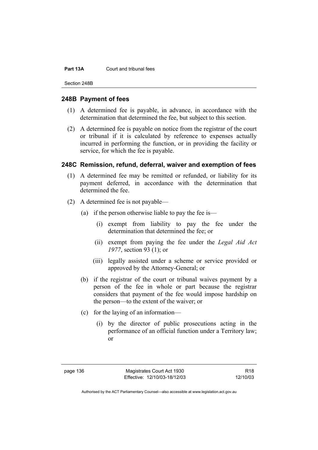#### **Part 13A** Court and tribunal fees

Section 248B

### **248B Payment of fees**

- (1) A determined fee is payable, in advance, in accordance with the determination that determined the fee, but subject to this section.
- (2) A determined fee is payable on notice from the registrar of the court or tribunal if it is calculated by reference to expenses actually incurred in performing the function, or in providing the facility or service, for which the fee is payable.

### **248C Remission, refund, deferral, waiver and exemption of fees**

- (1) A determined fee may be remitted or refunded, or liability for its payment deferred, in accordance with the determination that determined the fee.
- (2) A determined fee is not payable—
	- (a) if the person otherwise liable to pay the fee is—
		- (i) exempt from liability to pay the fee under the determination that determined the fee; or
		- (ii) exempt from paying the fee under the *Legal Aid Act 1977*, section 93 (1); or
		- (iii) legally assisted under a scheme or service provided or approved by the Attorney-General; or
	- (b) if the registrar of the court or tribunal waives payment by a person of the fee in whole or part because the registrar considers that payment of the fee would impose hardship on the person—to the extent of the waiver; or
	- (c) for the laying of an information—
		- (i) by the director of public prosecutions acting in the performance of an official function under a Territory law; or

page 136 Magistrates Court Act 1930 Effective: 12/10/03-18/12/03

R18 12/10/03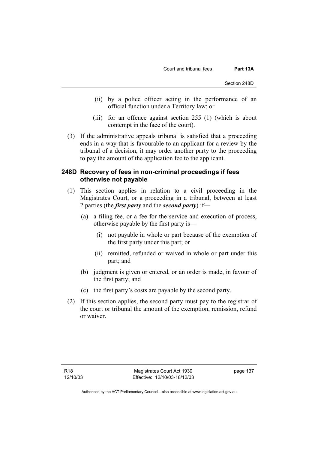- (ii) by a police officer acting in the performance of an official function under a Territory law; or
- (iii) for an offence against section 255 (1) (which is about contempt in the face of the court).
- (3) If the administrative appeals tribunal is satisfied that a proceeding ends in a way that is favourable to an applicant for a review by the tribunal of a decision, it may order another party to the proceeding to pay the amount of the application fee to the applicant.

### **248D Recovery of fees in non-criminal proceedings if fees otherwise not payable**

- (1) This section applies in relation to a civil proceeding in the Magistrates Court, or a proceeding in a tribunal, between at least 2 parties (the *first party* and the *second party*) if—
	- (a) a filing fee, or a fee for the service and execution of process, otherwise payable by the first party is—
		- (i) not payable in whole or part because of the exemption of the first party under this part; or
		- (ii) remitted, refunded or waived in whole or part under this part; and
	- (b) judgment is given or entered, or an order is made, in favour of the first party; and
	- (c) the first party's costs are payable by the second party.
- (2) If this section applies, the second party must pay to the registrar of the court or tribunal the amount of the exemption, remission, refund or waiver.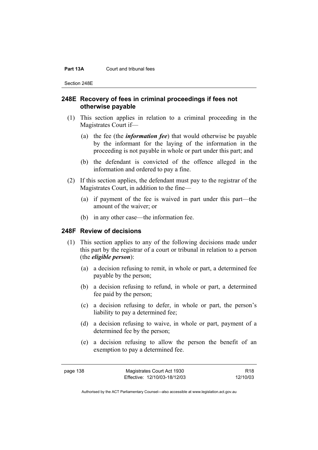#### **Part 13A** Court and tribunal fees

Section 248E

### **248E Recovery of fees in criminal proceedings if fees not otherwise payable**

- (1) This section applies in relation to a criminal proceeding in the Magistrates Court if—
	- (a) the fee (the *information fee*) that would otherwise be payable by the informant for the laying of the information in the proceeding is not payable in whole or part under this part; and
	- (b) the defendant is convicted of the offence alleged in the information and ordered to pay a fine.
- (2) If this section applies, the defendant must pay to the registrar of the Magistrates Court, in addition to the fine—
	- (a) if payment of the fee is waived in part under this part—the amount of the waiver; or
	- (b) in any other case—the information fee.

### **248F Review of decisions**

- (1) This section applies to any of the following decisions made under this part by the registrar of a court or tribunal in relation to a person (the *eligible person*):
	- (a) a decision refusing to remit, in whole or part, a determined fee payable by the person;
	- (b) a decision refusing to refund, in whole or part, a determined fee paid by the person;
	- (c) a decision refusing to defer, in whole or part, the person's liability to pay a determined fee;
	- (d) a decision refusing to waive, in whole or part, payment of a determined fee by the person;
	- (e) a decision refusing to allow the person the benefit of an exemption to pay a determined fee.

R18 12/10/03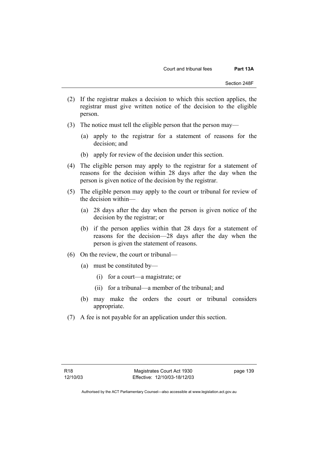- (2) If the registrar makes a decision to which this section applies, the registrar must give written notice of the decision to the eligible person.
- (3) The notice must tell the eligible person that the person may—
	- (a) apply to the registrar for a statement of reasons for the decision; and
	- (b) apply for review of the decision under this section.
- (4) The eligible person may apply to the registrar for a statement of reasons for the decision within 28 days after the day when the person is given notice of the decision by the registrar.
- (5) The eligible person may apply to the court or tribunal for review of the decision within—
	- (a) 28 days after the day when the person is given notice of the decision by the registrar; or
	- (b) if the person applies within that 28 days for a statement of reasons for the decision—28 days after the day when the person is given the statement of reasons.
- (6) On the review, the court or tribunal—
	- (a) must be constituted by—
		- (i) for a court—a magistrate; or
		- (ii) for a tribunal—a member of the tribunal; and
	- (b) may make the orders the court or tribunal considers appropriate.
- (7) A fee is not payable for an application under this section.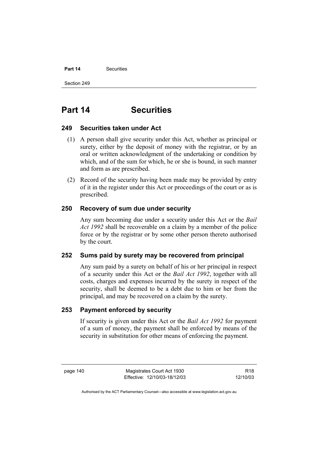### **Part 14** Securities

Section 249

# **Part 14 Securities**

### **249 Securities taken under Act**

- (1) A person shall give security under this Act, whether as principal or surety, either by the deposit of money with the registrar, or by an oral or written acknowledgment of the undertaking or condition by which, and of the sum for which, he or she is bound, in such manner and form as are prescribed.
- (2) Record of the security having been made may be provided by entry of it in the register under this Act or proceedings of the court or as is prescribed.

### **250 Recovery of sum due under security**

Any sum becoming due under a security under this Act or the *Bail Act 1992* shall be recoverable on a claim by a member of the police force or by the registrar or by some other person thereto authorised by the court.

### **252 Sums paid by surety may be recovered from principal**

Any sum paid by a surety on behalf of his or her principal in respect of a security under this Act or the *Bail Act 1992*, together with all costs, charges and expenses incurred by the surety in respect of the security, shall be deemed to be a debt due to him or her from the principal, and may be recovered on a claim by the surety.

### **253 Payment enforced by security**

If security is given under this Act or the *Bail Act 1992* for payment of a sum of money, the payment shall be enforced by means of the security in substitution for other means of enforcing the payment.

page 140 Magistrates Court Act 1930 Effective: 12/10/03-18/12/03

R18 12/10/03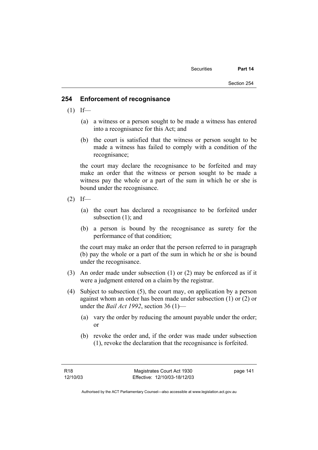### **254 Enforcement of recognisance**

- $(1)$  If—
	- (a) a witness or a person sought to be made a witness has entered into a recognisance for this Act; and
	- (b) the court is satisfied that the witness or person sought to be made a witness has failed to comply with a condition of the recognisance;

the court may declare the recognisance to be forfeited and may make an order that the witness or person sought to be made a witness pay the whole or a part of the sum in which he or she is bound under the recognisance.

- $(2)$  If—
	- (a) the court has declared a recognisance to be forfeited under subsection (1); and
	- (b) a person is bound by the recognisance as surety for the performance of that condition;

the court may make an order that the person referred to in paragraph (b) pay the whole or a part of the sum in which he or she is bound under the recognisance.

- (3) An order made under subsection (1) or (2) may be enforced as if it were a judgment entered on a claim by the registrar.
- (4) Subject to subsection (5), the court may, on application by a person against whom an order has been made under subsection (1) or (2) or under the *Bail Act 1992*, section 36 (1)—
	- (a) vary the order by reducing the amount payable under the order; or
	- (b) revoke the order and, if the order was made under subsection (1), revoke the declaration that the recognisance is forfeited.

page 141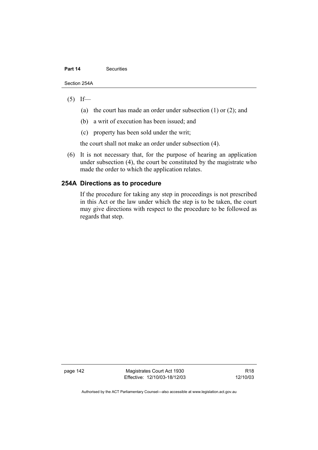#### **Part 14 Securities**

Section 254A

### $(5)$  If—

- (a) the court has made an order under subsection (1) or (2); and
- (b) a writ of execution has been issued; and
- (c) property has been sold under the writ;

the court shall not make an order under subsection (4).

 (6) It is not necessary that, for the purpose of hearing an application under subsection (4), the court be constituted by the magistrate who made the order to which the application relates.

### **254A Directions as to procedure**

If the procedure for taking any step in proceedings is not prescribed in this Act or the law under which the step is to be taken, the court may give directions with respect to the procedure to be followed as regards that step.

page 142 Magistrates Court Act 1930 Effective: 12/10/03-18/12/03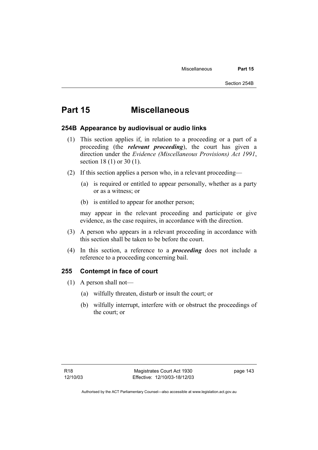# **Part 15 Miscellaneous**

### **254B Appearance by audiovisual or audio links**

- (1) This section applies if, in relation to a proceeding or a part of a proceeding (the *relevant proceeding*), the court has given a direction under the *Evidence (Miscellaneous Provisions) Act 1991*, section 18 (1) or 30 (1).
- (2) If this section applies a person who, in a relevant proceeding—
	- (a) is required or entitled to appear personally, whether as a party or as a witness; or
	- (b) is entitled to appear for another person;

may appear in the relevant proceeding and participate or give evidence, as the case requires, in accordance with the direction.

- (3) A person who appears in a relevant proceeding in accordance with this section shall be taken to be before the court.
- (4) In this section, a reference to a *proceeding* does not include a reference to a proceeding concerning bail.

### **255 Contempt in face of court**

- (1) A person shall not—
	- (a) wilfully threaten, disturb or insult the court; or
	- (b) wilfully interrupt, interfere with or obstruct the proceedings of the court; or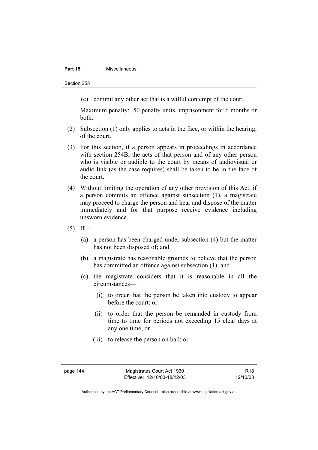### **Part 15 Miscellaneous**

Section 255

(c) commit any other act that is a wilful contempt of the court.

Maximum penalty: 50 penalty units, imprisonment for 6 months or both.

- (2) Subsection (1) only applies to acts in the face, or within the hearing, of the court.
- (3) For this section, if a person appears in proceedings in accordance with section 254B, the acts of that person and of any other person who is visible or audible to the court by means of audiovisual or audio link (as the case requires) shall be taken to be in the face of the court.
- (4) Without limiting the operation of any other provision of this Act, if a person commits an offence against subsection (1), a magistrate may proceed to charge the person and hear and dispose of the matter immediately and for that purpose receive evidence including unsworn evidence.
- $(5)$  If—
	- (a) a person has been charged under subsection (4) but the matter has not been disposed of; and
	- (b) a magistrate has reasonable grounds to believe that the person has committed an offence against subsection (1); and
	- (c) the magistrate considers that it is reasonable in all the circumstances—
		- (i) to order that the person be taken into custody to appear before the court; or
		- (ii) to order that the person be remanded in custody from time to time for periods not exceeding 15 clear days at any one time; or
		- (iii) to release the person on bail; or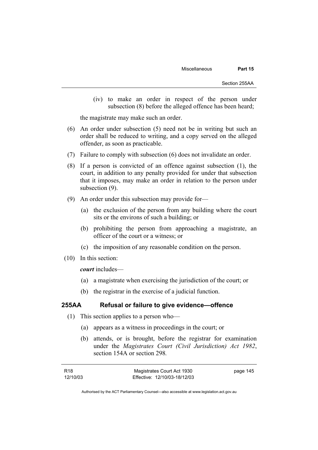(iv) to make an order in respect of the person under subsection (8) before the alleged offence has been heard;

the magistrate may make such an order.

- (6) An order under subsection (5) need not be in writing but such an order shall be reduced to writing, and a copy served on the alleged offender, as soon as practicable.
- (7) Failure to comply with subsection (6) does not invalidate an order.
- (8) If a person is convicted of an offence against subsection (1), the court, in addition to any penalty provided for under that subsection that it imposes, may make an order in relation to the person under subsection (9).
- (9) An order under this subsection may provide for—
	- (a) the exclusion of the person from any building where the court sits or the environs of such a building; or
	- (b) prohibiting the person from approaching a magistrate, an officer of the court or a witness; or
	- (c) the imposition of any reasonable condition on the person.
- (10) In this section:

*court* includes—

- (a) a magistrate when exercising the jurisdiction of the court; or
- (b) the registrar in the exercise of a judicial function.

### **255AA Refusal or failure to give evidence—offence**

- (1) This section applies to a person who—
	- (a) appears as a witness in proceedings in the court; or
	- (b) attends, or is brought, before the registrar for examination under the *Magistrates Court (Civil Jurisdiction) Act 1982*, section 154A or section 298*.*

| R18      | Magistrates Court Act 1930   | page 145 |
|----------|------------------------------|----------|
| 12/10/03 | Effective: 12/10/03-18/12/03 |          |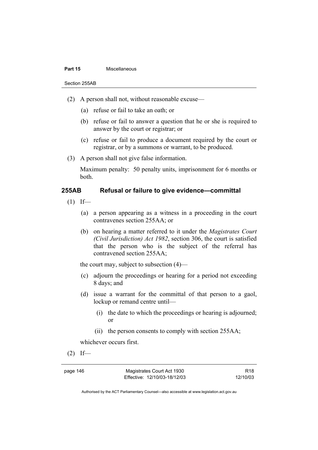#### **Part 15 Miscellaneous**

Section 255AB

- (2) A person shall not, without reasonable excuse—
	- (a) refuse or fail to take an oath; or
	- (b) refuse or fail to answer a question that he or she is required to answer by the court or registrar; or
	- (c) refuse or fail to produce a document required by the court or registrar, or by a summons or warrant, to be produced.
- (3) A person shall not give false information.

Maximum penalty: 50 penalty units, imprisonment for 6 months or both.

### **255AB Refusal or failure to give evidence—committal**

- $(1)$  If—
	- (a) a person appearing as a witness in a proceeding in the court contravenes section 255AA; or
	- (b) on hearing a matter referred to it under the *Magistrates Court (Civil Jurisdiction) Act 1982*, section 306, the court is satisfied that the person who is the subject of the referral has contravened section 255AA;

the court may, subject to subsection (4)—

- (c) adjourn the proceedings or hearing for a period not exceeding 8 days; and
- (d) issue a warrant for the committal of that person to a gaol, lockup or remand centre until—
	- (i) the date to which the proceedings or hearing is adjourned; or
	- (ii) the person consents to comply with section 255AA;

whichever occurs first.

 $(2)$  If—

page 146 Magistrates Court Act 1930 Effective: 12/10/03-18/12/03

R18 12/10/03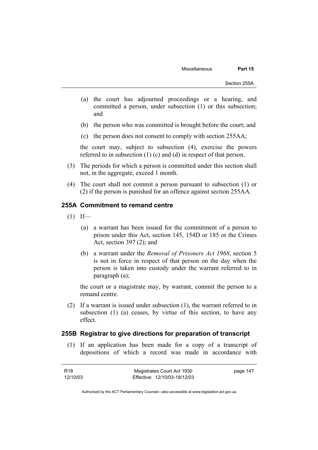- (a) the court has adjourned proceedings or a hearing, and committed a person, under subsection (1) or this subsection; and
- (b) the person who was committed is brought before the court; and
- (c) the person does not consent to comply with section 255AA;

the court may, subject to subsection (4), exercise the powers referred to in subsection (1) (c) and (d) in respect of that person.

- (3) The periods for which a person is committed under this section shall not, in the aggregate, exceed 1 month.
- (4) The court shall not commit a person pursuant to subsection (1) or (2) if the person is punished for an offence against section 255AA.

### **255A Commitment to remand centre**

- $(1)$  If—
	- (a) a warrant has been issued for the commitment of a person to prison under this Act, section 145, 154D or 185 or the Crimes Act, section 397 (2); and
	- (b) a warrant under the *Removal of Prisoners Act 1968*, section 5 is not in force in respect of that person on the day when the person is taken into custody under the warrant referred to in paragraph (a);

the court or a magistrate may, by warrant, commit the person to a remand centre.

 (2) If a warrant is issued under subsection (1), the warrant referred to in subsection (1) (a) ceases, by virtue of this section, to have any effect.

### **255B Registrar to give directions for preparation of transcript**

 (1) If an application has been made for a copy of a transcript of depositions of which a record was made in accordance with

| R18      | Magistrates Court Act 1930   | page 147 |
|----------|------------------------------|----------|
| 12/10/03 | Effective: 12/10/03-18/12/03 |          |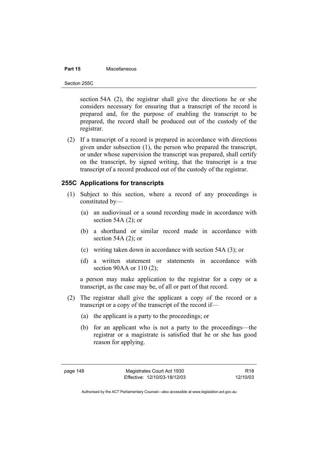### **Part 15** Miscellaneous

Section 255C

section 54A (2), the registrar shall give the directions he or she considers necessary for ensuring that a transcript of the record is prepared and, for the purpose of enabling the transcript to be prepared, the record shall be produced out of the custody of the registrar.

 (2) If a transcript of a record is prepared in accordance with directions given under subsection (1), the person who prepared the transcript, or under whose supervision the transcript was prepared, shall certify on the transcript, by signed writing, that the transcript is a true transcript of a record produced out of the custody of the registrar.

### **255C Applications for transcripts**

- (1) Subject to this section, where a record of any proceedings is constituted by—
	- (a) an audiovisual or a sound recording made in accordance with section 54A (2); or
	- (b) a shorthand or similar record made in accordance with section 54A $(2)$ ; or
	- (c) writing taken down in accordance with section 54A (3); or
	- (d) a written statement or statements in accordance with section 90AA or 110 (2):

a person may make application to the registrar for a copy or a transcript, as the case may be, of all or part of that record.

- (2) The registrar shall give the applicant a copy of the record or a transcript or a copy of the transcript of the record if—
	- (a) the applicant is a party to the proceedings; or
	- (b) for an applicant who is not a party to the proceedings—the registrar or a magistrate is satisfied that he or she has good reason for applying.

R18 12/10/03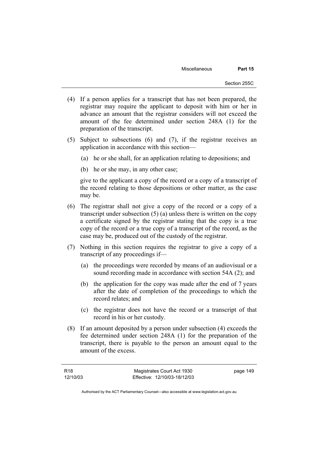- (4) If a person applies for a transcript that has not been prepared, the registrar may require the applicant to deposit with him or her in advance an amount that the registrar considers will not exceed the amount of the fee determined under section 248A (1) for the preparation of the transcript.
- (5) Subject to subsections (6) and (7), if the registrar receives an application in accordance with this section—
	- (a) he or she shall, for an application relating to depositions; and
	- (b) he or she may, in any other case;

give to the applicant a copy of the record or a copy of a transcript of the record relating to those depositions or other matter, as the case may be.

- (6) The registrar shall not give a copy of the record or a copy of a transcript under subsection (5) (a) unless there is written on the copy a certificate signed by the registrar stating that the copy is a true copy of the record or a true copy of a transcript of the record, as the case may be, produced out of the custody of the registrar.
- (7) Nothing in this section requires the registrar to give a copy of a transcript of any proceedings if—
	- (a) the proceedings were recorded by means of an audiovisual or a sound recording made in accordance with section 54A (2); and
	- (b) the application for the copy was made after the end of 7 years after the date of completion of the proceedings to which the record relates; and
	- (c) the registrar does not have the record or a transcript of that record in his or her custody.
- (8) If an amount deposited by a person under subsection (4) exceeds the fee determined under section 248A (1) for the preparation of the transcript, there is payable to the person an amount equal to the amount of the excess.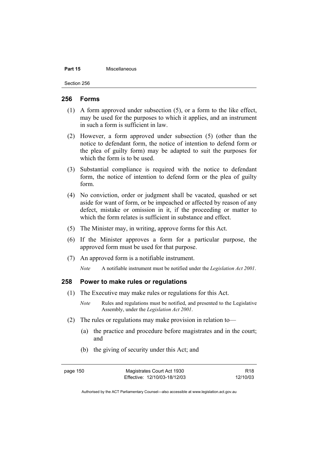#### **Part 15 Miscellaneous**

Section 256

### **256 Forms**

- (1) A form approved under subsection (5), or a form to the like effect, may be used for the purposes to which it applies, and an instrument in such a form is sufficient in law.
- (2) However, a form approved under subsection (5) (other than the notice to defendant form, the notice of intention to defend form or the plea of guilty form) may be adapted to suit the purposes for which the form is to be used.
- (3) Substantial compliance is required with the notice to defendant form, the notice of intention to defend form or the plea of guilty form.
- (4) No conviction, order or judgment shall be vacated, quashed or set aside for want of form, or be impeached or affected by reason of any defect, mistake or omission in it, if the proceeding or matter to which the form relates is sufficient in substance and effect.
- (5) The Minister may, in writing, approve forms for this Act.
- (6) If the Minister approves a form for a particular purpose, the approved form must be used for that purpose.
- (7) An approved form is a notifiable instrument.

*Note* A notifiable instrument must be notified under the *Legislation Act 2001*.

### **258 Power to make rules or regulations**

- (1) The Executive may make rules or regulations for this Act.
	- *Note* Rules and regulations must be notified, and presented to the Legislative Assembly, under the *Legislation Act 2001*.
- (2) The rules or regulations may make provision in relation to—
	- (a) the practice and procedure before magistrates and in the court; and
	- (b) the giving of security under this Act; and

page 150 Magistrates Court Act 1930 Effective: 12/10/03-18/12/03

R18 12/10/03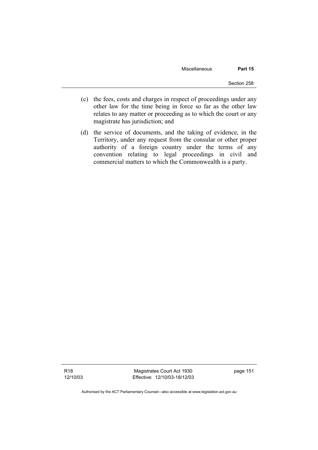Miscellaneous **Part 15** 

- (c) the fees, costs and charges in respect of proceedings under any other law for the time being in force so far as the other law relates to any matter or proceeding as to which the court or any magistrate has jurisdiction; and
- (d) the service of documents, and the taking of evidence, in the Territory, under any request from the consular or other proper authority of a foreign country under the terms of any convention relating to legal proceedings in civil and commercial matters to which the Commonwealth is a party.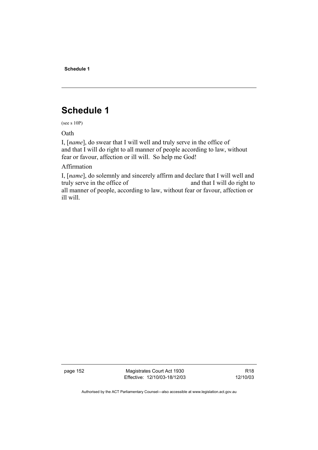**Schedule 1** 

# **Schedule 1**

(see s 10P)

Oath

I, [*name*], do swear that I will well and truly serve in the office of and that I will do right to all manner of people according to law, without fear or favour, affection or ill will. So help me God!

Affirmation

I, [*name*], do solemnly and sincerely affirm and declare that I will well and truly serve in the office of and that I will do right to all manner of people, according to law, without fear or favour, affection or ill will.

page 152 Magistrates Court Act 1930 Effective: 12/10/03-18/12/03

R18 12/10/03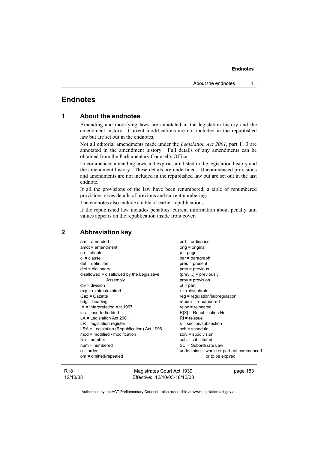## **Endnotes**

| 1 |  |  | <b>About the endnotes</b> |
|---|--|--|---------------------------|
|---|--|--|---------------------------|

Amending and modifying laws are annotated in the legislation history and the amendment history. Current modifications are not included in the republished law but are set out in the endnotes.

Not all editorial amendments made under the *Legislation Act 2001*, part 11.3 are annotated in the amendment history. Full details of any amendments can be obtained from the Parliamentary Counsel's Office.

Uncommenced amending laws and expiries are listed in the legislation history and the amendment history. These details are underlined. Uncommenced provisions and amendments are not included in the republished law but are set out in the last endnote.

If all the provisions of the law have been renumbered, a table of renumbered provisions gives details of previous and current numbering.

The endnotes also include a table of earlier republications.

If the republished law includes penalties, current information about penalty unit values appears on the republication inside front cover.

### **2 Abbreviation key**

| $am = amended$                             | $ord = ordinance$                         |
|--------------------------------------------|-------------------------------------------|
| $amdt = amendment$                         | orig = original                           |
| $ch = chapter$                             | $p = page$                                |
| $cl = clause$                              | par = paragraph                           |
| $def = definition$                         | pres = present                            |
| $dict = dictionary$                        | $prev = previous$                         |
| disallowed = disallowed by the Legislative | $(\text{prev})$ = previously              |
| Assembly                                   | $prov = provision$                        |
| $div = division$                           | $pt = part$                               |
| $exp = expires/expired$                    | $r = rule/subrule$                        |
| Gaz = Gazette                              | $reg = regulation/subregulation$          |
| $hdg =$ heading                            | $renum = renumbered$                      |
| IA = Interpretation Act 1967               | $reloc = relocated$                       |
| ins = inserted/added                       | $R[X]$ = Republication No                 |
| $LA =$ Legislation Act 2001                | $RI = reissue$                            |
| $LR =$ legislation register                | s = section/subsection                    |
| LRA = Legislation (Republication) Act 1996 | $sch = schedule$                          |
| mod = modified / modification              | $sdiv = subdivision$                      |
| $No = number$                              | $sub =$ substituted                       |
| $num = numbered$                           | $SL = Subordinate Law$                    |
| $o = order$                                | underlining = whole or part not commenced |
| om = omitted/repealed                      | or to be expired                          |
|                                            |                                           |

R18 12/10/03

Magistrates Court Act 1930 Effective: 12/10/03-18/12/03 page 153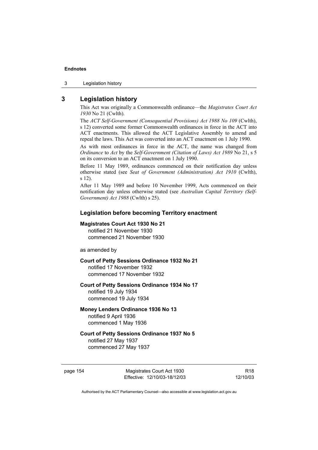3 Legislation history

### **3 Legislation history**

This Act was originally a Commonwealth ordinance—the *Magistrates Court Act 1930* No 21 (Cwlth).

The *ACT Self-Government (Consequential Provisions) Act 1988 No 109* (Cwlth), s 12) converted some former Commonwealth ordinances in force in the ACT into ACT enactments. This allowed the ACT Legislative Assembly to amend and repeal the laws. This Act was converted into an ACT enactment on 1 July 1990.

As with most ordinances in force in the ACT, the name was changed from *Ordinance* to *Act* by the *Self-Government (Citation of Laws) Act 1989* No 21, s 5 on its conversion to an ACT enactment on 1 July 1990.

Before 11 May 1989, ordinances commenced on their notification day unless otherwise stated (see *Seat of Government (Administration) Act 1910* (Cwlth), s 12).

After 11 May 1989 and before 10 November 1999, Acts commenced on their notification day unless otherwise stated (see *Australian Capital Territory (Self-Government) Act 1988* (Cwlth) s 25).

### **Legislation before becoming Territory enactment**

#### **Magistrates Court Act 1930 No 21**

notified 21 November 1930 commenced 21 November 1930

as amended by

#### **Court of Petty Sessions Ordinance 1932 No 21**

notified 17 November 1932 commenced 17 November 1932

#### **Court of Petty Sessions Ordinance 1934 No 17**

notified 19 July 1934 commenced 19 July 1934

### **Money Lenders Ordinance 1936 No 13**

notified 9 April 1936 commenced 1 May 1936

# **Court of Petty Sessions Ordinance 1937 No 5**

notified 27 May 1937 commenced 27 May 1937

page 154 Magistrates Court Act 1930 Effective: 12/10/03-18/12/03

R18 12/10/03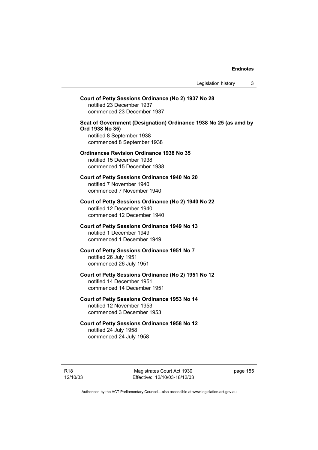## **Court of Petty Sessions Ordinance (No 2) 1937 No 28**  notified 23 December 1937 commenced 23 December 1937 **Seat of Government (Designation) Ordinance 1938 No 25 (as amd by Ord 1938 No 35)**  notified 8 September 1938 commenced 8 September 1938 **Ordinances Revision Ordinance 1938 No 35**  notified 15 December 1938 commenced 15 December 1938 **Court of Petty Sessions Ordinance 1940 No 20**  notified 7 November 1940 commenced 7 November 1940 **Court of Petty Sessions Ordinance (No 2) 1940 No 22**  notified 12 December 1940 commenced 12 December 1940 **Court of Petty Sessions Ordinance 1949 No 13**  notified 1 December 1949 commenced 1 December 1949 **Court of Petty Sessions Ordinance 1951 No 7**  notified 26 July 1951 commenced 26 July 1951 **Court of Petty Sessions Ordinance (No 2) 1951 No 12**  notified 14 December 1951 commenced 14 December 1951 **Court of Petty Sessions Ordinance 1953 No 14**  notified 12 November 1953 commenced 3 December 1953 **Court of Petty Sessions Ordinance 1958 No 12**  notified 24 July 1958 commenced 24 July 1958

Magistrates Court Act 1930 Effective: 12/10/03-18/12/03 page 155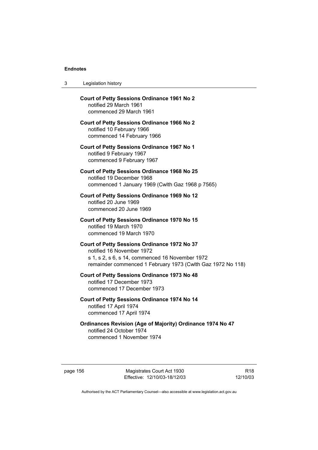| 3 | Legislation history |  |
|---|---------------------|--|
|---|---------------------|--|

| <b>Court of Petty Sessions Ordinance 1961 No 2</b><br>notified 29 March 1961<br>commenced 29 March 1961                                                                                     |
|---------------------------------------------------------------------------------------------------------------------------------------------------------------------------------------------|
| <b>Court of Petty Sessions Ordinance 1966 No 2</b><br>notified 10 February 1966<br>commenced 14 February 1966                                                                               |
| <b>Court of Petty Sessions Ordinance 1967 No 1</b><br>notified 9 February 1967<br>commenced 9 February 1967                                                                                 |
| <b>Court of Petty Sessions Ordinance 1968 No 25</b><br>notified 19 December 1968<br>commenced 1 January 1969 (Cwlth Gaz 1968 p 7565)                                                        |
| Court of Petty Sessions Ordinance 1969 No 12<br>notified 20 June 1969<br>commenced 20 June 1969                                                                                             |
| <b>Court of Petty Sessions Ordinance 1970 No 15</b><br>notified 19 March 1970<br>commenced 19 March 1970                                                                                    |
| Court of Petty Sessions Ordinance 1972 No 37<br>notified 16 November 1972<br>s 1, s 2, s 6, s 14, commenced 16 November 1972<br>remainder commenced 1 February 1973 (Cwlth Gaz 1972 No 118) |
| Court of Petty Sessions Ordinance 1973 No 48<br>notified 17 December 1973<br>commenced 17 December 1973                                                                                     |
| Court of Petty Sessions Ordinance 1974 No 14<br>notified 17 April 1974<br>commenced 17 April 1974                                                                                           |
| <b>Ordinances Revision (Age of Majority) Ordinance 1974 No 47</b><br>notified 24 October 1974<br>commenced 1 November 1974                                                                  |

page 156 Magistrates Court Act 1930 Effective: 12/10/03-18/12/03

R18 12/10/03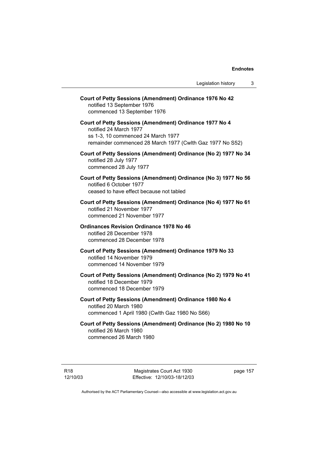| Court of Petty Sessions (Amendment) Ordinance 1976 No 42<br>notified 13 September 1976<br>commenced 13 September 1976                                                                |
|--------------------------------------------------------------------------------------------------------------------------------------------------------------------------------------|
| Court of Petty Sessions (Amendment) Ordinance 1977 No 4<br>notified 24 March 1977<br>ss 1-3, 10 commenced 24 March 1977<br>remainder commenced 28 March 1977 (Cwlth Gaz 1977 No S52) |
| Court of Petty Sessions (Amendment) Ordinance (No 2) 1977 No 34<br>notified 28 July 1977<br>commenced 28 July 1977                                                                   |
| Court of Petty Sessions (Amendment) Ordinance (No 3) 1977 No 56<br>notified 6 October 1977<br>ceased to have effect because not tabled                                               |
| Court of Petty Sessions (Amendment) Ordinance (No 4) 1977 No 61<br>notified 21 November 1977<br>commenced 21 November 1977                                                           |
| <b>Ordinances Revision Ordinance 1978 No 46</b><br>notified 28 December 1978<br>commenced 28 December 1978                                                                           |
| Court of Petty Sessions (Amendment) Ordinance 1979 No 33<br>notified 14 November 1979<br>commenced 14 November 1979                                                                  |
| Court of Petty Sessions (Amendment) Ordinance (No 2) 1979 No 41<br>notified 18 December 1979<br>commenced 18 December 1979                                                           |
| Court of Petty Sessions (Amendment) Ordinance 1980 No 4<br>notified 20 March 1980<br>commenced 1 April 1980 (Cwlth Gaz 1980 No S66)                                                  |
| Court of Petty Sessions (Amendment) Ordinance (No 2) 1980 No 10<br>notified 26 March 1980                                                                                            |

commenced 26 March 1980

R18 12/10/03 page 157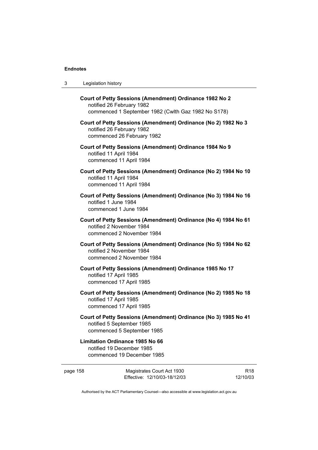| -3 | Legislation history |
|----|---------------------|
|----|---------------------|

| Court of Petty Sessions (Amendment) Ordinance 1982 No 2<br>notified 26 February 1982<br>commenced 1 September 1982 (Cwlth Gaz 1982 No S178) |
|---------------------------------------------------------------------------------------------------------------------------------------------|
| Court of Petty Sessions (Amendment) Ordinance (No 2) 1982 No 3<br>notified 26 February 1982<br>commenced 26 February 1982                   |
| Court of Petty Sessions (Amendment) Ordinance 1984 No 9<br>notified 11 April 1984<br>commenced 11 April 1984                                |
| Court of Petty Sessions (Amendment) Ordinance (No 2) 1984 No 10<br>notified 11 April 1984<br>commenced 11 April 1984                        |
| Court of Petty Sessions (Amendment) Ordinance (No 3) 1984 No 16<br>notified 1 June 1984<br>commenced 1 June 1984                            |
| Court of Petty Sessions (Amendment) Ordinance (No 4) 1984 No 61<br>notified 2 November 1984<br>commenced 2 November 1984                    |
| Court of Petty Sessions (Amendment) Ordinance (No 5) 1984 No 62<br>notified 2 November 1984<br>commenced 2 November 1984                    |
| Court of Petty Sessions (Amendment) Ordinance 1985 No 17<br>notified 17 April 1985<br>commenced 17 April 1985                               |
| Court of Petty Sessions (Amendment) Ordinance (No 2) 1985 No 18<br>notified 17 April 1985<br>commenced 17 April 1985                        |
| Court of Petty Sessions (Amendment) Ordinance (No 3) 1985 No 41<br>notified 5 September 1985<br>commenced 5 September 1985                  |
| Limitation Ordinango 400E No CC                                                                                                             |

### **Limitation Ordinance 1985 No 66**  notified 19 December 1985 commenced 19 December 1985

| page 158 | Magistrates Court Act 1930   |  |
|----------|------------------------------|--|
|          | Effective: 12/10/03-18/12/03 |  |

R18 12/10/03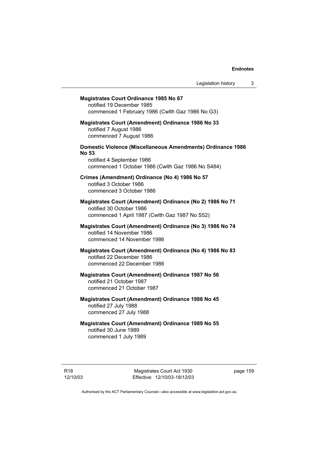## **Magistrates Court Ordinance 1985 No 67**  notified 19 December 1985 commenced 1 February 1986 (Cwlth Gaz 1986 No G3) **Magistrates Court (Amendment) Ordinance 1986 No 33**  notified 7 August 1986 commenced 7 August 1986 **Domestic Violence (Miscellaneous Amendments) Ordinance 1986 No 53**  notified 4 September 1986 commenced 1 October 1986 (Cwlth Gaz 1986 No S484) **Crimes (Amendment) Ordinance (No 4) 1986 No 57**  notified 3 October 1986 commenced 3 October 1986 **Magistrates Court (Amendment) Ordinance (No 2) 1986 No 71**  notified 30 October 1986 commenced 1 April 1987 (Cwlth Gaz 1987 No S52) **Magistrates Court (Amendment) Ordinance (No 3) 1986 No 74**  notified 14 November 1986 commenced 14 November 1986 **Magistrates Court (Amendment) Ordinance (No 4) 1986 No 83**  notified 22 December 1986 commenced 22 December 1986 **Magistrates Court (Amendment) Ordinance 1987 No 56**  notified 21 October 1987 commenced 21 October 1987 **Magistrates Court (Amendment) Ordinance 1988 No 45**  notified 27 July 1988 commenced 27 July 1988 **Magistrates Court (Amendment) Ordinance 1989 No 55**

notified 30 June 1989 commenced 1 July 1989

Magistrates Court Act 1930 Effective: 12/10/03-18/12/03 page 159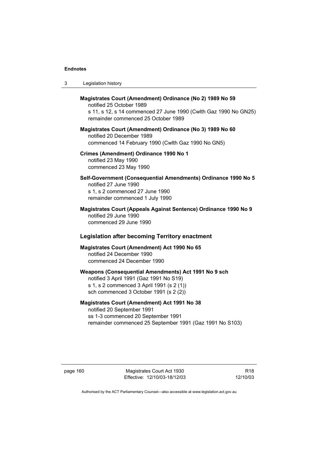| -3 | Legislation history |  |
|----|---------------------|--|
|----|---------------------|--|

# **Magistrates Court (Amendment) Ordinance (No 2) 1989 No 59**  notified 25 October 1989 s 11, s 12, s 14 commenced 27 June 1990 (Cwlth Gaz 1990 No GN25) remainder commenced 25 October 1989 **Magistrates Court (Amendment) Ordinance (No 3) 1989 No 60**  notified 20 December 1989 commenced 14 February 1990 (Cwlth Gaz 1990 No GN5) **Crimes (Amendment) Ordinance 1990 No 1**  notified 23 May 1990 commenced 23 May 1990 **Self-Government (Consequential Amendments) Ordinance 1990 No 5**  notified 27 June 1990 s 1, s 2 commenced 27 June 1990 remainder commenced 1 July 1990 **Magistrates Court (Appeals Against Sentence) Ordinance 1990 No 9**  notified 29 June 1990 commenced 29 June 1990  **Legislation after becoming Territory enactment Magistrates Court (Amendment) Act 1990 No 65**  notified 24 December 1990 commenced 24 December 1990 **Weapons (Consequential Amendments) Act 1991 No 9 sch**  notified 3 April 1991 (Gaz 1991 No S19) s 1, s 2 commenced 3 April 1991 (s 2 (1)) sch commenced 3 October 1991 (s 2 (2))

### **Magistrates Court (Amendment) Act 1991 No 38**

notified 20 September 1991 ss 1-3 commenced 20 September 1991 remainder commenced 25 September 1991 (Gaz 1991 No S103)

page 160 Magistrates Court Act 1930 Effective: 12/10/03-18/12/03

R18 12/10/03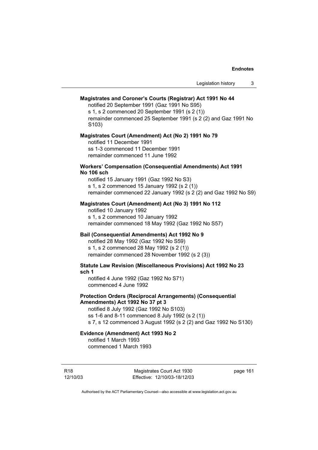#### **Magistrates and Coroner's Courts (Registrar) Act 1991 No 44**

notified 20 September 1991 (Gaz 1991 No S95)

s 1, s 2 commenced 20 September 1991 (s 2 (1)) remainder commenced 25 September 1991 (s 2 (2) and Gaz 1991 No S103)

#### **Magistrates Court (Amendment) Act (No 2) 1991 No 79**

notified 11 December 1991 ss 1-3 commenced 11 December 1991 remainder commenced 11 June 1992

#### **Workers' Compensation (Consequential Amendments) Act 1991 No 106 sch**

notified 15 January 1991 (Gaz 1992 No S3) s 1, s 2 commenced 15 January 1992 (s 2 (1)) remainder commenced 22 January 1992 (s 2 (2) and Gaz 1992 No S9)

### **Magistrates Court (Amendment) Act (No 3) 1991 No 112**

notified 10 January 1992 s 1, s 2 commenced 10 January 1992 remainder commenced 18 May 1992 (Gaz 1992 No S57)

### **Bail (Consequential Amendments) Act 1992 No 9**

notified 28 May 1992 (Gaz 1992 No S59) s 1, s 2 commenced 28 May 1992 (s 2 (1)) remainder commenced 28 November 1992 (s 2 (3))

### **Statute Law Revision (Miscellaneous Provisions) Act 1992 No 23 sch 1**

notified 4 June 1992 (Gaz 1992 No S71) commenced 4 June 1992

### **Protection Orders (Reciprocal Arrangements) (Consequential Amendments) Act 1992 No 37 pt 3**

notified 8 July 1992 (Gaz 1992 No S103) ss 1-6 and 8-11 commenced 8 July 1992 (s 2 (1)) s 7, s 12 commenced 3 August 1992 (s 2 (2) and Gaz 1992 No S130)

### **Evidence (Amendment) Act 1993 No 2**  notified 1 March 1993

commenced 1 March 1993

R18 12/10/03

Magistrates Court Act 1930 Effective: 12/10/03-18/12/03 page 161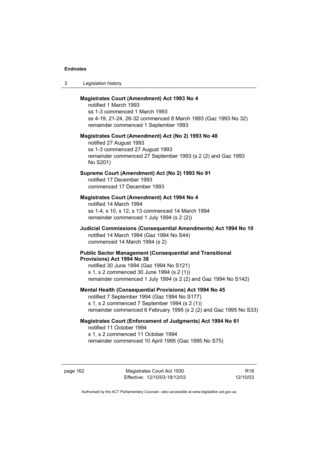3 Legislation history

### **Magistrates Court (Amendment) Act 1993 No 4**

notified 1 March 1993 ss 1-3 commenced 1 March 1993 ss 4-19, 21-24, 26-32 commenced 8 March 1993 (Gaz 1993 No 32) remainder commenced 1 September 1993

#### **Magistrates Court (Amendment) Act (No 2) 1993 No 48**

notified 27 August 1993 ss 1-3 commenced 27 August 1993 remainder commenced 27 September 1993 (s 2 (2) and Gaz 1993 No S201)

### **Supreme Court (Amendment) Act (No 2) 1993 No 91**

notified 17 December 1993 commenced 17 December 1993

### **Magistrates Court (Amendment) Act 1994 No 4**

notified 14 March 1994 ss 1-4, s 10, s 12, s 13 commenced 14 March 1994 remainder commenced 1 July 1994 (s 2 (2))

### **Judicial Commissions (Consequential Amendments) Act 1994 No 10**  notified 14 March 1994 (Gaz 1994 No S44) commenced 14 March 1994 (s 2)

#### **Public Sector Management (Consequential and Transitional Provisions) Act 1994 No 38**

notified 30 June 1994 (Gaz 1994 No S121) s 1, s 2 commenced 30 June 1994 (s 2 (1)) remainder commenced 1 July 1994 (s 2 (2) and Gaz 1994 No S142)

### **Mental Health (Consequential Provisions) Act 1994 No 45**

notified 7 September 1994 (Gaz 1994 No S177) s 1, s 2 commenced 7 September 1994 (s 2 (1)) remainder commenced 6 February 1995 (s 2 (2) and Gaz 1995 No S33)

### **Magistrates Court (Enforcement of Judgments) Act 1994 No 61**  notified 11 October 1994 s 1, s 2 commenced 11 October 1994

remainder commenced 10 April 1995 (Gaz 1995 No S75)

page 162 Magistrates Court Act 1930 Effective: 12/10/03-18/12/03

R18 12/10/03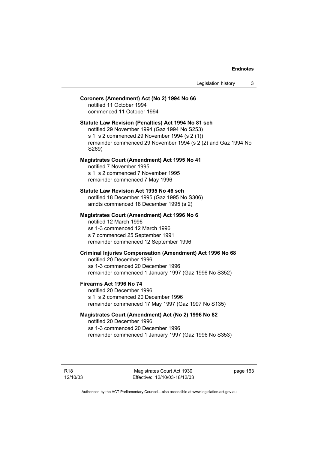#### **Coroners (Amendment) Act (No 2) 1994 No 66**

notified 11 October 1994 commenced 11 October 1994

### **Statute Law Revision (Penalties) Act 1994 No 81 sch**

notified 29 November 1994 (Gaz 1994 No S253) s 1, s 2 commenced 29 November 1994 (s 2 (1)) remainder commenced 29 November 1994 (s 2 (2) and Gaz 1994 No S269)

### **Magistrates Court (Amendment) Act 1995 No 41**

notified 7 November 1995 s 1, s 2 commenced 7 November 1995 remainder commenced 7 May 1996

#### **Statute Law Revision Act 1995 No 46 sch**

notified 18 December 1995 (Gaz 1995 No S306) amdts commenced 18 December 1995 (s 2)

### **Magistrates Court (Amendment) Act 1996 No 6**  notified 12 March 1996 ss 1-3 commenced 12 March 1996

s 7 commenced 25 September 1991 remainder commenced 12 September 1996

### **Criminal Injuries Compensation (Amendment) Act 1996 No 68**

notified 20 December 1996 ss 1-3 commenced 20 December 1996 remainder commenced 1 January 1997 (Gaz 1996 No S352)

### **Firearms Act 1996 No 74**

notified 20 December 1996 s 1, s 2 commenced 20 December 1996 remainder commenced 17 May 1997 (Gaz 1997 No S135)

### **Magistrates Court (Amendment) Act (No 2) 1996 No 82**

notified 20 December 1996 ss 1-3 commenced 20 December 1996 remainder commenced 1 January 1997 (Gaz 1996 No S353)

Magistrates Court Act 1930 Effective: 12/10/03-18/12/03 page 163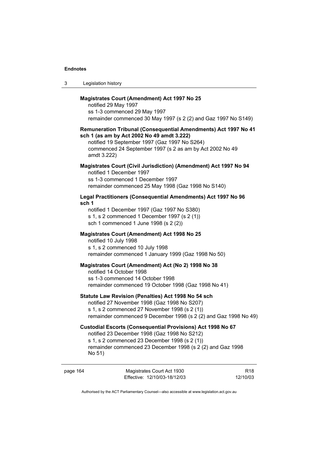| -3 | Legislation history |  |
|----|---------------------|--|
|----|---------------------|--|

### **Magistrates Court (Amendment) Act 1997 No 25**

notified 29 May 1997 ss 1-3 commenced 29 May 1997 remainder commenced 30 May 1997 (s 2 (2) and Gaz 1997 No S149)

#### **Remuneration Tribunal (Consequential Amendments) Act 1997 No 41 sch 1 (as am by Act 2002 No 49 amdt 3.222)**

notified 19 September 1997 (Gaz 1997 No S264) commenced 24 September 1997 (s 2 as am by Act 2002 No 49 amdt 3.222)

### **Magistrates Court (Civil Jurisdiction) (Amendment) Act 1997 No 94**  notified 1 December 1997 ss 1-3 commenced 1 December 1997

remainder commenced 25 May 1998 (Gaz 1998 No S140)

### **Legal Practitioners (Consequential Amendments) Act 1997 No 96 sch 1**

notified 1 December 1997 (Gaz 1997 No S380) s 1, s 2 commenced 1 December 1997 (s 2 (1)) sch 1 commenced 1 June 1998 (s 2 (2))

### **Magistrates Court (Amendment) Act 1998 No 25**

notified 10 July 1998

s 1, s 2 commenced 10 July 1998 remainder commenced 1 January 1999 (Gaz 1998 No 50)

#### **Magistrates Court (Amendment) Act (No 2) 1998 No 38**

notified 14 October 1998 ss 1-3 commenced 14 October 1998 remainder commenced 19 October 1998 (Gaz 1998 No 41)

### **Statute Law Revision (Penalties) Act 1998 No 54 sch**

notified 27 November 1998 (Gaz 1998 No S207) s 1, s 2 commenced 27 November 1998 (s 2 (1)) remainder commenced 9 December 1998 (s 2 (2) and Gaz 1998 No 49)

### **Custodial Escorts (Consequential Provisions) Act 1998 No 67**

notified 23 December 1998 (Gaz 1998 No S212)

s 1, s 2 commenced 23 December 1998 (s 2 (1))

remainder commenced 23 December 1998 (s 2 (2) and Gaz 1998 No 51)

| page 164 | Magistrates Court Act 1930   | R18      |
|----------|------------------------------|----------|
|          | Effective: 12/10/03-18/12/03 | 12/10/03 |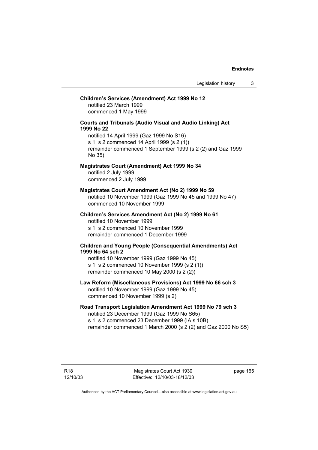### **Children's Services (Amendment) Act 1999 No 12**

notified 23 March 1999 commenced 1 May 1999

### **Courts and Tribunals (Audio Visual and Audio Linking) Act 1999 No 22**

notified 14 April 1999 (Gaz 1999 No S16) s 1, s 2 commenced 14 April 1999 (s 2 (1)) remainder commenced 1 September 1999 (s 2 (2) and Gaz 1999 No 35)

### **Magistrates Court (Amendment) Act 1999 No 34**

notified 2 July 1999 commenced 2 July 1999

#### **Magistrates Court Amendment Act (No 2) 1999 No 59**

notified 10 November 1999 (Gaz 1999 No 45 and 1999 No 47) commenced 10 November 1999

**Children's Services Amendment Act (No 2) 1999 No 61**  notified 10 November 1999 s 1, s 2 commenced 10 November 1999 remainder commenced 1 December 1999

### **Children and Young People (Consequential Amendments) Act 1999 No 64 sch 2**

notified 10 November 1999 (Gaz 1999 No 45) s 1, s 2 commenced 10 November 1999 (s 2 (1)) remainder commenced 10 May 2000 (s 2 (2))

## **Law Reform (Miscellaneous Provisions) Act 1999 No 66 sch 3**

notified 10 November 1999 (Gaz 1999 No 45) commenced 10 November 1999 (s 2)

### **Road Transport Legislation Amendment Act 1999 No 79 sch 3**

notified 23 December 1999 (Gaz 1999 No S65) s 1, s 2 commenced 23 December 1999 (IA s 10B) remainder commenced 1 March 2000 (s 2 (2) and Gaz 2000 No S5)

page 165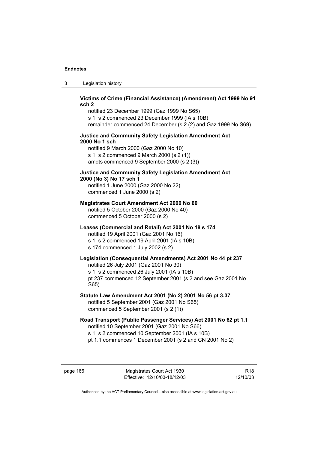3 Legislation history

### **Victims of Crime (Financial Assistance) (Amendment) Act 1999 No 91 sch 2**

notified 23 December 1999 (Gaz 1999 No S65) s 1, s 2 commenced 23 December 1999 (IA s 10B) remainder commenced 24 December (s 2 (2) and Gaz 1999 No S69)

### **Justice and Community Safety Legislation Amendment Act 2000 No 1 sch**

notified 9 March 2000 (Gaz 2000 No 10) s 1, s 2 commenced 9 March 2000 (s 2 (1)) amdts commenced 9 September 2000 (s 2 (3))

### **Justice and Community Safety Legislation Amendment Act 2000 (No 3) No 17 sch 1**

notified 1 June 2000 (Gaz 2000 No 22) commenced 1 June 2000 (s 2)

### **Magistrates Court Amendment Act 2000 No 60**

notified 5 October 2000 (Gaz 2000 No 40) commenced 5 October 2000 (s 2)

### **Leases (Commercial and Retail) Act 2001 No 18 s 174**

notified 19 April 2001 (Gaz 2001 No 16) s 1, s 2 commenced 19 April 2001 (IA s 10B) s 174 commenced 1 July 2002 (s 2)

## **Legislation (Consequential Amendments) Act 2001 No 44 pt 237**

notified 26 July 2001 (Gaz 2001 No 30)

s 1, s 2 commenced 26 July 2001 (IA s 10B)

pt 237 commenced 12 September 2001 (s 2 and see Gaz 2001 No S65)

### **Statute Law Amendment Act 2001 (No 2) 2001 No 56 pt 3.37**  notified 5 September 2001 (Gaz 2001 No S65) commenced 5 September 2001 (s 2 (1))

**Road Transport (Public Passenger Services) Act 2001 No 62 pt 1.1**  notified 10 September 2001 (Gaz 2001 No S66) s 1, s 2 commenced 10 September 2001 (IA s 10B)

pt 1.1 commences 1 December 2001 (s 2 and CN 2001 No 2)

page 166 Magistrates Court Act 1930 Effective: 12/10/03-18/12/03

R18 12/10/03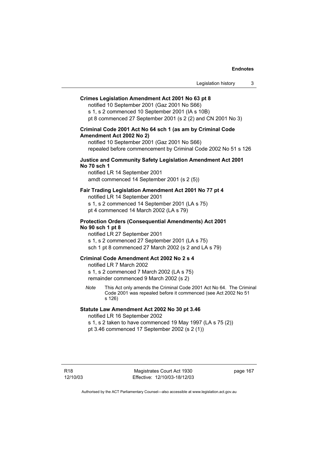## **Crimes Legislation Amendment Act 2001 No 63 pt 8**

notified 10 September 2001 (Gaz 2001 No S66) s 1, s 2 commenced 10 September 2001 (IA s 10B) pt 8 commenced 27 September 2001 (s 2 (2) and CN 2001 No 3)

# **Criminal Code 2001 Act No 64 sch 1 (as am by Criminal Code Amendment Act 2002 No 2)**

notified 10 September 2001 (Gaz 2001 No S66) repealed before commencement by Criminal Code 2002 No 51 s 126

# **Justice and Community Safety Legislation Amendment Act 2001 No 70 sch 1**

notified LR 14 September 2001 amdt commenced 14 September 2001 (s 2 (5))

# **Fair Trading Legislation Amendment Act 2001 No 77 pt 4**

notified LR 14 September 2001

s 1, s 2 commenced 14 September 2001 (LA s 75)

pt 4 commenced 14 March 2002 (LA s 79)

# **Protection Orders (Consequential Amendments) Act 2001 No 90 sch 1 pt 8**

notified LR 27 September 2001

s 1, s 2 commenced 27 September 2001 (LA s 75)

sch 1 pt 8 commenced 27 March 2002 (s 2 and LA s 79)

# **Criminal Code Amendment Act 2002 No 2 s 4**

notified LR 7 March 2002

s 1, s 2 commenced 7 March 2002 (LA s 75) remainder commenced 9 March 2002 (s 2)

*Note* This Act only amends the Criminal Code 2001 Act No 64. The Criminal Code 2001 was repealed before it commenced (see Act 2002 No 51 s 126)

# **Statute Law Amendment Act 2002 No 30 pt 3.46**

notified LR 16 September 2002

s 1, s 2 taken to have commenced 19 May 1997 (LA s 75 (2)) pt 3.46 commenced 17 September 2002 (s 2 (1))

page 167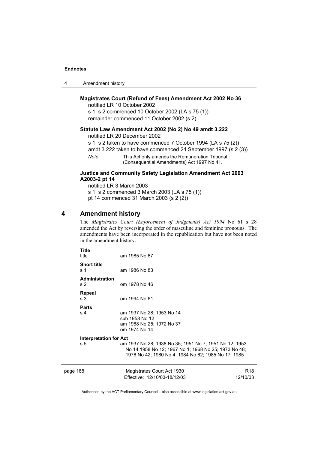| 4 | Amendment history |
|---|-------------------|
|---|-------------------|

# **Magistrates Court (Refund of Fees) Amendment Act 2002 No 36**

notified LR 10 October 2002 s 1, s 2 commenced 10 October 2002 (LA s 75 (1)) remainder commenced 11 October 2002 (s 2)

## **Statute Law Amendment Act 2002 (No 2) No 49 amdt 3.222**

notified LR 20 December 2002

s 1, s 2 taken to have commenced 7 October 1994 (LA s 75 (2)) amdt 3.222 taken to have commenced 24 September 1997 (s 2 (3))

*Note* This Act only amends the Remuneration Tribunal

(Consequential Amendments) Act 1997 No 41.

# **Justice and Community Safety Legislation Amendment Act 2003 A2003-2 pt 14**

notified LR 3 March 2003 s 1, s 2 commenced 3 March 2003 (LA s 75 (1)) pt 14 commenced 31 March 2003 (s 2 (2))

# **4 Amendment history**

The *Magistrates Court (Enforcement of Judgments) Act 1994* No 61 s 28 amended the Act by reversing the order of masculine and feminine pronouns. The amendments have been incorporated in the republication but have not been noted in the amendment history.

| Title<br>title                          | am 1985 No 67                                                                                                                                                         |                 |
|-----------------------------------------|-----------------------------------------------------------------------------------------------------------------------------------------------------------------------|-----------------|
| <b>Short title</b><br>s 1               | am 1986 No 83                                                                                                                                                         |                 |
| <b>Administration</b><br>s <sub>2</sub> | om 1978 No 46                                                                                                                                                         |                 |
| Repeal<br>s 3                           | om 1994 No 61                                                                                                                                                         |                 |
| <b>Parts</b><br>s <sub>4</sub>          | am 1937 No 28; 1953 No 14<br>sub 1958 No 12<br>am 1968 No 25; 1972 No 37<br>om 1974 No 14                                                                             |                 |
| <b>Interpretation for Act</b>           |                                                                                                                                                                       |                 |
| s 5                                     | am 1937 No 28; 1938 No 35; 1951 No 7; 1951 No 12; 1953<br>No 14;1958 No 12; 1967 No 1; 1968 No 25; 1973 No 48;<br>1976 No 42; 1980 No 4; 1984 No 62; 1985 No 17; 1985 |                 |
| page 168                                | Magistrates Court Act 1930                                                                                                                                            | R <sub>18</sub> |
|                                         | Effective: 12/10/03-18/12/03                                                                                                                                          | 12/10/03        |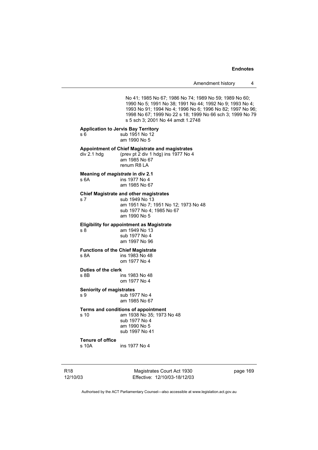No 41; 1985 No 67; 1986 No 74; 1989 No 59; 1989 No 60; 1990 No 5; 1991 No 38; 1991 No 44; 1992 No 9; 1993 No 4; 1993 No 91; 1994 No 4; 1996 No 6; 1996 No 82; 1997 No 96; 1998 No 67; 1999 No 22 s 18; 1999 No 66 sch 3; 1999 No 79 s 5 sch 3; 2001 No 44 amdt 1.2748

#### **Application to Jervis Bay Territory**

s 6 sub 1951 No 12 am 1990 No 5

### **Appointment of Chief Magistrate and magistrates**

div 2.1 hdg (prev pt 2 div 1 hdg) ins 1977 No 4

 am 1985 No 67 renum R8 LA

# **Meaning of** *magistrate* **in div 2.1**

s 6A ins 1977 No 4 am 1985 No 67

# **Chief Magistrate and other magistrates**

s 7 sub 1949 No 13 am 1951 No 7; 1951 No 12; 1973 No 48 sub 1977 No 4; 1985 No 67 am 1990 No 5

## **Eligibility for appointment as Magistrate**

s 8 am 1949 No 13 sub 1977 No 4 am 1997 No 96

# **Functions of the Chief Magistrate**

ins 1983 No 48 om 1977 No 4

#### **Duties of the clerk**

s 8B ins 1983 No 48 om 1977 No 4

### **Seniority of magistrates**

s 9 sub 1977 No 4 am 1985 No 67

# **Terms and conditions of appointment**

s 10 am 1938 No 35; 1973 No 48 sub 1977 No 4 am 1990 No 5 sub 1997 No 41

# **Tenure of office**

ins 1977 No 4

R18 12/10/03

Magistrates Court Act 1930 Effective: 12/10/03-18/12/03 page 169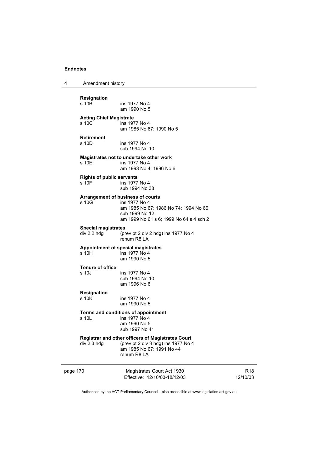4 Amendment history

# **Resignation**  ins 1977 No 4 am 1990 No 5 **Acting Chief Magistrate**  ins 1977 No 4 am 1985 No 67; 1990 No 5 **Retirement**  s 10D ins 1977 No 4 sub 1994 No 10 **Magistrates not to undertake other work**  s 10E ins 1977 No 4 am 1993 No 4; 1996 No 6 **Rights of public servants**  s 10F ins 1977 No 4 sub 1994 No 38 **Arrangement of business of courts**  ins 1977 No 4 am 1985 No 67; 1986 No 74; 1994 No 66 sub 1999 No 12 am 1999 No 61 s 6; 1999 No 64 s 4 sch 2 **Special magistrates**

div 2.2 hdg (prev pt 2 div 2 hdg) ins 1977 No 4 renum R8 LA

#### **Appointment of special magistrates**

s 10H ins 1977 No 4 am 1990 No 5

# **Tenure of office**

ins 1977 No 4 sub 1994 No 10 am 1996 No 6

## **Resignation**

s 10K ins 1977 No 4 am 1990 No 5

# **Terms and conditions of appointment**<br>s 10L ins 1977 No 4

 $ins$  1977 No 4 am 1990 No 5 sub 1997 No 41

### **Registrar and other officers of Magistrates Court**

div 2.3 hdg (prev pt 2 div 3 hdg) ins 1977 No 4 am 1985 No 67; 1991 No 44 renum R8 LA

page 170 Magistrates Court Act 1930 Effective: 12/10/03-18/12/03

R18 12/10/03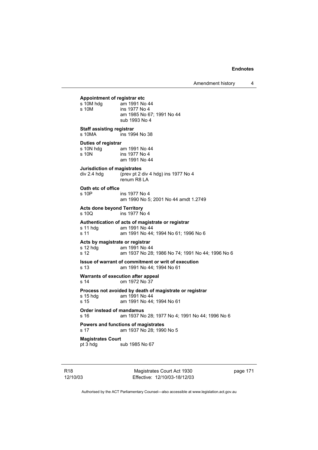**Appointment of registrar etc**  s 10M hdg am 1991 No 44<br>s 10M ins 1977 No 4 ins 1977 No 4 am 1985 No 67; 1991 No 44 sub 1993 No 4 **Staff assisting registrar**  s 10MA ins 1994 No 38 **Duties of registrar**<br>s 10N hdg a am 1991 No 44 s 10N ins 1977 No 4 am 1991 No 44 **Jurisdiction of magistrates**<br>div 2.4 hdg (prev pt 2) (prev pt 2 div 4 hdg) ins 1977 No 4 renum R8 LA **Oath etc of office**  ins 1977 No 4 am 1990 No 5; 2001 No 44 amdt 1.2749 **Acts done beyond Territory**  ins 1977 No 4 **Authentication of acts of magistrate or registrar**  s 11 hdg am 1991 No 44 s 11 am 1991 No 44; 1994 No 61; 1996 No 6 **Acts by magistrate or registrar**  am 1991 No 44 s 12 am 1937 No 28; 1986 No 74; 1991 No 44; 1996 No 6 **Issue of warrant of commitment or writ of execution**  s 13 am 1991 No 44; 1994 No 61 **Warrants of execution after appeal**  s 14 om 1972 No 37 **Process not avoided by death of magistrate or registrar**  s 15 hdg am 1991 No 44<br>s 15 am 1991 No 44; am 1991 No 44; 1994 No 61 **Order instead of mandamus**  s 16 am 1937 No 28; 1977 No 4; 1991 No 44; 1996 No 6 **Powers and functions of magistrates**  s 17 am 1937 No 28; 1990 No 5 **Magistrates Court**  pt 3 hdg sub 1985 No 67

R18 12/10/03

Magistrates Court Act 1930 Effective: 12/10/03-18/12/03 page 171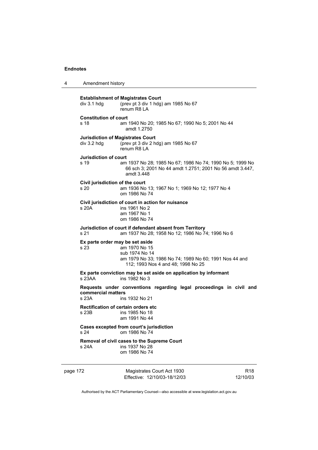| 4 | Amendment history                       |                                                                                                                                                                    |
|---|-----------------------------------------|--------------------------------------------------------------------------------------------------------------------------------------------------------------------|
|   | div 3.1 hdg                             | <b>Establishment of Magistrates Court</b><br>(prev pt 3 div 1 hdg) am 1985 No 67<br>renum R8 LA                                                                    |
|   | <b>Constitution of court</b><br>s 18    | am 1940 No 20; 1985 No 67; 1990 No 5; 2001 No 44<br>amdt 1.2750                                                                                                    |
|   | div 3.2 hdg                             | <b>Jurisdiction of Magistrates Court</b><br>(prev pt 3 div 2 hdg) am 1985 No 67<br>renum R8 I A                                                                    |
|   | <b>Jurisdiction of court</b><br>s 19    | am 1937 No 28; 1985 No 67; 1986 No 74; 1990 No 5; 1999 No<br>66 sch 3; 2001 No 44 amdt 1.2751; 2001 No 56 amdt 3.447,<br>amdt 3.448                                |
|   | Civil jurisdiction of the court<br>s 20 | am 1936 No 13; 1967 No 1; 1969 No 12; 1977 No 4<br>om 1986 No 74                                                                                                   |
|   | s 20A                                   | Civil jurisdiction of court in action for nuisance<br>ins 1961 No 2<br>am 1967 No 1<br>om 1986 No 74                                                               |
|   | s 21                                    | Jurisdiction of court if defendant absent from Territory<br>am 1937 No 28; 1958 No 12; 1986 No 74; 1996 No 6                                                       |
|   | s 23                                    | Ex parte order may be set aside<br>am 1970 No 15<br>sub 1974 No 14<br>am 1979 No 33; 1986 No 74; 1989 No 60; 1991 Nos 44 and<br>112; 1993 Nos 4 and 48; 1998 No 25 |
|   | s 23AA                                  | Ex parte conviction may be set aside on application by informant<br>ins 1982 No 3                                                                                  |
|   | commercial matters<br>s 23A             | Requests under conventions regarding legal proceedings in civil and<br>ins 1932 No 21                                                                              |
|   | s 23B                                   | <b>Rectification of certain orders etc</b><br>ins 1985 No 18<br>am 1991 No 44                                                                                      |
|   | s 24                                    | Cases excepted from court's jurisdiction<br>om 1986 No 74                                                                                                          |
|   | s 24A                                   | Removal of civil cases to the Supreme Court<br>ins 1937 No 28<br>om 1986 No 74                                                                                     |
|   |                                         |                                                                                                                                                                    |

page 172 Magistrates Court Act 1930 Effective: 12/10/03-18/12/03

R18 12/10/03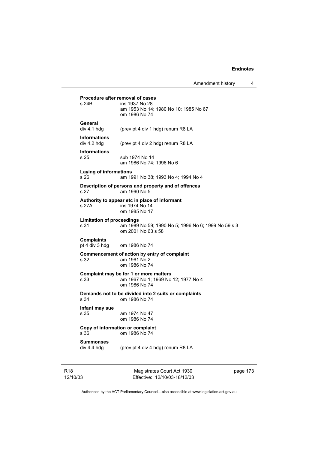| s 24B                                    | <b>Procedure after removal of cases</b><br>ins 1937 No 28<br>am 1953 No 14; 1980 No 10; 1985 No 67<br>om 1986 No 74 |
|------------------------------------------|---------------------------------------------------------------------------------------------------------------------|
| General<br>div 4.1 hdg                   | (prev pt 4 div 1 hdg) renum R8 LA                                                                                   |
| <b>Informations</b><br>div 4.2 hdg       | (prev pt 4 div 2 hdg) renum R8 LA                                                                                   |
| <b>Informations</b><br>s 25              | sub 1974 No 14<br>am 1986 No 74; 1996 No 6                                                                          |
| Laying of informations<br>s 26           | am 1991 No 38; 1993 No 4; 1994 No 4                                                                                 |
| s 27                                     | Description of persons and property and of offences<br>am 1990 No 5                                                 |
| s 27A                                    | Authority to appear etc in place of informant<br>ins 1974 No 14<br>om 1985 No 17                                    |
| <b>Limitation of proceedings</b><br>s 31 | am 1989 No 59; 1990 No 5; 1996 No 6; 1999 No 59 s 3<br>om 2001 No 63 s 58                                           |
| <b>Complaints</b><br>pt 4 div 3 hdg      | om 1986 No 74                                                                                                       |
| s 32                                     | Commencement of action by entry of complaint<br>am 1961 No 2<br>om 1986 No 74                                       |
| s 33                                     | Complaint may be for 1 or more matters<br>am 1967 No 1; 1969 No 12; 1977 No 4<br>om 1986 No 74                      |
| s 34                                     | Demands not to be divided into 2 suits or complaints<br>om 1986 No 74                                               |
| Infant may sue<br>s 35                   | am 1974 No 47<br>om 1986 No 74                                                                                      |
| s 36                                     | Copy of information or complaint<br>om 1986 No 74                                                                   |
| <b>Summonses</b><br>div 4.4 hdg          | (prev pt 4 div 4 hdg) renum R8 LA                                                                                   |

R18 12/10/03

Magistrates Court Act 1930 Effective: 12/10/03-18/12/03 page 173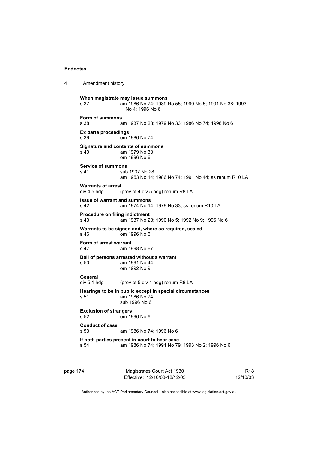4 Amendment history **When magistrate may issue summons** 

s 37 am 1986 No 74; 1989 No 55; 1990 No 5; 1991 No 38; 1993 No 4; 1996 No 6 **Form of summons**  s 38 am 1937 No 28; 1979 No 33; 1986 No 74; 1996 No 6 **Ex parte proceedings**  s 39 om 1986 No 74 **Signature and contents of summons**  s 40 am 1979 No 33 om 1996 No 6 **Service of summons**  s 41 sub 1937 No 28 am 1953 No 14; 1986 No 74; 1991 No 44; ss renum R10 LA **Warrants of arrest**  div 4.5 hdg (prev pt 4 div 5 hdg) renum R8 LA **Issue of warrant and summons**  s 42 am 1974 No 14, 1979 No 33; ss renum R10 LA **Procedure on filing indictment**  s 43 am 1937 No 28; 1990 No 5; 1992 No 9; 1996 No 6 **Warrants to be signed and, where so required, sealed**  s 46 om 1996 No 6 **Form of arrest warrant**  s 47 am 1998 No 67 **Bail of persons arrested without a warrant**  s 50 am 1991 No 44 om 1992 No 9 **General**  div 5.1 hdg (prev pt 5 div 1 hdg) renum R8 LA **Hearings to be in public except in special circumstances**  s 51 am 1986 No 74 sub 1996 No 6 **Exclusion of strangers**  s 52 om 1996 No 6 **Conduct of case**  s 53 am 1986 No 74; 1996 No 6 **If both parties present in court to hear case**  s 54 am 1986 No 74; 1991 No 79; 1993 No 2; 1996 No 6

page 174 Magistrates Court Act 1930 Effective: 12/10/03-18/12/03

R18 12/10/03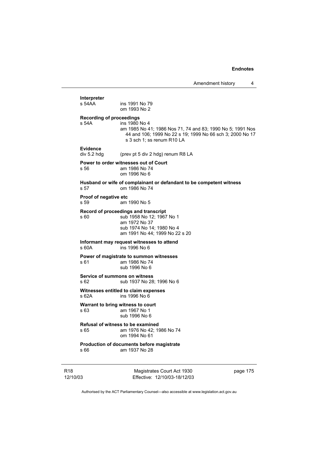**Interpreter**  ins 1991 No 79 om 1993 No 2 **Recording of proceedings**  s 54A ins 1980 No 4 am 1985 No 41; 1986 Nos 71, 74 and 83; 1990 No 5; 1991 Nos 44 and 106; 1999 No 22 s 19; 1999 No 66 sch 3; 2000 No 17 s 3 sch 1; ss renum R10 LA **Evidence**  div 5.2 hdg (prev pt 5 div 2 hdg) renum R8 LA **Power to order witnesses out of Court**  s 56 am 1986 No 74 om 1996 No 6 **Husband or wife of complainant or defandant to be competent witness**  s 57 om 1986 No 74 **Proof of negative etc**  s 59 am 1990 No 5 **Record of proceedings and transcript**  s 60 sub 1958 No 12; 1967 No 1 am 1972 No 37 sub 1974 No 14; 1980 No 4 am 1991 No 44; 1999 No 22 s 20 **Informant may request witnesses to attend**  s 60A ins 1996 No 6 **Power of magistrate to summon witnesses**  am 1986 No 74 sub 1996 No 6 **Service of summons on witness**  s 62 sub 1937 No 28; 1996 No 6 **Witnesses entitled to claim expenses**<br>s 62A **ins 1996** No 6  $ins$  1996 No 6 **Warrant to bring witness to court**  s 63 am 1967 No 1 sub 1996 No 6 **Refusal of witness to be examined**  s 65 am 1976 No 42; 1986 No 74 om 1994 No 61 **Production of documents before magistrate**  s 66 am 1937 No 28

R18 12/10/03

Magistrates Court Act 1930 Effective: 12/10/03-18/12/03 page 175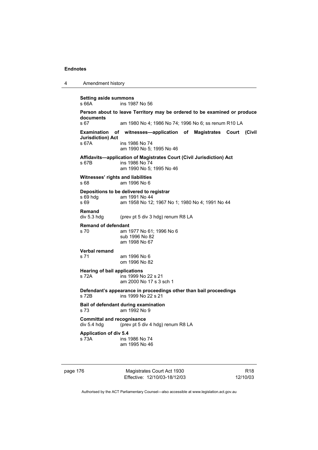| 4 | Amendment history                                |                                                                                                                    |
|---|--------------------------------------------------|--------------------------------------------------------------------------------------------------------------------|
|   | <b>Setting aside summons</b><br>s 66A            | ins 1987 No 56                                                                                                     |
|   | documents                                        | Person about to leave Territory may be ordered to be examined or produce                                           |
|   | s 67                                             | am 1980 No 4; 1986 No 74; 1996 No 6; ss renum R10 LA                                                               |
|   | Examination<br><b>Jurisdiction</b> ) Act         | of witnesses—application of Magistrates Court (Civil                                                               |
|   | s 67A                                            | ins 1986 No 74<br>am 1990 No 5: 1995 No 46                                                                         |
|   | s 67B                                            | Affidavits-application of Magistrates Court (Civil Jurisdiction) Act<br>ins 1986 No 74<br>am 1990 No 5; 1995 No 46 |
|   | Witnesses' rights and liabilities<br>s 68        | am 1996 No 6                                                                                                       |
|   | s 69 hdg                                         | Depositions to be delivered to registrar<br>am 1991 No 44                                                          |
|   | s 69                                             | am 1958 No 12; 1967 No 1; 1980 No 4; 1991 No 44                                                                    |
|   | <b>Remand</b><br>div 5.3 hdg                     | (prev pt 5 div 3 hdg) renum R8 LA                                                                                  |
|   | <b>Remand of defendant</b>                       |                                                                                                                    |
|   | s 70                                             | am 1977 No 61; 1996 No 6<br>sub 1996 No 82<br>am 1998 No 67                                                        |
|   | Verbal remand                                    |                                                                                                                    |
|   | s 71                                             | am 1996 No 6<br>om 1996 No 82                                                                                      |
|   | <b>Hearing of bail applications</b><br>s 72A     | ins 1999 No 22 s 21                                                                                                |
|   |                                                  | am 2000 No 17 s 3 sch 1                                                                                            |
|   | s 72B                                            | Defendant's appearance in proceedings other than bail proceedings<br>ins 1999 No 22 s 21                           |
|   | s 73                                             | Bail of defendant during examination<br>am 1992 No 9                                                               |
|   | <b>Committal and recognisance</b><br>div 5.4 hdg | (prev pt 5 div 4 hdg) renum R8 LA                                                                                  |
|   | <b>Application of div 5.4</b>                    |                                                                                                                    |
|   | s 73A                                            | ins 1986 No 74<br>am 1995 No 46                                                                                    |
|   |                                                  |                                                                                                                    |
|   |                                                  |                                                                                                                    |

page 176 Magistrates Court Act 1930 Effective: 12/10/03-18/12/03

R18 12/10/03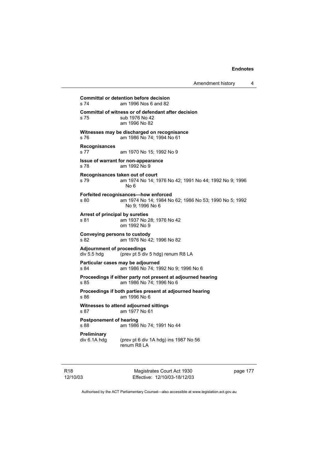Amendment history 4

**Committal or detention before decision**  s 74 am 1996 Nos 6 and 82 **Committal of witness or of defendant after decision**  sub 1976 No 42 am 1996 No 82 **Witnesses may be discharged on recognisance**  s 76 am 1986 No 74; 1994 No 61 **Recognisances**  s 77 am 1970 No 15; 1992 No 9 **Issue of warrant for non-appearance**  s 78 am 1992 No 9 **Recognisances taken out of court**  s 79 am 1974 No 14; 1976 No 42; 1991 No 44; 1992 No 9; 1996 No 6 **Forfeited recognisances—how enforced**  s 80 am 1974 No 14; 1984 No 62; 1986 No 53; 1990 No 5; 1992 No 9; 1996 No 6 **Arrest of principal by sureties**  s 81 am 1937 No 28; 1976 No 42 om 1992 No 9 **Conveying persons to custody**  s 82 am 1976 No 42; 1996 No 82 **Adjournment of proceedings**  div 5.5 hdg (prev pt 5 div 5 hdg) renum R8 LA **Particular cases may be adjourned**  s 84 am 1986 No 74; 1992 No 9; 1996 No 6 **Proceedings if either party not present at adjourned hearing**  s 85 am 1986 No 74; 1996 No 6 **Proceedings if both parties present at adjourned hearing**  s 86 am 1996 No 6 **Witnesses to attend adjourned sittings**  s 87 am 1977 No 61 **Postponement of hearing**  s 88 **am 1986** No 74: 1991 No 44 **Preliminary**  (prev pt 6 div 1A hdg) ins 1987 No  $56$ renum R8 LA

R18 12/10/03

Magistrates Court Act 1930 Effective: 12/10/03-18/12/03 page 177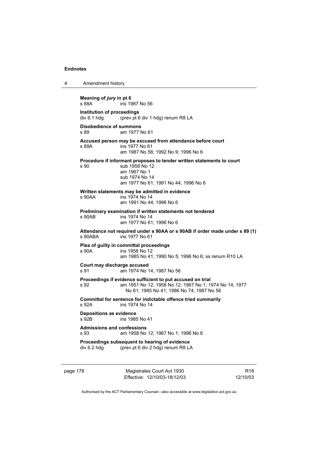4 Amendment history **Meaning of** *jury* **in pt 6**  s 88A ins 1987 No 56 **Institution of proceedings**  div 6.1 hdg (prev pt 6 div 1 hdg) renum R8 LA **Disobedience of summons**  s 89 am 1977 No 61 **Accused person may be excused from attendance before court**  s 89A ins 1977 No 61 am 1987 No 56; 1992 No 9; 1996 No 6 **Procedure if informant proposes to tender written statements to court**  s 90 sub 1958 No 12 am 1967 No 1 sub 1974 No 14 am 1977 No 61; 1991 No 44; 1996 No 6 **Written statements may be admitted in evidence**  s 90AA ins 1974 No 14 am 1991 No 44; 1996 No 6 **Preliminary examination if written statements not tendered**  s 90AB ins 1974 No 14 am 1977 No 61; 1996 No 6 **Attendance not required under s 90AA or s 90AB if order made under s 89 (1)**  s 90ABA ins 1977 No 61 **Plea of guilty in committal proceedings**  s 90A ins 1958 No 12 am 1985 No 41; 1990 No 5; 1996 No 6; ss renum R10 LA **Court may discharge accused**  s 91 am 1974 No 14; 1987 No 56 **Proceedings if evidence sufficient to put accused on trial**  s 92 am 1951 No 12; 1958 No 12; 1967 No 1; 1974 No 14; 1977 No 61; 1985 No 41; 1986 No 74; 1987 No 56 **Committal for sentence for indictable offence tried summarily**  s 92A ins 1974 No 14 **Depositions as evidence**  s 92B ins 1985 No 41 **Admissions and confessions**  s 93 am 1958 No 12; 1967 No 1; 1996 No 6 **Proceedings subsequent to hearing of evidence**  div 6.2 hdg (prev pt 6 div 2 hdg) renum R8 LA

page 178 Magistrates Court Act 1930 Effective: 12/10/03-18/12/03

R18 12/10/03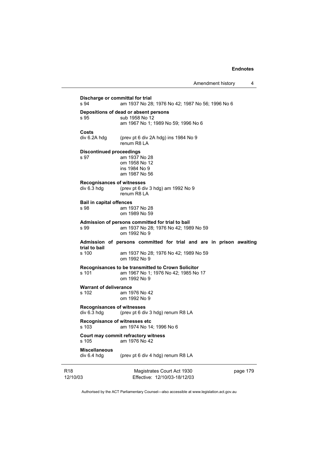| s 94                                    | Discharge or committal for trial<br>am 1937 No 28; 1976 No 42; 1987 No 56; 1996 No 6                                         |          |
|-----------------------------------------|------------------------------------------------------------------------------------------------------------------------------|----------|
| s 95                                    | Depositions of dead or absent persons<br>sub 1958 No 12<br>am 1967 No 1; 1989 No 59; 1996 No 6                               |          |
| Costs<br>div 6.2A hdg                   | (prev pt 6 div 2A hdg) ins 1984 No 9<br>renum R8 LA                                                                          |          |
| <b>Discontinued proceedings</b><br>s 97 | am 1937 No 28<br>om 1958 No 12<br>ins 1984 No 9<br>am 1987 No 56                                                             |          |
| div 6.3 hdg                             | <b>Recognisances of witnesses</b><br>(prev pt 6 div 3 hdg) am 1992 No 9<br>renum R8 LA                                       |          |
| <b>Bail in capital offences</b><br>s 98 | am 1937 No 28<br>om 1989 No 59                                                                                               |          |
| s 99                                    | Admission of persons committed for trial to bail<br>am 1937 No 28; 1976 No 42; 1989 No 59<br>om 1992 No 9                    |          |
| trial to bail<br>s 100                  | Admission of persons committed for trial and are in prison awaiting<br>am 1937 No 28; 1976 No 42; 1989 No 59<br>om 1992 No 9 |          |
| s 101                                   | Recognisances to be transmitted to Crown Solicitor<br>am 1967 No 1; 1976 No 42; 1985 No 17<br>om 1992 No 9                   |          |
| <b>Warrant of deliverance</b><br>s 102  | am 1976 No 42<br>om 1992 No 9                                                                                                |          |
| div 6.3 hdg                             | <b>Recognisances of witnesses</b><br>(prev pt 6 div 3 hdg) renum R8 LA                                                       |          |
| s 103                                   | Recognisance of witnesses etc<br>am 1974 No 14; 1996 No 6                                                                    |          |
| s 105                                   | Court may commit refractory witness<br>am 1976 No 42                                                                         |          |
| <b>Miscellaneous</b><br>div 6.4 hdg     | (prev pt 6 div 4 hdg) renum R8 LA                                                                                            |          |
| 12/10/03                                | Magistrates Court Act 1930<br>Effective: 12/10/03-18/12/03                                                                   | page 179 |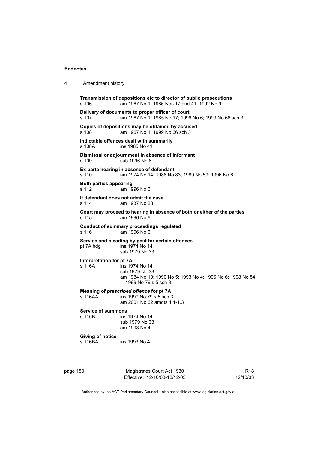4 Amendment history

| s 106                                  | Transmission of depositions etc to director of public prosecutions<br>am 1967 No 1; 1985 Nos 17 and 41; 1992 No 9       |
|----------------------------------------|-------------------------------------------------------------------------------------------------------------------------|
| s 107                                  | Delivery of documents to proper officer of court<br>am 1967 No 1; 1985 No 17; 1996 No 6; 1999 No 66 sch 3               |
| s 108                                  | Copies of depositions may be obtained by accused<br>am 1967 No 1; 1999 No 66 sch 3                                      |
| s 108A                                 | Indictable offences dealt with summarily<br>ins 1985 No 41                                                              |
| s 109                                  | Dismissal or adjournment in absence of informant<br>sub 1996 No 6                                                       |
| s 110                                  | Ex parte hearing in absence of defendant<br>am 1974 No 14; 1986 No 83; 1989 No 59; 1996 No 6                            |
| <b>Both parties appearing</b><br>s 112 | am 1996 No 6                                                                                                            |
| s 114                                  | If defendant does not admit the case<br>am 1937 No 28                                                                   |
| s 115                                  | Court may proceed to hearing in absence of both or either of the parties<br>am 1996 No 6                                |
| s 116                                  | <b>Conduct of summary proceedings regulated</b><br>am 1996 No 6                                                         |
| pt 7A hdg                              | Service and pleading by post for certain offences<br>ins 1974 No 14<br>sub 1979 No 33                                   |
| Interpretation for pt 7A<br>s 116A     | ins 1974 No 14<br>sub 1979 No 33<br>am 1984 No 10; 1990 No 5; 1993 No 4; 1996 No 6; 1998 No 54;<br>1999 No 79 s 5 sch 3 |
| s 116AA                                | Meaning of prescribed offence for pt 7A<br>ins 1999 No 79 s 5 sch 3<br>am 2001 No 62 amdts 1.1-1.3                      |
| <b>Service of summons</b><br>s 116B    | ins 1974 No 14<br>sub 1979 No 33<br>am 1993 No 4                                                                        |
| Giving of notice<br>s 116BA            | ins 1993 No 4                                                                                                           |
|                                        |                                                                                                                         |

page 180 Magistrates Court Act 1930 Effective: 12/10/03-18/12/03

R18 12/10/03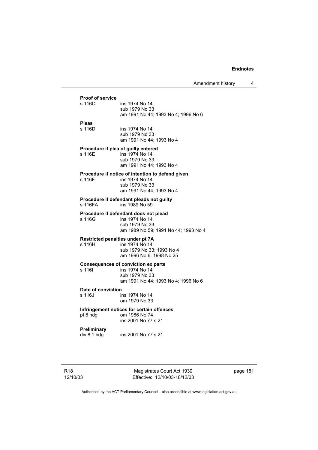# **Proof of service**  ins 1974 No 14 sub 1979 No 33 am 1991 No 44; 1993 No 4; 1996 No 6 **Pleas**  s 116D ins 1974 No 14 sub 1979 No 33 am 1991 No 44; 1993 No 4 **Procedure if plea of guilty entered**  s 116E ins 1974 No 14 sub 1979 No 33 am 1991 No 44; 1993 No 4 **Procedure if notice of intention to defend given**  s 116F ins 1974 No 14 sub 1979 No 33 am 1991 No 44; 1993 No 4 **Procedure if defendant pleads not guilty**  s 116FA ins 1989 No 59 **Procedure if defendant does not plead**  ins 1974 No 14 sub 1979 No 33 am 1989 No 59; 1991 No 44; 1993 No 4 **Restricted penalties under pt 7A**  s 116H ins 1974 No 14 sub 1979 No 33; 1993 No 4 am 1996 No 6; 1998 No 25 **Consequences of conviction ex parte**  s 116| ins 1974 No 14 sub 1979 No 33 am 1991 No 44; 1993 No 4; 1996 No 6 **Date of conviction**  s 116J ins 1974 No 14 om 1979 No 33 **Infringement notices for certain offences**  pt 8 hdg om 1986 No 74 ins 2001 No 77 s 21 **Preliminary**  div 8.1 hdg ins 2001 No 77 s 21

Magistrates Court Act 1930 Effective: 12/10/03-18/12/03 page 181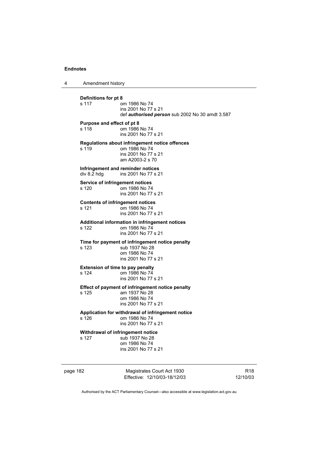4 Amendment history

**Definitions for pt 8**  om 1986 No 74 ins 2001 No 77 s 21 def *authorised person* sub 2002 No 30 amdt 3.587 **Purpose and effect of pt 8**  s 118 om 1986 No 74 ins 2001 No 77 s 21 **Regulations about infringement notice offences**  om 1986 No 74 ins 2001 No 77 s 21 am A2003-2 s 70 **Infringement and reminder notices**<br>div 8.2 hdg ins 2001 No 77 s 2 ins 2001 No 77 s 21 **Service of infringement notices**  s 120 om 1986 No 74 ins 2001 No 77 s 21 **Contents of infringement notices**  s 121 om 1986 No 74 ins 2001 No 77 s 21 **Additional information in infringement notices**  s 122 om 1986 No 74 ins 2001 No 77 s 21 **Time for payment of infringement notice penalty**  s 123 sub 1937 No 28 om 1986 No 74 ins 2001 No 77 s 21 **Extension of time to pay penalty**<br>s 124 **cm** 1986 No 74 om 1986 No 74 ins 2001 No 77 s 21 **Effect of payment of infringement notice penalty**  s 125 am 1937 No 28 om 1986 No 74 ins 2001 No 77 s 21 **Application for withdrawal of infringement notice**  om 1986 No 74 ins 2001 No 77 s 21 **Withdrawal of infringement notice**  s 127 sub 1937 No 28 om 1986 No 74 ins 2001 No 77 s 21

page 182 Magistrates Court Act 1930 Effective: 12/10/03-18/12/03

R18 12/10/03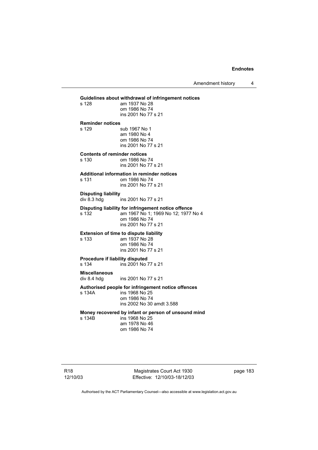**Guidelines about withdrawal of infringement notices**  am 1937 No 28 om 1986 No 74 ins 2001 No 77 s 21 **Reminder notices**  s 129 sub 1967 No 1 am 1980 No 4 om 1986 No 74 ins 2001 No 77 s 21 **Contents of reminder notices**  om 1986 No 74 ins 2001 No 77 s 21 **Additional information in reminder notices**  s 131 om 1986 No 74 ins 2001 No 77 s 21 **Disputing liability**  div 8.3 hdg ins 2001 No 77 s 21 **Disputing liability for infringement notice offence**  s 132 am 1967 No 1; 1969 No 12; 1977 No 4 om 1986 No 74 ins 2001 No 77 s 21 **Extension of time to dispute liability**  s 133 am 1937 No 28 om 1986 No 74 ins 2001 No 77 s 21 **Procedure if liability disputed**  s 134 ins 2001 No 77 s 21 **Miscellaneous**  ins 2001 No 77 s 21 **Authorised people for infringement notice offences**  s 134A ins 1968 No 25 om 1986 No 74 ins 2002 No 30 amdt 3.588 **Money recovered by infant or person of unsound mind**  ins 1968 No 25 am 1978 No 46 om 1986 No 74

Magistrates Court Act 1930 Effective: 12/10/03-18/12/03 page 183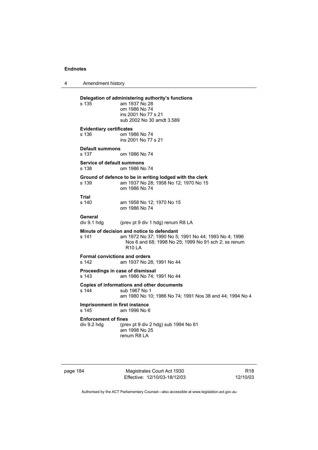4 Amendment history **Delegation of administering authority's functions**  am 1937 No 28 om 1986 No 74 ins 2001 No 77 s 21 sub 2002 No 30 amdt 3.589 **Evidentiary certificates**  s 136 om 1986 No 74 ins 2001 No 77 s 21 **Default summons**  s 137 om 1986 No 74 **Service of default summons**  s 138 om 1986 No 74 **Ground of defence to be in writing lodged with the clerk**  s 139 am 1937 No 28; 1958 No 12; 1970 No 15 om 1986 No 74 **Trial**  am 1958 No 12; 1970 No 15 om 1986 No 74 General<br>div 9.1 hdg (prev pt 9 div 1 hdg) renum R8 LA **Minute of decision and notice to defendant**  s 141 am 1972 No 37; 1990 No 5; 1991 No 44; 1993 No 4; 1996 Nos 6 and 68; 1998 No 25; 1999 No 91 sch 2; ss renum R10 LA **Formal convictions and orders**  s 142 am 1937 No 28; 1991 No 44 **Proceedings in case of dismissal**  s 143 am 1986 No 74; 1991 No 44 **Copies of informations and other documents**  s 144 sub 1967 No 1 am 1980 No 10; 1986 No 74; 1991 Nos 38 and 44; 1994 No 4 **Imprisonment in first instance**  s 145 am 1996 No 6 **Enforcement of fines**<br>div 9.2 hdg (pre (prev pt 9 div 2 hdg) sub 1994 No  $61$  am 1998 No 25 renum R8 LA

page 184 Magistrates Court Act 1930 Effective: 12/10/03-18/12/03

R18 12/10/03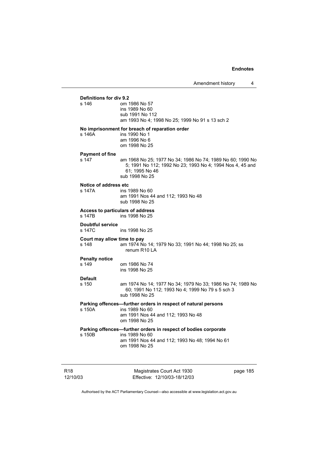# **Definitions for div 9.2**  om 1986 No 57 ins 1989 No 60 sub 1991 No 112 am 1993 No 4; 1998 No 25; 1999 No 91 s 13 sch 2 **No imprisonment for breach of reparation order**  s 146A ins 1990 No 1 am 1996 No 6 om 1998 No 25 **Payment of fine**  s 147 am 1968 No 25; 1977 No 34; 1986 No 74; 1989 No 60; 1990 No 5; 1991 No 112; 1992 No 23; 1993 No 4; 1994 Nos 4, 45 and 61; 1995 No 46 sub 1998 No 25 **Notice of address etc**<br>s 147A **ins** 1 ins 1989 No 60 am 1991 Nos 44 and 112; 1993 No 48 sub 1998 No 25 **Access to particulars of address**  s 147B ins 1998 No 25 **Doubtful service**  s 147C ins 1998 No 25 **Court may allow time to pay**  s 148 am 1974 No 14; 1979 No 33; 1991 No 44; 1998 No 25; ss renum R10 LA **Penalty notice**  s 149 om 1986 No 74 ins 1998 No 25 **Default**  am 1974 No 14: 1977 No 34: 1979 No 33: 1986 No 74: 1989 No 60; 1991 No 112; 1993 No 4; 1999 No 79 s 5 sch 3 sub 1998 No 25 **Parking offences—further orders in respect of natural persons**  s 150A ins 1989 No 60 am 1991 Nos 44 and 112; 1993 No 48 om 1998 No 25 **Parking offences—further orders in respect of bodies corporate**  s 150B ins 1989 No 60 am 1991 Nos 44 and 112; 1993 No 48; 1994 No 61 om 1998 No 25

R18 12/10/03 Magistrates Court Act 1930 Effective: 12/10/03-18/12/03 page 185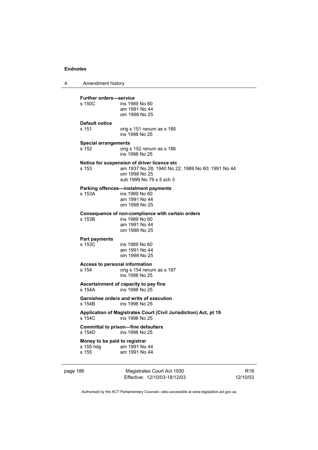4 Amendment history

**Further orders—service**  ins 1989 No 60 am 1991 No 44 om 1998 No 25 **Default notice**  s 151 orig s 151 renum as s 185 ins 1998 No 25 **Special arrangements**<br>s 152 origs orig s 152 renum as s 186 ins 1998 No 25 **Notice for suspension of driver licence etc**  s 153 am 1937 No 28; 1940 No 22; 1989 No 60; 1991 No 44 om 1998 No 25 sub 1999 No 79 s 5 sch 3 **Parking offences—instalment payments**  s 153A ins 1989 No 60 am 1991 No 44 om 1998 No 25 **Consequence of non-compliance with certain orders**  ins 1989 No 60 am 1991 No 44 om 1998 No 25 **Part payments**  s 153C ins 1989 No 60 am 1991 No 44 om 1998 No 25 **Access to personal information**  s 154 orig s 154 renum as s 187 ins 1998 No 25 **Ascertainment of capacity to pay fine**  ins 1998 No 25 **Garnishee orders and writs of execution**  s 154B ins 1998 No 25 **Application of Magistrates Court (Civil Jurisdiction) Act, pt 19**  ins 1998 No 25 **Committal to prison—fine defaulters**  s 154D ins 1998 No 25 **Money to be paid to registrar**  s 155 hdg am 1991 No 44 s 155 am 1991 No 44

page 186 Magistrates Court Act 1930 Effective: 12/10/03-18/12/03 R18 12/10/03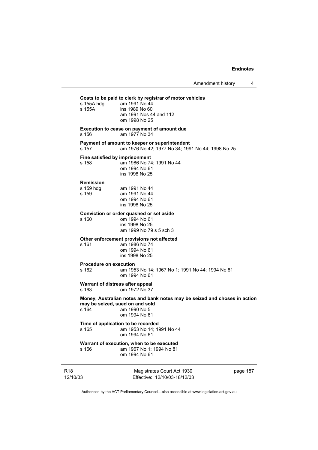R18 12/10/03 Magistrates Court Act 1930 Effective: 12/10/03-18/12/03 page 187 **Costs to be paid to clerk by registrar of motor vehicles**  s 155A hdg am 1991 No 44 s 155A ins 1989 No 60 am 1991 Nos 44 and 112 om 1998 No 25 **Execution to cease on payment of amount due**  s 156 am 1977 No 34 **Payment of amount to keeper or superintendent**  s 157 am 1976 No 42; 1977 No 34; 1991 No 44; 1998 No 25 **Fine satisfied by imprisonment**  s 158 am 1986 No 74; 1991 No 44 om 1994 No 61 ins 1998 No 25 **Remission**  am 1991 No 44 s 159 am 1991 No 44 om 1994 No 61 ins 1998 No 25 **Conviction or order quashed or set aside**  om 1994 No 61 ins 1998 No 25 am 1999 No 79 s 5 sch 3 **Other enforcement provisions not affected**  s 161 am 1986 No 74 om 1994 No 61 ins 1998 No 25 **Procedure on execution**  s 162 am 1953 No 14; 1967 No 1; 1991 No 44; 1994 No 81 om 1994 No 61 **Warrant of distress after appeal**<br>s 163 com 1972 No 37 om 1972 No 37 **Money, Australian notes and bank notes may be seized and choses in action may be seized, sued on and sold**  s 164 am 1990 No 5 om 1994 No 61 **Time of application to be recorded**  s 165 am 1953 No 14; 1991 No 44 om 1994 No 61 **Warrant of execution, when to be executed**  s 166 am 1967 No 1; 1994 No 81 om 1994 No 61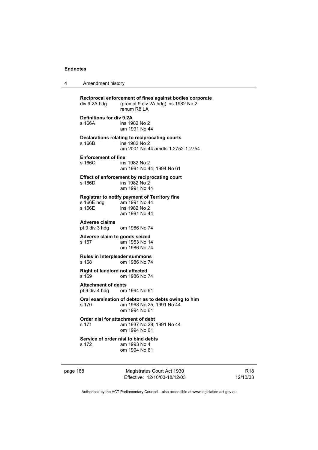| 4 | Amendment history |  |
|---|-------------------|--|
|---|-------------------|--|

| div 9.2A hdg                                               | Reciprocal enforcement of fines against bodies corporate<br>(prev pt 9 div 2A hdg) ins 1982 No 2<br>renum R8 LA |
|------------------------------------------------------------|-----------------------------------------------------------------------------------------------------------------|
| <b>Definitions for div 9.2A</b><br>s 166A                  | ins 1982 No 2<br>am 1991 No 44                                                                                  |
| s 166B                                                     | Declarations relating to reciprocating courts<br>ins 1982 No 2<br>am 2001 No 44 amdts 1.2752-1.2754             |
| <b>Enforcement of fine</b><br>$s$ 166 $C$                  | ins 1982 No 2<br>am 1991 No 44; 1994 No 61                                                                      |
| s 166D                                                     | Effect of enforcement by reciprocating court<br>ins 1982 No 2<br>am 1991 No 44                                  |
| s 166E hdg<br>s 166E                                       | Registrar to notify payment of Territory fine<br>am 1991 No 44<br>ins 1982 No 2<br>am 1991 No 44                |
| <b>Adverse claims</b><br>pt 9 div 3 hdg om 1986 No 74      |                                                                                                                 |
| Adverse claim to goods seized<br>s 167                     | am 1953 No 14<br>om 1986 No 74                                                                                  |
| Rules in Interpleader summons<br>s 168                     | om 1986 No 74                                                                                                   |
| <b>Right of landlord not affected</b><br>s 169             | om 1986 No 74                                                                                                   |
| <b>Attachment of debts</b><br>pt 9 div 4 hdg om 1994 No 61 |                                                                                                                 |
| s 170                                                      | Oral examination of debtor as to debts owing to him<br>am 1968 No 25; 1991 No 44<br>om 1994 No 61               |
| s 171                                                      | Order nisi for attachment of debt<br>am 1937 No 28; 1991 No 44<br>om 1994 No 61                                 |
| s 172                                                      | Service of order nisi to bind debts<br>am 1993 No 4<br>om 1994 No 61                                            |
| page 188                                                   | Magistrates Court Act 1930                                                                                      |

Authorised by the ACT Parliamentary Counsel—also accessible at www.legislation.act.gov.au

R18 12/10/03

Effective: 12/10/03-18/12/03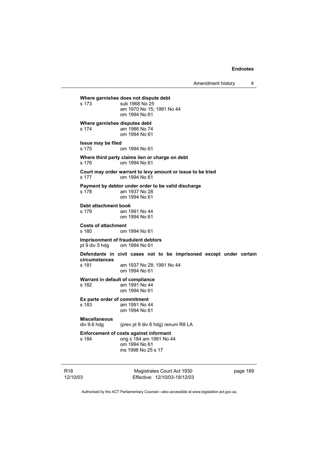Amendment history 4

```
Where garnishee does not dispute debt 
                sub 1968 No 25
                 am 1970 No 15; 1991 No 44 
                 om 1994 No 61 
Where garnishee disputes debt 
s 174 am 1986 No 74 
                 om 1994 No 61 
Issue may be filed 
s 175 om 1994 No 61 
Where third party claims lien or charge on debt 
s 176 om 1994 No 61 
Court may order warrant to levy amount or issue to be tried 
s 177 om 1994 No 61 
Payment by debtor under order to be valid discharge 
s 178 am 1937 No 28 
                 om 1994 No 61 
Debt attachment book 
s 179 am 1991 No 44 
                 om 1994 No 61 
Costs of attachment 
                om 1994 No 61
Imprisonment of fraudulent debtors<br>
pt 9 div 5 hdg om 1994 No 61
                om 1994 No 61
Defendants in civil cases not to be imprisoned except under certain 
circumstances 
s 181 am 1937 No 28; 1991 No 44 
                 om 1994 No 61 
Warrant in default of compliance 
s 182 am 1991 No 44 
                 om 1994 No 61 
Ex parte order of commitment 
s 183 am 1991 No 44 
                 om 1994 No 61 
Miscellaneous 
                (prev pt 9 div 6 hdg) renum R8 LA
Enforcement of costs against informant 
s 184 orig s 184 am 1991 No 44 
                 om 1994 No 61 
                 ins 1998 No 25 s 17
```
R18 12/10/03

Magistrates Court Act 1930 Effective: 12/10/03-18/12/03 page 189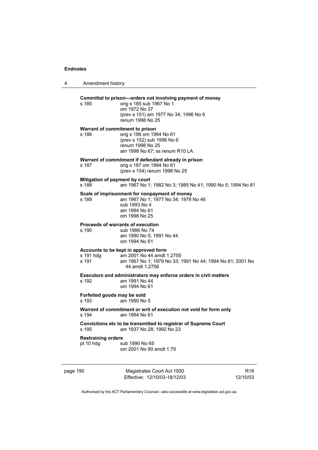| 4        | Amendment history                        |                                                                                                                                                                     |                             |
|----------|------------------------------------------|---------------------------------------------------------------------------------------------------------------------------------------------------------------------|-----------------------------|
|          | s 185                                    | Committal to prison-orders not involving payment of money<br>orig s 185 sub 1967 No 1<br>om 1972 No 37<br>(prev s 151) am 1977 No 34; 1996 No 6<br>renum 1998 No 25 |                             |
|          | Warrant of commitment to prison<br>s 186 | orig s 186 om 1994 No 61<br>(prev s 152) sub 1996 No 6<br>renum 1998 No 25<br>am 1998 No 67; ss renum R10 LA                                                        |                             |
|          | s 187                                    | Warrant of commitment if defendant already in prison<br>orig s 187 om 1994 No 61<br>(prev s 154) renum 1998 No 25                                                   |                             |
|          | Mitigation of payment by court<br>s 188  | am 1967 No 1; 1982 No 3; 1985 No 41; 1990 No 5; 1994 No 81                                                                                                          |                             |
|          | s 189                                    | Scale of imprisonment for nonpayment of money<br>am 1967 No 1; 1977 No 34; 1978 No 46<br>sub 1993 No 4<br>am 1994 No 61<br>om 1998 No 25                            |                             |
|          | s 190                                    | Proceeds of warrants of execution<br>sub 1986 No 74<br>am 1990 No 5; 1991 No 44<br>om 1994 No 61                                                                    |                             |
|          | s 191 hdg<br>s 191                       | Accounts to be kept in approved form<br>am 2001 No 44 amdt 1.2755<br>am 1967 No 1; 1979 No 33; 1991 No 44; 1994 No 81; 2001 No<br>44 amdt 1.2756                    |                             |
|          | s 192                                    | Executors and administrators may enforce orders in civil matters<br>am 1991 No 44<br>om 1994 No 61                                                                  |                             |
|          | Forfeited goods may be sold<br>s 193     | am 1990 No 5                                                                                                                                                        |                             |
|          | s 194                                    | Warrant of commitment or writ of execution not void for form only<br>am 1994 No 61                                                                                  |                             |
|          | s 195                                    | Convictions etc to be transmitted to registrar of Supreme Court<br>am 1937 No 28; 1992 No 23                                                                        |                             |
|          | <b>Restraining orders</b><br>pt 10 hdg   | sub 1990 No 65<br>om 2001 No 90 amdt 1.79                                                                                                                           |                             |
| page 190 |                                          | Magistrates Court Act 1930<br>Effective: 12/10/03-18/12/03                                                                                                          | R <sub>18</sub><br>12/10/03 |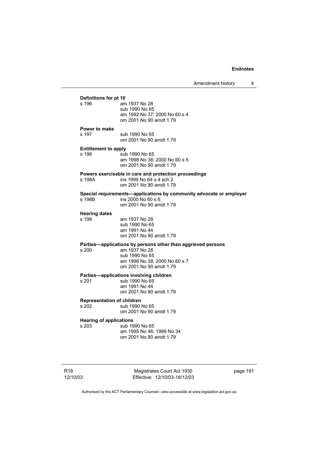| Amendment history |  |
|-------------------|--|
|-------------------|--|

# **Definitions for pt 10**<br>s 196 **am** am 1937 No 28 sub 1990 No 65 am 1992 No 37; 2000 No 60 s 4 om 2001 No 90 amdt 1.79 **Power to make**  s 197 sub 1990 No 65 om 2001 No 90 amdt 1.79 **Entitlement to apply**  s 198 sub 1990 No 65 am 1998 No 38; 2000 No 60 s 5 om 2001 No 90 amdt 1.79 **Powers exercisable in care and protection proceedings**  s 198A ins 1999 No 64 s 4 sch 2 om 2001 No 90 amdt 1.79 **Special requirements—applications by community advocate or employer**  s 198B ins 2000 No 60 s 6 om 2001 No 90 amdt 1.79 **Hearing dates**  am 1937 No 28 sub 1990 No 65 am 1991 No 44 om 2001 No 90 amdt 1.79 **Parties—applications by persons other than aggrieved persons s 200 am 1937 No 28** am 1937 No 28 sub 1990 No 65 am 1998 No 38; 2000 No 60 s 7 om 2001 No 90 amdt 1.79 **Parties—applications involving children**  s 201 sub 1990 No 65 am 1991 No 44 om 2001 No 90 amdt 1.79 **Representation of children**  s 202 sub 1990 No 65 om 2001 No 90 amdt 1.79 **Hearing of applications**<br>s 203 sub 19 sub 1990 No 65 am 1995 No 46; 1999 No 34 om 2001 No 90 amdt 1.79

Magistrates Court Act 1930 Effective: 12/10/03-18/12/03 page 191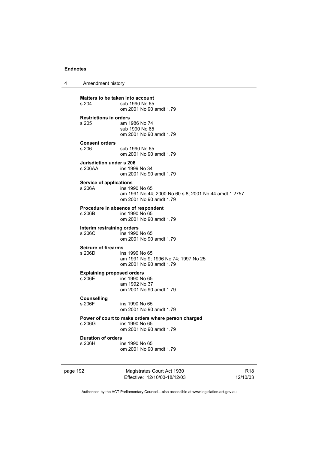4 Amendment history

page 192 Magistrates Court Act 1930 Effective: 12/10/03-18/12/03 **Matters to be taken into account**<br>s 204 **up 1990** No 65 sub 1990 No 65 om 2001 No 90 amdt 1.79 **Restrictions in orders**  am 1986 No 74 sub 1990 No 65 om 2001 No 90 amdt 1.79 **Consent orders**  sub 1990 No 65 om 2001 No 90 amdt 1.79 **Jurisdiction under s 206**  ins 1999 No 34 om 2001 No 90 amdt 1.79 **Service of applications**  ins 1990 No 65 am 1991 No 44; 2000 No 60 s 8; 2001 No 44 amdt 1.2757 om 2001 No 90 amdt 1.79 **Procedure in absence of respondent**<br>  $\frac{1}{206B}$  ins 1990 No 65 ins 1990 No 65 om 2001 No 90 amdt 1.79 **Interim restraining orders**  s 206C ins 1990 No 65 om 2001 No 90 amdt 1.79 **Seizure of firearms**  s 206D ins 1990 No 65 am 1991 No 9; 1996 No 74; 1997 No 25 om 2001 No 90 amdt 1.79 **Explaining proposed orders**  s 206E ins 1990 No 65 am 1992 No 37 om 2001 No 90 amdt 1.79 **Counselling**  ins 1990 No 65 om 2001 No 90 amdt 1.79 **Power of court to make orders where person charged**  s 206G ins 1990 No 65 om 2001 No 90 amdt 1.79 **Duration of orders**  s 206H ins 1990 No 65 om 2001 No 90 amdt 1.79

R18 12/10/03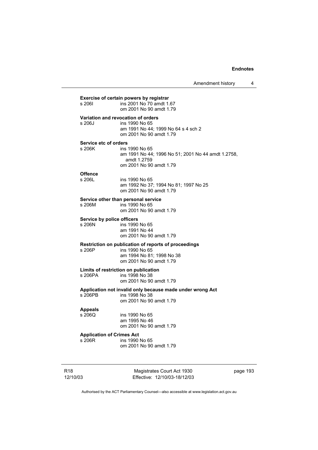Amendment history 4

| s 2061                                     | ins 2001 No 70 amdt 1.67<br>om 2001 No 90 amdt 1.79       |
|--------------------------------------------|-----------------------------------------------------------|
|                                            | Variation and revocation of orders                        |
| s 206J                                     | ins 1990 No 65                                            |
|                                            | am 1991 No 44; 1999 No 64 s 4 sch 2                       |
|                                            | om 2001 No 90 amdt 1.79                                   |
| Service etc of orders                      |                                                           |
| s 206K                                     | ins 1990 No 65                                            |
|                                            | am 1991 No 44; 1996 No 51; 2001 No 44 amdt 1.2758,        |
|                                            | amdt 1.2759                                               |
|                                            | om 2001 No 90 amdt 1.79                                   |
| <b>Offence</b>                             |                                                           |
| s 206L                                     | ins 1990 No 65                                            |
|                                            | am 1992 No 37; 1994 No 81; 1997 No 25                     |
|                                            | om 2001 No 90 amdt 1.79                                   |
|                                            | Service other than personal service                       |
| s 206M                                     | ins 1990 No 65                                            |
|                                            | om 2001 No 90 amdt 1.79                                   |
| Service by police officers                 |                                                           |
| s 206N                                     | ins 1990 No 65                                            |
|                                            | am 1991 No 44                                             |
|                                            | om 2001 No 90 amdt 1.79                                   |
|                                            | Restriction on publication of reports of proceedings      |
| s 206P                                     | ins 1990 No 65                                            |
|                                            | am 1994 No 81; 1998 No 38                                 |
|                                            | om 2001 No 90 amdt 1.79                                   |
|                                            | Limits of restriction on publication                      |
| s 206PA                                    | ins 1998 No 38                                            |
|                                            | om 2001 No 90 amdt 1.79                                   |
|                                            | Application not invalid only because made under wrong Act |
|                                            |                                                           |
|                                            | ins 1998 No 38                                            |
| s 206PB                                    | om 2001 No 90 amdt 1.79                                   |
|                                            |                                                           |
| <b>Appeals</b><br>s 206Q                   | ins 1990 No 65                                            |
|                                            | am 1995 No 46                                             |
|                                            | om 2001 No 90 amdt 1.79                                   |
|                                            |                                                           |
| <b>Application of Crimes Act</b><br>s 206R | ins 1990 No 65                                            |

R18 12/10/03

Magistrates Court Act 1930 Effective: 12/10/03-18/12/03 page 193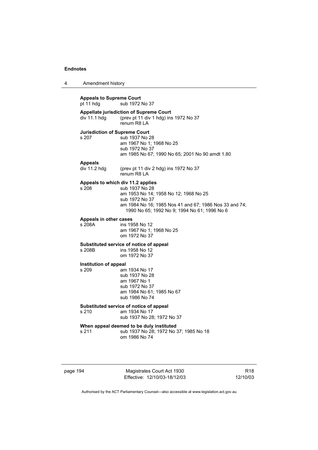| 4 | Amendment history                             |                                                                                                                                                                                                                          |
|---|-----------------------------------------------|--------------------------------------------------------------------------------------------------------------------------------------------------------------------------------------------------------------------------|
|   | <b>Appeals to Supreme Court</b><br>pt 11 hdg  | sub 1972 No 37                                                                                                                                                                                                           |
|   | div 11.1 hdg                                  | <b>Appellate jurisdiction of Supreme Court</b><br>(prev pt 11 div 1 hdg) ins 1972 No 37<br>renum R8 LA                                                                                                                   |
|   | <b>Jurisdiction of Supreme Court</b><br>s 207 | sub 1937 No 28<br>am 1967 No 1; 1968 No 25<br>sub 1972 No 37<br>am 1985 No 67; 1990 No 65; 2001 No 90 amdt 1.80                                                                                                          |
|   | <b>Appeals</b><br>div 11.2 hdg                | (prev pt 11 div 2 hdg) ins 1972 No 37<br>renum R8 LA                                                                                                                                                                     |
|   | s 208                                         | Appeals to which div 11.2 applies<br>sub 1937 No 28<br>am 1953 No 14; 1958 No 12; 1968 No 25<br>sub 1972 No 37<br>am 1984 No 16; 1985 Nos 41 and 67; 1986 Nos 33 and 74;<br>1990 No 65; 1992 No 9; 1994 No 61; 1996 No 6 |
|   | Appeals in other cases<br>s 208A              | ins 1958 No 12<br>am 1967 No 1; 1968 No 25<br>om 1972 No 37                                                                                                                                                              |
|   | s 208B                                        | Substituted service of notice of appeal<br>ins 1958 No 12<br>om 1972 No 37                                                                                                                                               |
|   | Institution of appeal<br>s 209                | am 1934 No 17<br>sub 1937 No 28<br>am 1967 No 1<br>sub 1972 No 37<br>am 1984 No 61; 1985 No 67<br>sub 1986 No 74                                                                                                         |
|   | s 210                                         | Substituted service of notice of appeal<br>am 1934 No 17<br>sub 1937 No 28; 1972 No 37                                                                                                                                   |
|   | s 211                                         | When appeal deemed to be duly instituted<br>sub 1937 No 28; 1972 No 37; 1985 No 18<br>om 1986 No 74                                                                                                                      |

page 194 Magistrates Court Act 1930 Effective: 12/10/03-18/12/03

R18 12/10/03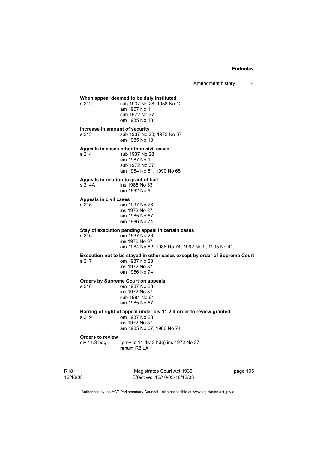Amendment history 4

# **When appeal deemed to be duly instituted**<br>s 212 **b** sub 1937 No 28: 1958 No

sub 1937 No 28: 1958 No 12 am 1967 No 1 sub 1972 No 37 om 1985 No 18

#### **Increase in amount of security**

s 213 sub 1937 No 28; 1972 No 37 om 1985 No 18

### **Appeals in cases other than civil cases**

s 214 sub 1937 No 28 am 1967 No 1 sub 1972 No 37 am 1984 No 61; 1990 No 65

# **Appeals in relation to grant of bail**

ins 1986 No 33 om 1992 No 9

#### **Appeals in civil cases**

s 215 om 1937 No 28 ins 1972 No 37 am 1985 No 67 om 1986 No 74

# **Stay of execution pending appeal in certain cases**

s 216 om 1937 No 28 ins 1972 No 37 am 1984 No 62; 1986 No 74; 1992 No 9; 1995 No 41

# **Execution not to be stayed in other cases except by order of Supreme Court**

#### om 1937 No 28 ins 1972 No 37 om 1986 No 74

# **Orders by Supreme Court on appeals**

s 218 om 1937 No 28 ins 1972 No 37 sub 1984 No 61 am 1985 No 67

## **Barring of right of appeal under div 11.2 if order to review granted**

s 219 om 1937 No 28 ins 1972 No 37 am 1985 No 67; 1986 No 74

# **Orders to review**

(prev pt 11 div 3 hdg) ins 1972 No 37 renum R8 LA

R18 12/10/03

Magistrates Court Act 1930 Effective: 12/10/03-18/12/03 page 195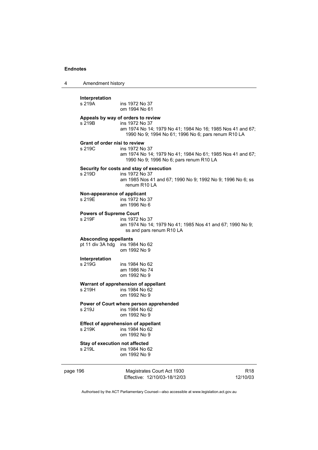| 4        | Amendment history                              |                                                                                                                                                                           |                             |
|----------|------------------------------------------------|---------------------------------------------------------------------------------------------------------------------------------------------------------------------------|-----------------------------|
|          | Interpretation<br>s 219A                       | ins 1972 No 37<br>om 1994 No 61                                                                                                                                           |                             |
|          | s 219B                                         | Appeals by way of orders to review<br>ins 1972 No 37<br>am 1974 No 14; 1979 No 41; 1984 No 16; 1985 Nos 41 and 67;<br>1990 No 9; 1994 No 61; 1996 No 6; pars renum R10 LA |                             |
|          | <b>Grant of order nisi to review</b><br>s 219C | ins 1972 No 37<br>am 1974 No 14; 1979 No 41; 1984 No 61; 1985 Nos 41 and 67;<br>1990 No 9; 1996 No 6; pars renum R10 LA                                                   |                             |
| s 219D   |                                                | Security for costs and stay of execution<br>ins 1972 No 37<br>am 1985 Nos 41 and 67; 1990 No 9; 1992 No 9; 1996 No 6; ss<br>renum R <sub>10</sub> LA                      |                             |
|          | Non-appearance of applicant<br>s 219E          | ins 1972 No 37<br>am 1996 No 6                                                                                                                                            |                             |
|          | <b>Powers of Supreme Court</b><br>s 219F       | ins 1972 No 37<br>am 1974 No 14; 1979 No 41; 1985 Nos 41 and 67; 1990 No 9;<br>ss and pars renum R10 LA                                                                   |                             |
|          | <b>Absconding appellants</b>                   | pt 11 div 3A hdg ins 1984 No 62<br>om 1992 No 9                                                                                                                           |                             |
|          | Interpretation<br>s 219G                       | ins 1984 No 62<br>am 1986 No 74<br>om 1992 No 9                                                                                                                           |                             |
|          | s 219H                                         | Warrant of apprehension of appellant<br>ins 1984 No 62<br>om 1992 No 9                                                                                                    |                             |
|          | s 219J                                         | Power of Court where person apprehended<br>ins 1984 No 62<br>om 1992 No 9                                                                                                 |                             |
|          | s 219K                                         | <b>Effect of apprehension of appellant</b><br>ins 1984 No 62<br>om 1992 No 9                                                                                              |                             |
|          | Stay of execution not affected<br>s 219L       | ins 1984 No 62<br>om 1992 No 9                                                                                                                                            |                             |
| page 196 |                                                | Magistrates Court Act 1930<br>Effective: 12/10/03-18/12/03                                                                                                                | R <sub>18</sub><br>12/10/03 |
|          |                                                | Authorised by the ACT Parliamentary Counsel—also accessible at www.legislation.act.gov.au                                                                                 |                             |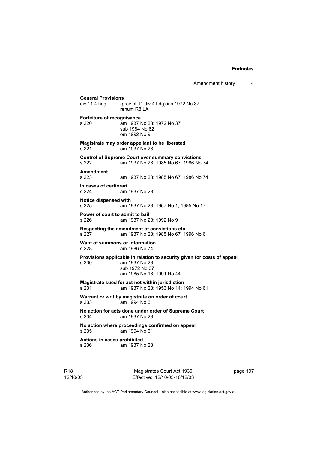**General Provisions**  (prev pt 11 div 4 hdg) ins 1972 No 37 renum R8 LA **Forfeiture of recognisance**  s 220 am 1937 No 28; 1972 No 37 sub 1984 No 62 om 1992 No 9 **Magistrate may order appellant to be liberated**  s 221 om 1937 No 28 **Control of Supreme Court over summary convictions**  s 222 am 1937 No 28; 1985 No 67; 1986 No 74 **Amendment**  s 223 am 1937 No 28; 1985 No 67; 1986 No 74 **In cases of certiorari**  am 1937 No 28 **Notice dispensed with**  s 225 am 1937 No 28; 1967 No 1; 1985 No 17 **Power of court to admit to bail**  s 226 am 1937 No 28; 1992 No 9 **Respecting the amendment of convictions etc**  s 227 am 1937 No 28; 1985 No 67; 1996 No 6 **Want of summons or information**  s 228 am 1986 No 74 **Provisions applicable in relation to security given for costs of appeal**  s 230 am 1937 No 28 sub 1972 No 37 am 1985 No 18; 1991 No 44 **Magistrate sued for act not within jurisdiction**  s 231 am 1937 No 28; 1953 No 14; 1994 No 61 **Warrant or writ by magistrate on order of court**  s 233 am 1994 No 61 **No action for acts done under order of Supreme Court**  s 234 am 1937 No 28 **No action where proceedings confirmed on appeal**  s 235 am 1994 No 61 **Actions in cases prohibited**  s 236 am 1937 No 28

R18 12/10/03

Magistrates Court Act 1930 Effective: 12/10/03-18/12/03 page 197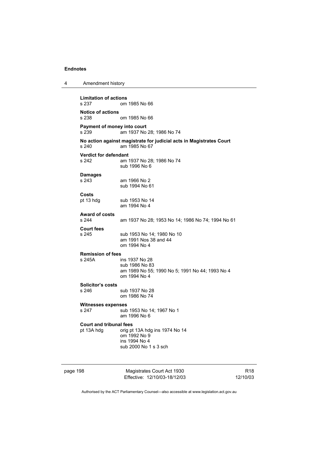| 4                        | Amendment history                  |                                                                                      |
|--------------------------|------------------------------------|--------------------------------------------------------------------------------------|
|                          | <b>Limitation of actions</b>       |                                                                                      |
|                          | s 237                              | om 1985 No 66                                                                        |
|                          | <b>Notice of actions</b><br>s 238  | om 1985 No 66                                                                        |
|                          | Payment of money into court        |                                                                                      |
|                          | s 239                              | am 1937 No 28; 1986 No 74                                                            |
|                          | s 240                              | No action against magistrate for judicial acts in Magistrates Court<br>am 1985 No 67 |
|                          | <b>Verdict for defendant</b>       |                                                                                      |
|                          | s 242                              | am 1937 No 28; 1986 No 74<br>sub 1996 No 6                                           |
|                          | <b>Damages</b>                     |                                                                                      |
|                          | s 243                              | am 1966 No 2                                                                         |
|                          |                                    | sub 1994 No 61                                                                       |
|                          | Costs                              |                                                                                      |
|                          | pt 13 hdg                          | sub 1953 No 14                                                                       |
|                          |                                    | am 1994 No 4                                                                         |
|                          | <b>Award of costs</b>              |                                                                                      |
|                          | s 244                              | am 1937 No 28; 1953 No 14; 1986 No 74; 1994 No 61                                    |
|                          | <b>Court fees</b>                  |                                                                                      |
|                          | s 245                              | sub 1953 No 14; 1980 No 10<br>am 1991 Nos 38 and 44                                  |
|                          |                                    | om 1994 No 4                                                                         |
| <b>Remission of fees</b> |                                    |                                                                                      |
|                          | s 245A                             | ins 1937 No 28                                                                       |
|                          |                                    | sub 1986 No 83                                                                       |
|                          |                                    | am 1989 No 55; 1990 No 5; 1991 No 44; 1993 No 4                                      |
|                          |                                    | om 1994 No 4                                                                         |
|                          | Solicitor's costs                  |                                                                                      |
|                          | s 246                              | sub 1937 No 28<br>om 1986 No 74                                                      |
|                          |                                    |                                                                                      |
|                          | <b>Witnesses expenses</b><br>s 247 | sub 1953 No 14; 1967 No 1                                                            |
|                          |                                    | am 1996 No 6                                                                         |
|                          | <b>Court and tribunal fees</b>     |                                                                                      |
|                          | pt 13A hdg                         | orig pt 13A hdg ins 1974 No 14                                                       |
|                          |                                    | om 1992 No 9                                                                         |
|                          |                                    | ins 1994 No 4<br>sub 2000 No 1 s 3 sch                                               |
|                          |                                    |                                                                                      |
|                          |                                    |                                                                                      |
|                          |                                    |                                                                                      |

page 198 Magistrates Court Act 1930 Effective: 12/10/03-18/12/03

R18 12/10/03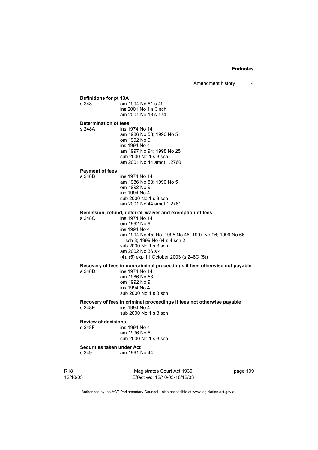Amendment history 4

R18 Magistrates Court Act 1930 page 199 **Definitions for pt 13A**<br>s 248 **cm** om 1994 No 61 s 49 ins 2001 No 1 s 3 sch am 2001 No 18 s 174 **Determination of fees**  s 248A ins 1974 No 14 am 1986 No 53; 1990 No 5 om 1992 No 9 ins 1994 No 4 am 1997 No 94; 1998 No 25 sub 2000 No 1 s 3 sch am 2001 No 44 amdt 1.2760 **Payment of fees**  s 248B ins 1974 No 14 am 1986 No 53; 1990 No 5 om 1992 No 9 ins 1994 No 4 sub 2000 No 1 s 3 sch am 2001 No 44 amdt 1.2761 **Remission, refund, deferral, waiver and exemption of fees**  s 248C ins 1974 No 14 om 1992 No 9 ins 1994 No 4 am 1994 No 45; No. 1995 No 46; 1997 No 96; 1999 No 66 sch 3; 1999 No 64 s 4 sch 2 sub 2000 No 1 s 3 sch am 2002 No 36 s 4 (4), (5) exp 11 October 2003 (s 248C (5)) **Recovery of fees in non-criminal proceedings if fees otherwise not payable**  ins 1974 No 14 am 1986 No 53 om 1992 No 9 ins 1994 No 4 sub 2000 No 1 s 3 sch **Recovery of fees in criminal proceedings if fees not otherwise payable**  ins 1994 No 4 sub 2000 No 1 s 3 sch **Review of decisions**  s 248F ins 1994 No 4 am 1996 No 6 sub 2000 No 1 s 3 sch **Securities taken under Act**  s 249 am 1991 No 44

12/10/03

Effective: 12/10/03-18/12/03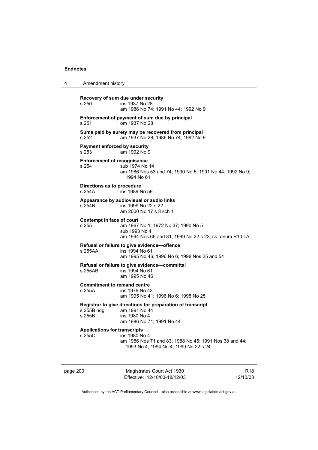| 4 | Amendment history                                                                                    |                                                                                                                           |
|---|------------------------------------------------------------------------------------------------------|---------------------------------------------------------------------------------------------------------------------------|
|   | s 250                                                                                                | Recovery of sum due under security<br>ins 1937 No 28<br>am 1986 No 74; 1991 No 44; 1992 No 9                              |
|   | s 251                                                                                                | Enforcement of payment of sum due by principal<br>om 1937 No 28                                                           |
|   | Sums paid by surety may be recovered from principal<br>s 252<br>am 1937 No 28; 1986 No 74; 1992 No 9 |                                                                                                                           |
|   | <b>Payment enforced by security</b><br>s 253                                                         | am 1992 No 9                                                                                                              |
|   | <b>Enforcement of recognisance</b><br>s 254                                                          | sub 1974 No 14<br>am 1986 Nos 53 and 74; 1990 No 5; 1991 No 44; 1992 No 9;<br>1994 No 61                                  |
|   | Directions as to procedure<br>s 254A                                                                 | ins 1989 No 59                                                                                                            |
|   | s 254B                                                                                               | Appearance by audiovisual or audio links<br>ins 1999 No 22 s 22<br>am 2000 No 17 s 3 sch 1                                |
|   | Contempt in face of court<br>s 255                                                                   | am 1967 No 1; 1972 No 37; 1990 No 5<br>sub 1993 No 4<br>am 1994 Nos 66 and 81; 1999 No 22 s 23; ss renum R10 LA           |
|   | s 255AA                                                                                              | Refusal or failure to give evidence-offence<br>ins 1994 No 61<br>am 1995 No 46; 1996 No 6; 1998 Nos 25 and 54             |
|   | s 255AB                                                                                              | Refusal or failure to give evidence-committal<br>ins 1994 No 61<br>am 1995 No 46                                          |
|   | <b>Commitment to remand centre</b><br>s 255A                                                         | ins 1976 No 42<br>am 1995 No 41; 1996 No 6; 1998 No 25                                                                    |
|   | s 255B hdg<br>s 255B                                                                                 | Registrar to give directions for preparation of transcript<br>am 1991 No 44<br>ins 1980 No 4<br>am 1986 No 71; 1991 No 44 |
|   | <b>Applications for transcripts</b><br>s 255C                                                        | ins 1980 No 4<br>am 1986 Nos 71 and 83; 1988 No 45; 1991 Nos 38 and 44;<br>1993 No 4; 1994 No 4; 1999 No 22 s 24          |

page 200 Magistrates Court Act 1930 Effective: 12/10/03-18/12/03

R18 12/10/03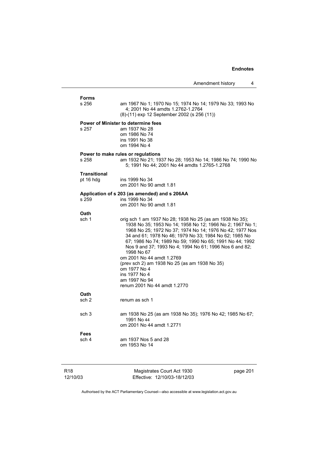page 201

| Amendment history |  |
|-------------------|--|
|-------------------|--|

| Forms               |                                                                                                                                                                                                                                                                                                                                                                                                               |
|---------------------|---------------------------------------------------------------------------------------------------------------------------------------------------------------------------------------------------------------------------------------------------------------------------------------------------------------------------------------------------------------------------------------------------------------|
| s 256               | am 1967 No 1; 1970 No 15; 1974 No 14; 1979 No 33; 1993 No<br>4; 2001 No 44 amdts 1.2762-1.2764                                                                                                                                                                                                                                                                                                                |
|                     | (8)-(11) exp 12 September 2002 (s 256 (11))                                                                                                                                                                                                                                                                                                                                                                   |
|                     | <b>Power of Minister to determine fees</b>                                                                                                                                                                                                                                                                                                                                                                    |
| s 257               | am 1937 No 28<br>om 1986 No 74                                                                                                                                                                                                                                                                                                                                                                                |
|                     | ins 1991 No 38                                                                                                                                                                                                                                                                                                                                                                                                |
|                     | om 1994 No 4                                                                                                                                                                                                                                                                                                                                                                                                  |
|                     | Power to make rules or regulations                                                                                                                                                                                                                                                                                                                                                                            |
| s 258               | am 1932 No 21; 1937 No 28; 1953 No 14; 1986 No 74; 1990 No<br>5; 1991 No 44; 2001 No 44 amdts 1.2765-1.2768                                                                                                                                                                                                                                                                                                   |
| <b>Transitional</b> |                                                                                                                                                                                                                                                                                                                                                                                                               |
| pt 16 hdg           | ins 1999 No 34<br>om 2001 No 90 amdt 1.81                                                                                                                                                                                                                                                                                                                                                                     |
|                     | Application of s 203 (as amended) and s 206AA                                                                                                                                                                                                                                                                                                                                                                 |
| s 259               | ins 1999 No 34                                                                                                                                                                                                                                                                                                                                                                                                |
|                     | om 2001 No 90 amdt 1.81                                                                                                                                                                                                                                                                                                                                                                                       |
| Oath                |                                                                                                                                                                                                                                                                                                                                                                                                               |
| sch 1               | orig sch 1 am 1937 No 28; 1938 No 25 (as am 1938 No 35);<br>1938 No 35; 1953 No 14; 1958 No 12; 1966 No 2; 1967 No 1;<br>1968 No 25; 1972 No 37; 1974 No 14; 1976 No 42; 1977 Nos<br>34 and 61; 1978 No 46; 1979 No 33; 1984 No 62; 1985 No<br>67; 1986 No 74; 1989 No 59; 1990 No 65; 1991 No 44; 1992<br>Nos 9 and 37; 1993 No 4; 1994 No 61; 1996 Nos 6 and 82;<br>1998 No 67<br>om 2001 No 44 amdt 1.2769 |
|                     | (prev sch 2) am 1938 No 25 (as am 1938 No 35)                                                                                                                                                                                                                                                                                                                                                                 |
|                     | om 1977 No 4                                                                                                                                                                                                                                                                                                                                                                                                  |
|                     | ins 1977 No 4<br>am 1997 No 94                                                                                                                                                                                                                                                                                                                                                                                |
|                     | renum 2001 No 44 amdt 1.2770                                                                                                                                                                                                                                                                                                                                                                                  |
| Oath                |                                                                                                                                                                                                                                                                                                                                                                                                               |
| sch <sub>2</sub>    | renum as sch 1                                                                                                                                                                                                                                                                                                                                                                                                |
| sch <sub>3</sub>    | am 1938 No 25 (as am 1938 No 35); 1976 No 42; 1985 No 67;                                                                                                                                                                                                                                                                                                                                                     |
|                     | 1991 No 44                                                                                                                                                                                                                                                                                                                                                                                                    |
|                     | om 2001 No 44 amdt 1.2771                                                                                                                                                                                                                                                                                                                                                                                     |
| <b>Fees</b>         |                                                                                                                                                                                                                                                                                                                                                                                                               |
| sch 4               | am 1937 Nos 5 and 28<br>om 1953 No 14                                                                                                                                                                                                                                                                                                                                                                         |
|                     |                                                                                                                                                                                                                                                                                                                                                                                                               |
|                     |                                                                                                                                                                                                                                                                                                                                                                                                               |
|                     |                                                                                                                                                                                                                                                                                                                                                                                                               |

Authorised by the ACT Parliamentary Counsel—also accessible at www.legislation.act.gov.au

Magistrates Court Act 1930 Effective: 12/10/03-18/12/03

R18 12/10/03